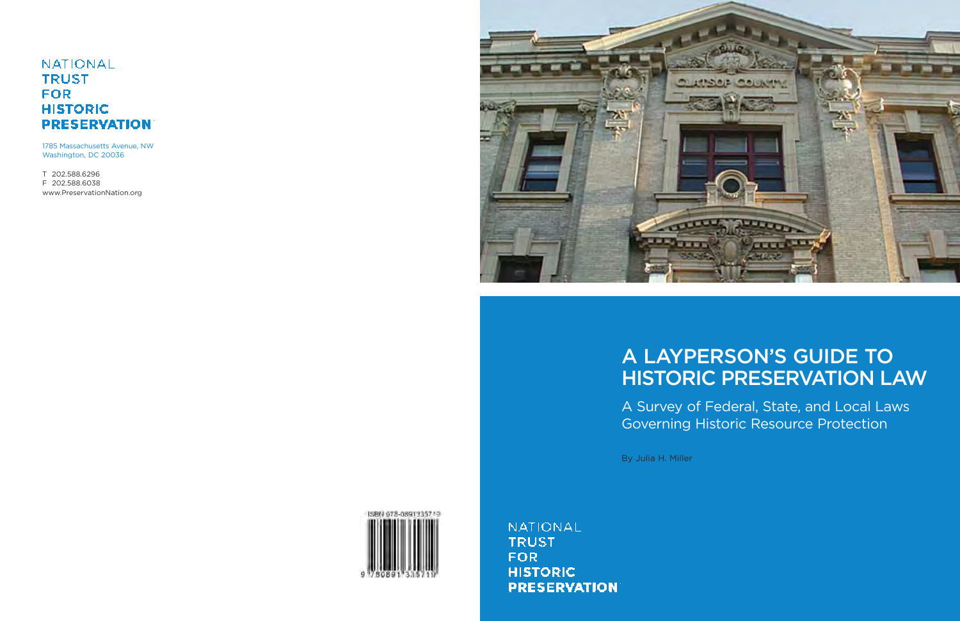# **A LAYPERSON'S GUIDE TO HISTORIC PRESERVATION LAW**

A Survey of Federal, State, and Local Laws Governing Historic Resource Protection

By Julia H. Miller

ISBN 978-0891335719

**NATIONAL TRUST FOR HISTORIC PRESERVATION** 

## **NATIONAL TRUST FOR HISTORIC PRESERVATION**

1785 Massachusetts Avenue, NW Washington, DC 20036

T 202.588.6296 F 202.588.6038 www.PreservationNation.org

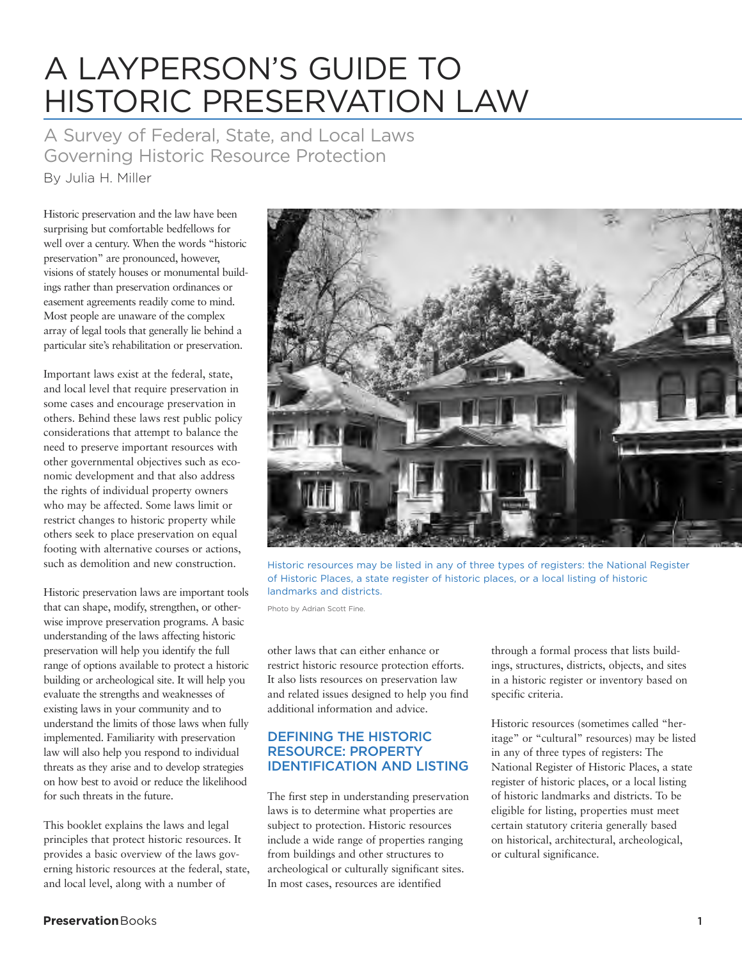# A LAYPERSON'S GUIDE TO HISTORIC PRESERVATION LAW

A Survey of Federal, State, and Local Laws Governing Historic Resource Protection

By Julia H. Miller

Historic preservation and the law have been surprising but comfortable bedfellows for well over a century. When the words "historic preservation" are pronounced, however, visions of stately houses or monumental buildings rather than preservation ordinances or easement agreements readily come to mind. Most people are unaware of the complex array of legal tools that generally lie behind a particular site's rehabilitation or preservation.

Important laws exist at the federal, state, and local level that require preservation in some cases and encourage preservation in others. Behind these laws rest public policy considerations that attempt to balance the need to preserve important resources with other governmental objectives such as economic development and that also address the rights of individual property owners who may be affected. Some laws limit or restrict changes to historic property while others seek to place preservation on equal footing with alternative courses or actions, such as demolition and new construction.

Historic preservation laws are important tools that can shape, modify, strengthen, or otherwise improve preservation programs. A basic understanding of the laws affecting historic preservation will help you identify the full range of options available to protect a historic building or archeological site. It will help you evaluate the strengths and weaknesses of existing laws in your community and to understand the limits of those laws when fully implemented. Familiarity with preservation law will also help you respond to individual threats as they arise and to develop strategies on how best to avoid or reduce the likelihood for such threats in the future.

This booklet explains the laws and legal principles that protect historic resources. It provides a basic overview of the laws governing historic resources at the federal, state, and local level, along with a number of



Historic resources may be listed in any of three types of registers: the National Register of Historic Places, a state register of historic places, or a local listing of historic landmarks and districts.

Photo by Adrian Scott Fine.

other laws that can either enhance or restrict historic resource protection efforts. It also lists resources on preservation law and related issues designed to help you find additional information and advice.

## **DEFINING THE HISTORIC RESOURCE: PROPERTY IDENTIFICATION AND LISTING**

The first step in understanding preservation laws is to determine what properties are subject to protection. Historic resources include a wide range of properties ranging from buildings and other structures to archeological or culturally significant sites. In most cases, resources are identified

through a formal process that lists buildings, structures, districts, objects, and sites in a historic register or inventory based on specific criteria.

Historic resources (sometimes called "heritage" or "cultural" resources) may be listed in any of three types of registers: The National Register of Historic Places, a state register of historic places, or a local listing of historic landmarks and districts. To be eligible for listing, properties must meet certain statutory criteria generally based on historical, architectural, archeological, or cultural significance.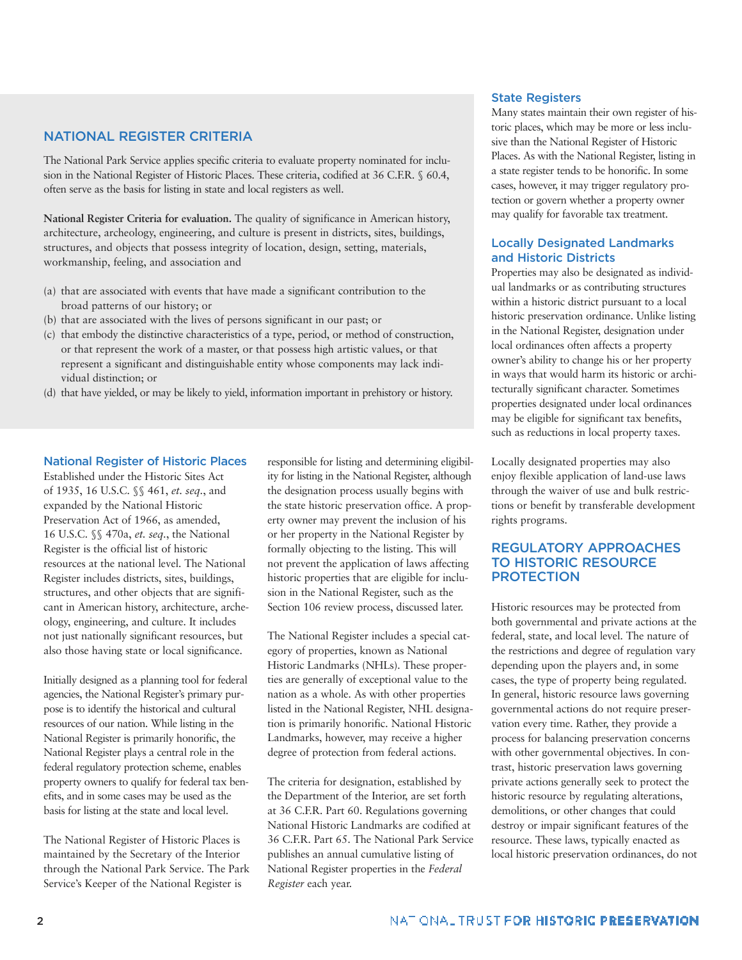## **NATIONAL REGISTER CRITERIA**

The National Park Service applies specific criteria to evaluate property nominated for inclusion in the National Register of Historic Places. These criteria, codified at 36 C.F.R. § 60.4, often serve as the basis for listing in state and local registers as well.

**National Register Criteria for evaluation.** The quality of significance in American history, architecture, archeology, engineering, and culture is present in districts, sites, buildings, structures, and objects that possess integrity of location, design, setting, materials, workmanship, feeling, and association and

- (a) that are associated with events that have made a significant contribution to the broad patterns of our history; or
- (b) that are associated with the lives of persons significant in our past; or
- (c) that embody the distinctive characteristics of a type, period, or method of construction, or that represent the work of a master, or that possess high artistic values, or that represent a significant and distinguishable entity whose components may lack individual distinction; or
- (d) that have yielded, or may be likely to yield, information important in prehistory or history.

## **National Register of Historic Places**

Established under the Historic Sites Act of 1935, 16 U.S.C. §§ 461, *et. seq.*, and expanded by the National Historic Preservation Act of 1966, as amended, 16 U.S.C. §§ 470a, *et. seq.*, the National Register is the official list of historic resources at the national level. The National Register includes districts, sites, buildings, structures, and other objects that are significant in American history, architecture, archeology, engineering, and culture. It includes not just nationally significant resources, but also those having state or local significance.

Initially designed as a planning tool for federal agencies, the National Register's primary purpose is to identify the historical and cultural resources of our nation. While listing in the National Register is primarily honorific, the National Register plays a central role in the federal regulatory protection scheme, enables property owners to qualify for federal tax benefits, and in some cases may be used as the basis for listing at the state and local level.

The National Register of Historic Places is maintained by the Secretary of the Interior through the National Park Service. The Park Service's Keeper of the National Register is

responsible for listing and determining eligibility for listing in the National Register, although the designation process usually begins with the state historic preservation office. A property owner may prevent the inclusion of his or her property in the National Register by formally objecting to the listing. This will not prevent the application of laws affecting historic properties that are eligible for inclusion in the National Register, such as the Section 106 review process, discussed later.

The National Register includes a special category of properties, known as National Historic Landmarks (NHLs). These properties are generally of exceptional value to the nation as a whole. As with other properties listed in the National Register, NHL designation is primarily honorific. National Historic Landmarks, however, may receive a higher degree of protection from federal actions.

The criteria for designation, established by the Department of the Interior, are set forth at 36 C.F.R. Part 60. Regulations governing National Historic Landmarks are codified at 36 C.F.R. Part 65. The National Park Service publishes an annual cumulative listing of National Register properties in the *Federal Register* each year.

#### **State Registers**

Many states maintain their own register of historic places, which may be more or less inclusive than the National Register of Historic Places. As with the National Register, listing in a state register tends to be honorific. In some cases, however, it may trigger regulatory protection or govern whether a property owner may qualify for favorable tax treatment.

## **Locally Designated Landmarks and Historic Districts**

Properties may also be designated as individual landmarks or as contributing structures within a historic district pursuant to a local historic preservation ordinance. Unlike listing in the National Register, designation under local ordinances often affects a property owner's ability to change his or her property in ways that would harm its historic or architecturally significant character. Sometimes properties designated under local ordinances may be eligible for significant tax benefits, such as reductions in local property taxes.

Locally designated properties may also enjoy flexible application of land-use laws through the waiver of use and bulk restrictions or benefit by transferable development rights programs.

## **REGULATORY APPROACHES TO HISTORIC RESOURCE PROTECTION**

Historic resources may be protected from both governmental and private actions at the federal, state, and local level. The nature of the restrictions and degree of regulation vary depending upon the players and, in some cases, the type of property being regulated. In general, historic resource laws governing governmental actions do not require preservation every time. Rather, they provide a process for balancing preservation concerns with other governmental objectives. In contrast, historic preservation laws governing private actions generally seek to protect the historic resource by regulating alterations, demolitions, or other changes that could destroy or impair significant features of the resource. These laws, typically enacted as local historic preservation ordinances, do not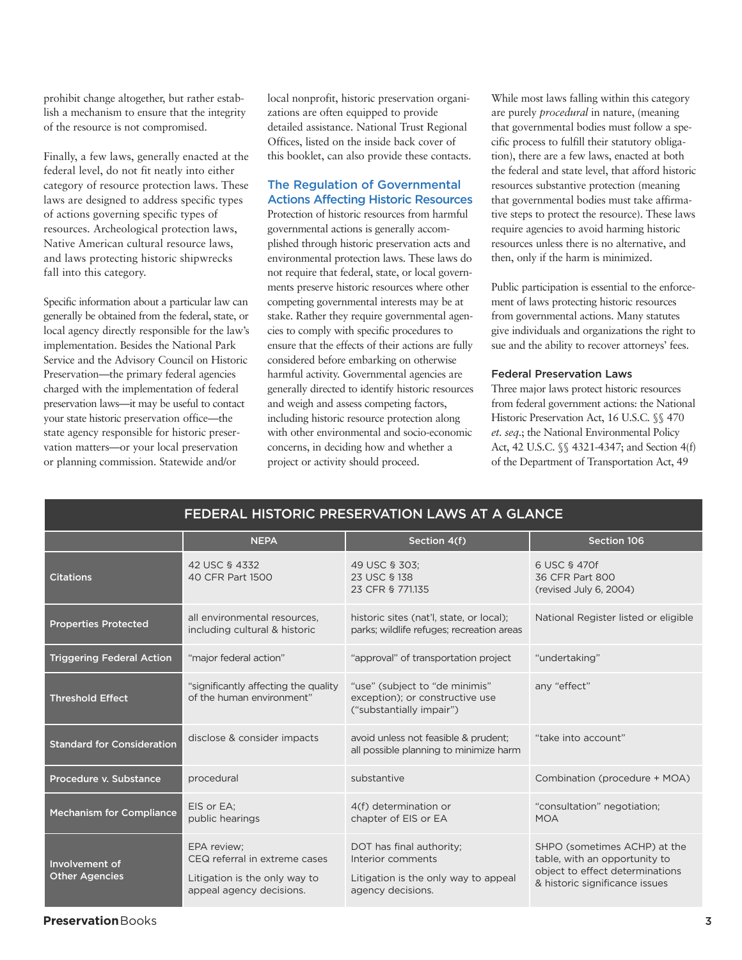prohibit change altogether, but rather establish a mechanism to ensure that the integrity of the resource is not compromised.

Finally, a few laws, generally enacted at the federal level, do not fit neatly into either category of resource protection laws. These laws are designed to address specific types of actions governing specific types of resources. Archeological protection laws, Native American cultural resource laws, and laws protecting historic shipwrecks fall into this category.

Specific information about a particular law can generally be obtained from the federal, state, or local agency directly responsible for the law's implementation. Besides the National Park Service and the Advisory Council on Historic Preservation—the primary federal agencies charged with the implementation of federal preservation laws—it may be useful to contact your state historic preservation office—the state agency responsible for historic preservation matters—or your local preservation or planning commission. Statewide and/or

local nonprofit, historic preservation organizations are often equipped to provide detailed assistance. National Trust Regional Offices, listed on the inside back cover of this booklet, can also provide these contacts.

## **The Regulation of Governmental Actions Affecting Historic Resources**

Protection of historic resources from harmful governmental actions is generally accomplished through historic preservation acts and environmental protection laws. These laws do not require that federal, state, or local governments preserve historic resources where other competing governmental interests may be at stake. Rather they require governmental agencies to comply with specific procedures to ensure that the effects of their actions are fully considered before embarking on otherwise harmful activity. Governmental agencies are generally directed to identify historic resources and weigh and assess competing factors, including historic resource protection along with other environmental and socio-economic concerns, in deciding how and whether a project or activity should proceed.

While most laws falling within this category are purely *procedural* in nature, (meaning that governmental bodies must follow a specific process to fulfill their statutory obligation), there are a few laws, enacted at both the federal and state level, that afford historic resources substantive protection (meaning that governmental bodies must take affirmative steps to protect the resource). These laws require agencies to avoid harming historic resources unless there is no alternative, and then, only if the harm is minimized.

Public participation is essential to the enforcement of laws protecting historic resources from governmental actions. Many statutes give individuals and organizations the right to sue and the ability to recover attorneys' fees.

#### **Federal Preservation Laws**

Three major laws protect historic resources from federal government actions: the National Historic Preservation Act, 16 U.S.C. §§ 470 *et. seq.*; the National Environmental Policy Act, 42 U.S.C. §§ 4321-4347; and Section 4(f) of the Department of Transportation Act, 49

|                                         |                                                                                                           | FEDERAL HISTORIC PRESERVATION LAWS AT A GLANCE                                                             |                                                                                                                                    |
|-----------------------------------------|-----------------------------------------------------------------------------------------------------------|------------------------------------------------------------------------------------------------------------|------------------------------------------------------------------------------------------------------------------------------------|
|                                         | <b>NEPA</b>                                                                                               | Section 4(f)                                                                                               | Section 106                                                                                                                        |
| <b>Citations</b>                        | 42 USC § 4332<br>40 CFR Part 1500                                                                         | 49 USC § 303;<br>23 USC § 138<br>23 CFR § 771.135                                                          | 6 USC § 470f<br>36 CFR Part 800<br>(revised July 6, 2004)                                                                          |
| <b>Properties Protected</b>             | all environmental resources,<br>including cultural & historic                                             | historic sites (nat'l, state, or local);<br>parks; wildlife refuges; recreation areas                      | National Register listed or eligible                                                                                               |
| <b>Triggering Federal Action</b>        | "major federal action"                                                                                    | "approval" of transportation project                                                                       | "undertaking"                                                                                                                      |
| <b>Threshold Effect</b>                 | "significantly affecting the quality<br>of the human environment"                                         | "use" (subject to "de minimis"<br>exception); or constructive use<br>("substantially impair")              | any "effect"                                                                                                                       |
| <b>Standard for Consideration</b>       | disclose & consider impacts                                                                               | avoid unless not feasible & prudent;<br>all possible planning to minimize harm                             | "take into account"                                                                                                                |
| Procedure v. Substance                  | procedural                                                                                                | substantive                                                                                                | Combination (procedure + MOA)                                                                                                      |
| <b>Mechanism for Compliance</b>         | EIS or EA:<br>public hearings                                                                             | 4(f) determination or<br>chapter of EIS or EA                                                              | "consultation" negotiation;<br><b>MOA</b>                                                                                          |
| Involvement of<br><b>Other Agencies</b> | EPA review:<br>CEQ referral in extreme cases<br>Litigation is the only way to<br>appeal agency decisions. | DOT has final authority;<br>Interior comments<br>Litigation is the only way to appeal<br>agency decisions. | SHPO (sometimes ACHP) at the<br>table, with an opportunity to<br>object to effect determinations<br>& historic significance issues |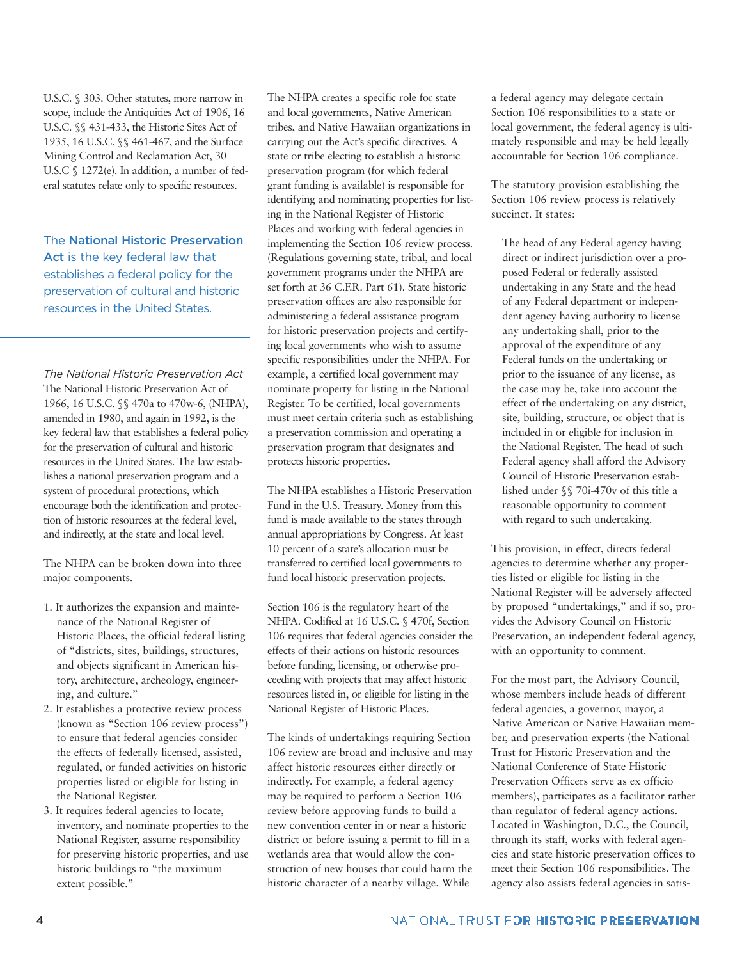U.S.C. § 303. Other statutes, more narrow in scope, include the Antiquities Act of 1906, 16 U.S.C. §§ 431-433, the Historic Sites Act of 1935, 16 U.S.C. §§ 461-467, and the Surface Mining Control and Reclamation Act, 30 U.S.C § 1272(e). In addition, a number of federal statutes relate only to specific resources.

The **National Historic Preservation Act** is the key federal law that establishes a federal policy for the preservation of cultural and historic resources in the United States.

*The National Historic Preservation Act* The National Historic Preservation Act of 1966, 16 U.S.C. §§ 470a to 470w-6, (NHPA), amended in 1980, and again in 1992, is the key federal law that establishes a federal policy for the preservation of cultural and historic resources in the United States. The law establishes a national preservation program and a system of procedural protections, which encourage both the identification and protection of historic resources at the federal level, and indirectly, at the state and local level.

The NHPA can be broken down into three major components.

- 1. It authorizes the expansion and maintenance of the National Register of Historic Places, the official federal listing of "districts, sites, buildings, structures, and objects significant in American history, architecture, archeology, engineering, and culture."
- 2. It establishes a protective review process (known as "Section 106 review process") to ensure that federal agencies consider the effects of federally licensed, assisted, regulated, or funded activities on historic properties listed or eligible for listing in the National Register.
- 3. It requires federal agencies to locate, inventory, and nominate properties to the National Register, assume responsibility for preserving historic properties, and use historic buildings to "the maximum extent possible."

The NHPA creates a specific role for state and local governments, Native American tribes, and Native Hawaiian organizations in carrying out the Act's specific directives. A state or tribe electing to establish a historic preservation program (for which federal grant funding is available) is responsible for identifying and nominating properties for listing in the National Register of Historic Places and working with federal agencies in implementing the Section 106 review process. (Regulations governing state, tribal, and local government programs under the NHPA are set forth at 36 C.F.R. Part 61). State historic preservation offices are also responsible for administering a federal assistance program for historic preservation projects and certifying local governments who wish to assume specific responsibilities under the NHPA. For example, a certified local government may nominate property for listing in the National Register. To be certified, local governments must meet certain criteria such as establishing a preservation commission and operating a preservation program that designates and protects historic properties.

The NHPA establishes a Historic Preservation Fund in the U.S. Treasury. Money from this fund is made available to the states through annual appropriations by Congress. At least 10 percent of a state's allocation must be transferred to certified local governments to fund local historic preservation projects.

Section 106 is the regulatory heart of the NHPA. Codified at 16 U.S.C. § 470f, Section 106 requires that federal agencies consider the effects of their actions on historic resources before funding, licensing, or otherwise proceeding with projects that may affect historic resources listed in, or eligible for listing in the National Register of Historic Places.

The kinds of undertakings requiring Section 106 review are broad and inclusive and may affect historic resources either directly or indirectly. For example, a federal agency may be required to perform a Section 106 review before approving funds to build a new convention center in or near a historic district or before issuing a permit to fill in a wetlands area that would allow the construction of new houses that could harm the historic character of a nearby village. While

a federal agency may delegate certain Section 106 responsibilities to a state or local government, the federal agency is ultimately responsible and may be held legally accountable for Section 106 compliance.

The statutory provision establishing the Section 106 review process is relatively succinct. It states:

The head of any Federal agency having direct or indirect jurisdiction over a proposed Federal or federally assisted undertaking in any State and the head of any Federal department or independent agency having authority to license any undertaking shall, prior to the approval of the expenditure of any Federal funds on the undertaking or prior to the issuance of any license, as the case may be, take into account the effect of the undertaking on any district, site, building, structure, or object that is included in or eligible for inclusion in the National Register. The head of such Federal agency shall afford the Advisory Council of Historic Preservation established under §§ 70i-470v of this title a reasonable opportunity to comment with regard to such undertaking.

This provision, in effect, directs federal agencies to determine whether any properties listed or eligible for listing in the National Register will be adversely affected by proposed "undertakings," and if so, provides the Advisory Council on Historic Preservation, an independent federal agency, with an opportunity to comment.

For the most part, the Advisory Council, whose members include heads of different federal agencies, a governor, mayor, a Native American or Native Hawaiian member, and preservation experts (the National Trust for Historic Preservation and the National Conference of State Historic Preservation Officers serve as ex officio members), participates as a facilitator rather than regulator of federal agency actions. Located in Washington, D.C., the Council, through its staff, works with federal agencies and state historic preservation offices to meet their Section 106 responsibilities. The agency also assists federal agencies in satis-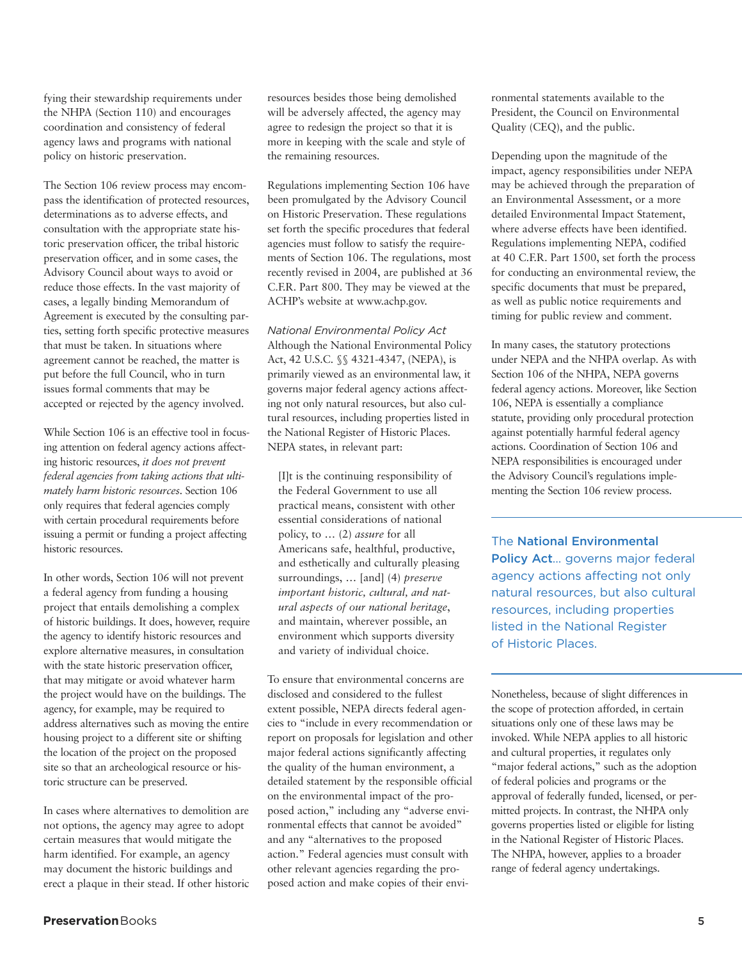fying their stewardship requirements under the NHPA (Section 110) and encourages coordination and consistency of federal agency laws and programs with national policy on historic preservation.

The Section 106 review process may encompass the identification of protected resources, determinations as to adverse effects, and consultation with the appropriate state historic preservation officer, the tribal historic preservation officer, and in some cases, the Advisory Council about ways to avoid or reduce those effects. In the vast majority of cases, a legally binding Memorandum of Agreement is executed by the consulting parties, setting forth specific protective measures that must be taken. In situations where agreement cannot be reached, the matter is put before the full Council, who in turn issues formal comments that may be accepted or rejected by the agency involved.

While Section 106 is an effective tool in focusing attention on federal agency actions affecting historic resources, *it does not prevent federal agencies from taking actions that ultimately harm historic resources*. Section 106 only requires that federal agencies comply with certain procedural requirements before issuing a permit or funding a project affecting historic resources.

In other words, Section 106 will not prevent a federal agency from funding a housing project that entails demolishing a complex of historic buildings. It does, however, require the agency to identify historic resources and explore alternative measures, in consultation with the state historic preservation officer, that may mitigate or avoid whatever harm the project would have on the buildings. The agency, for example, may be required to address alternatives such as moving the entire housing project to a different site or shifting the location of the project on the proposed site so that an archeological resource or historic structure can be preserved.

In cases where alternatives to demolition are not options, the agency may agree to adopt certain measures that would mitigate the harm identified. For example, an agency may document the historic buildings and erect a plaque in their stead. If other historic resources besides those being demolished will be adversely affected, the agency may agree to redesign the project so that it is more in keeping with the scale and style of the remaining resources.

Regulations implementing Section 106 have been promulgated by the Advisory Council on Historic Preservation. These regulations set forth the specific procedures that federal agencies must follow to satisfy the requirements of Section 106. The regulations, most recently revised in 2004, are published at 36 C.F.R. Part 800. They may be viewed at the ACHP's website at www.achp.gov.

*National Environmental Policy Act* Although the National Environmental Policy Act, 42 U.S.C. §§ 4321-4347, (NEPA), is primarily viewed as an environmental law, it governs major federal agency actions affecting not only natural resources, but also cultural resources, including properties listed in the National Register of Historic Places. NEPA states, in relevant part:

[I]t is the continuing responsibility of the Federal Government to use all practical means, consistent with other essential considerations of national policy, to … (2) *assure* for all Americans safe, healthful, productive, and esthetically and culturally pleasing surroundings, … [and] (4) *preserve important historic, cultural, and natural aspects of our national heritage*, and maintain, wherever possible, an environment which supports diversity and variety of individual choice.

To ensure that environmental concerns are disclosed and considered to the fullest extent possible, NEPA directs federal agencies to "include in every recommendation or report on proposals for legislation and other major federal actions significantly affecting the quality of the human environment, a detailed statement by the responsible official on the environmental impact of the proposed action," including any "adverse environmental effects that cannot be avoided" and any "alternatives to the proposed action." Federal agencies must consult with other relevant agencies regarding the proposed action and make copies of their environmental statements available to the President, the Council on Environmental Quality (CEQ), and the public.

Depending upon the magnitude of the impact, agency responsibilities under NEPA may be achieved through the preparation of an Environmental Assessment, or a more detailed Environmental Impact Statement, where adverse effects have been identified. Regulations implementing NEPA, codified at 40 C.F.R. Part 1500, set forth the process for conducting an environmental review, the specific documents that must be prepared, as well as public notice requirements and timing for public review and comment.

In many cases, the statutory protections under NEPA and the NHPA overlap. As with Section 106 of the NHPA, NEPA governs federal agency actions. Moreover, like Section 106, NEPA is essentially a compliance statute, providing only procedural protection against potentially harmful federal agency actions. Coordination of Section 106 and NEPA responsibilities is encouraged under the Advisory Council's regulations implementing the Section 106 review process.

The **National Environmental Policy Act**… governs major federal agency actions affecting not only natural resources, but also cultural resources, including properties listed in the National Register of Historic Places.

Nonetheless, because of slight differences in the scope of protection afforded, in certain situations only one of these laws may be invoked. While NEPA applies to all historic and cultural properties, it regulates only "major federal actions," such as the adoption of federal policies and programs or the approval of federally funded, licensed, or permitted projects. In contrast, the NHPA only governs properties listed or eligible for listing in the National Register of Historic Places. The NHPA, however, applies to a broader range of federal agency undertakings.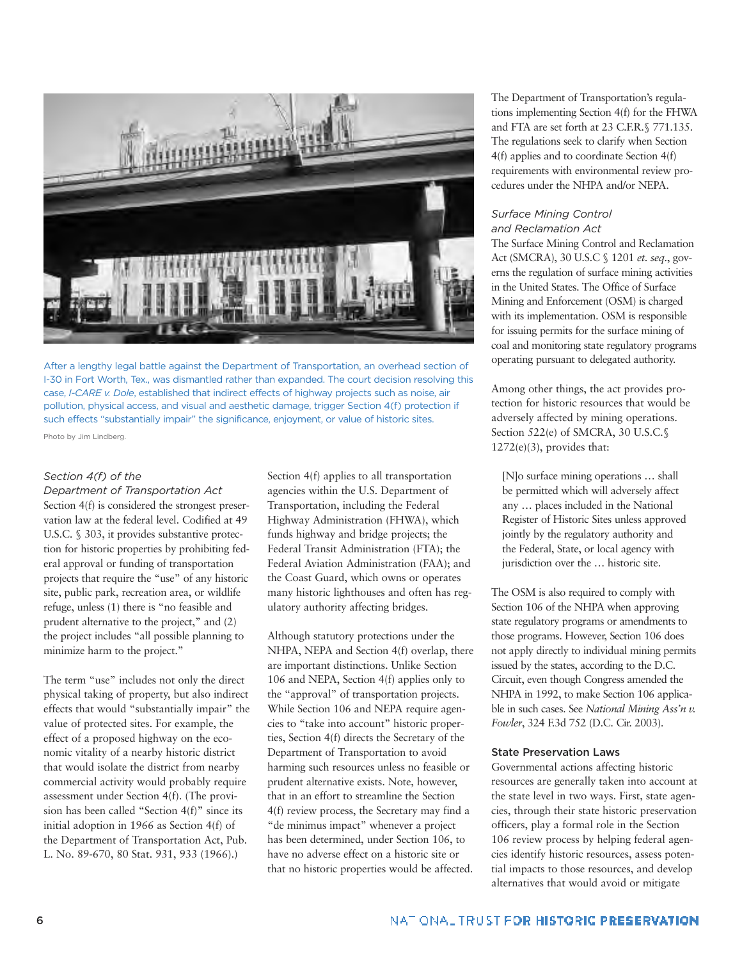

After a lengthy legal battle against the Department of Transportation, an overhead section of I-30 in Fort Worth, Tex., was dismantled rather than expanded. The court decision resolving this case, *I-CARE v. Dole*, established that indirect effects of highway projects such as noise, air pollution, physical access, and visual and aesthetic damage, trigger Section 4(f) protection if such effects "substantially impair" the significance, enjoyment, or value of historic sites.

Photo by Jim Lindberg.

## *Section 4(f) of the*

*Department of Transportation Act* Section 4(f) is considered the strongest preservation law at the federal level. Codified at 49 U.S.C. § 303, it provides substantive protection for historic properties by prohibiting federal approval or funding of transportation projects that require the "use" of any historic site, public park, recreation area, or wildlife refuge, unless (1) there is "no feasible and prudent alternative to the project," and (2) the project includes "all possible planning to minimize harm to the project."

The term "use" includes not only the direct physical taking of property, but also indirect effects that would "substantially impair" the value of protected sites. For example, the effect of a proposed highway on the economic vitality of a nearby historic district that would isolate the district from nearby commercial activity would probably require assessment under Section 4(f). (The provision has been called "Section 4(f)" since its initial adoption in 1966 as Section 4(f) of the Department of Transportation Act, Pub. L. No. 89-670, 80 Stat. 931, 933 (1966).)

Section  $4(f)$  applies to all transportation agencies within the U.S. Department of Transportation, including the Federal Highway Administration (FHWA), which funds highway and bridge projects; the Federal Transit Administration (FTA); the Federal Aviation Administration (FAA); and the Coast Guard, which owns or operates many historic lighthouses and often has regulatory authority affecting bridges.

Although statutory protections under the NHPA, NEPA and Section 4(f) overlap, there are important distinctions. Unlike Section 106 and NEPA, Section 4(f) applies only to the "approval" of transportation projects. While Section 106 and NEPA require agencies to "take into account" historic properties, Section 4(f) directs the Secretary of the Department of Transportation to avoid harming such resources unless no feasible or prudent alternative exists. Note, however, that in an effort to streamline the Section 4(f) review process, the Secretary may find a "de minimus impact" whenever a project has been determined, under Section 106, to have no adverse effect on a historic site or that no historic properties would be affected. The Department of Transportation's regulations implementing Section 4(f) for the FHWA and FTA are set forth at 23 C.F.R.§ 771.135. The regulations seek to clarify when Section 4(f) applies and to coordinate Section 4(f) requirements with environmental review procedures under the NHPA and/or NEPA.

#### *Surface Mining Control and Reclamation Act*

The Surface Mining Control and Reclamation Act (SMCRA), 30 U.S.C § 1201 *et. seq.*, governs the regulation of surface mining activities in the United States. The Office of Surface Mining and Enforcement (OSM) is charged with its implementation. OSM is responsible for issuing permits for the surface mining of coal and monitoring state regulatory programs operating pursuant to delegated authority.

Among other things, the act provides protection for historic resources that would be adversely affected by mining operations. Section 522(e) of SMCRA, 30 U.S.C.§ 1272(e)(3), provides that:

[N]o surface mining operations … shall be permitted which will adversely affect any … places included in the National Register of Historic Sites unless approved jointly by the regulatory authority and the Federal, State, or local agency with jurisdiction over the … historic site.

The OSM is also required to comply with Section 106 of the NHPA when approving state regulatory programs or amendments to those programs. However, Section 106 does not apply directly to individual mining permits issued by the states, according to the D.C. Circuit, even though Congress amended the NHPA in 1992, to make Section 106 applicable in such cases. See *National Mining Ass'n v. Fowler*, 324 F.3d 752 (D.C. Cir. 2003).

## **State Preservation Laws**

Governmental actions affecting historic resources are generally taken into account at the state level in two ways. First, state agencies, through their state historic preservation officers, play a formal role in the Section 106 review process by helping federal agencies identify historic resources, assess potential impacts to those resources, and develop alternatives that would avoid or mitigate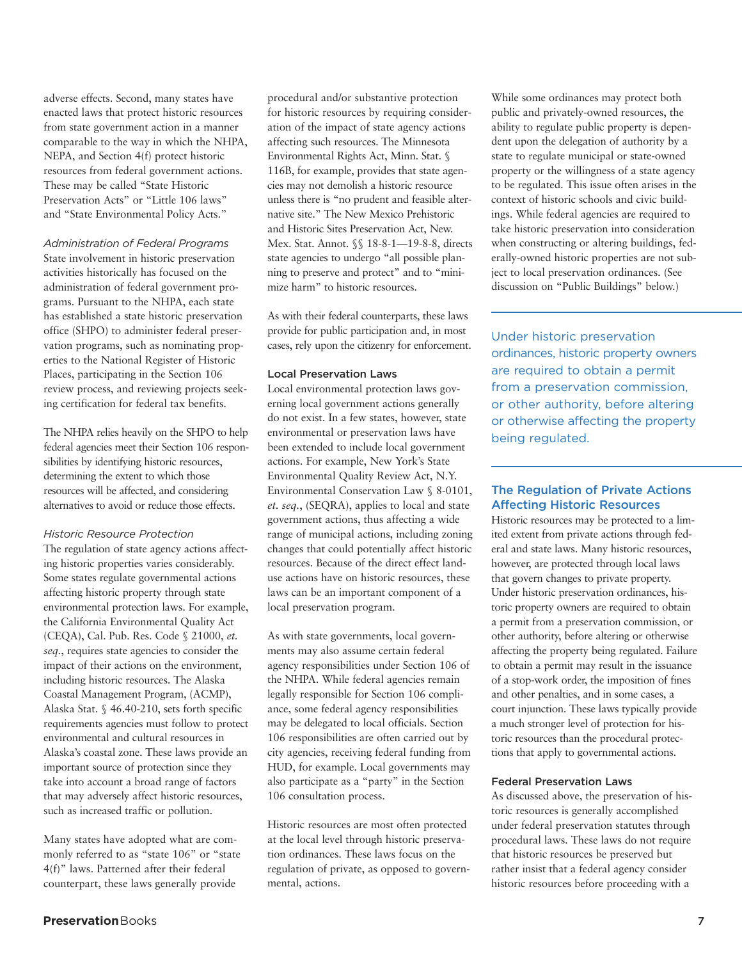adverse effects. Second, many states have enacted laws that protect historic resources from state government action in a manner comparable to the way in which the NHPA, NEPA, and Section 4(f) protect historic resources from federal government actions. These may be called "State Historic Preservation Acts" or "Little 106 laws" and "State Environmental Policy Acts."

#### *Administration of Federal Programs*

State involvement in historic preservation activities historically has focused on the administration of federal government programs. Pursuant to the NHPA, each state has established a state historic preservation office (SHPO) to administer federal preservation programs, such as nominating properties to the National Register of Historic Places, participating in the Section 106 review process, and reviewing projects seeking certification for federal tax benefits.

The NHPA relies heavily on the SHPO to help federal agencies meet their Section 106 responsibilities by identifying historic resources, determining the extent to which those resources will be affected, and considering alternatives to avoid or reduce those effects.

#### *Historic Resource Protection*

The regulation of state agency actions affecting historic properties varies considerably. Some states regulate governmental actions affecting historic property through state environmental protection laws. For example, the California Environmental Quality Act (CEQA), Cal. Pub. Res. Code § 21000, *et. seq.*, requires state agencies to consider the impact of their actions on the environment, including historic resources. The Alaska Coastal Management Program, (ACMP), Alaska Stat. § 46.40-210, sets forth specific requirements agencies must follow to protect environmental and cultural resources in Alaska's coastal zone. These laws provide an important source of protection since they take into account a broad range of factors that may adversely affect historic resources, such as increased traffic or pollution.

Many states have adopted what are commonly referred to as "state 106" or "state 4(f)" laws. Patterned after their federal counterpart, these laws generally provide

procedural and/or substantive protection for historic resources by requiring consideration of the impact of state agency actions affecting such resources. The Minnesota Environmental Rights Act, Minn. Stat. § 116B, for example, provides that state agencies may not demolish a historic resource unless there is "no prudent and feasible alternative site." The New Mexico Prehistoric and Historic Sites Preservation Act, New. Mex. Stat. Annot. §§ 18-8-1—19-8-8, directs state agencies to undergo "all possible planning to preserve and protect" and to "minimize harm" to historic resources.

As with their federal counterparts, these laws provide for public participation and, in most cases, rely upon the citizenry for enforcement.

#### **Local Preservation Laws**

Local environmental protection laws governing local government actions generally do not exist. In a few states, however, state environmental or preservation laws have been extended to include local government actions. For example, New York's State Environmental Quality Review Act, N.Y. Environmental Conservation Law § 8-0101, *et. seq.*, (SEQRA), applies to local and state government actions, thus affecting a wide range of municipal actions, including zoning changes that could potentially affect historic resources. Because of the direct effect landuse actions have on historic resources, these laws can be an important component of a local preservation program.

As with state governments, local governments may also assume certain federal agency responsibilities under Section 106 of the NHPA. While federal agencies remain legally responsible for Section 106 compliance, some federal agency responsibilities may be delegated to local officials. Section 106 responsibilities are often carried out by city agencies, receiving federal funding from HUD, for example. Local governments may also participate as a "party" in the Section 106 consultation process.

Historic resources are most often protected at the local level through historic preservation ordinances. These laws focus on the regulation of private, as opposed to governmental, actions.

**Preservation**Books **7**

While some ordinances may protect both public and privately-owned resources, the ability to regulate public property is dependent upon the delegation of authority by a state to regulate municipal or state-owned property or the willingness of a state agency to be regulated. This issue often arises in the context of historic schools and civic buildings. While federal agencies are required to take historic preservation into consideration when constructing or altering buildings, federally-owned historic properties are not subject to local preservation ordinances. (See discussion on "Public Buildings" below.)

Under historic preservation ordinances, historic property owners are required to obtain a permit from a preservation commission, or other authority, before altering or otherwise affecting the property being regulated.

## **The Regulation of Private Actions Affecting Historic Resources**

Historic resources may be protected to a limited extent from private actions through federal and state laws. Many historic resources, however, are protected through local laws that govern changes to private property. Under historic preservation ordinances, historic property owners are required to obtain a permit from a preservation commission, or other authority, before altering or otherwise affecting the property being regulated. Failure to obtain a permit may result in the issuance of a stop-work order, the imposition of fines and other penalties, and in some cases, a court injunction. These laws typically provide a much stronger level of protection for historic resources than the procedural protections that apply to governmental actions.

## **Federal Preservation Laws**

As discussed above, the preservation of historic resources is generally accomplished under federal preservation statutes through procedural laws. These laws do not require that historic resources be preserved but rather insist that a federal agency consider historic resources before proceeding with a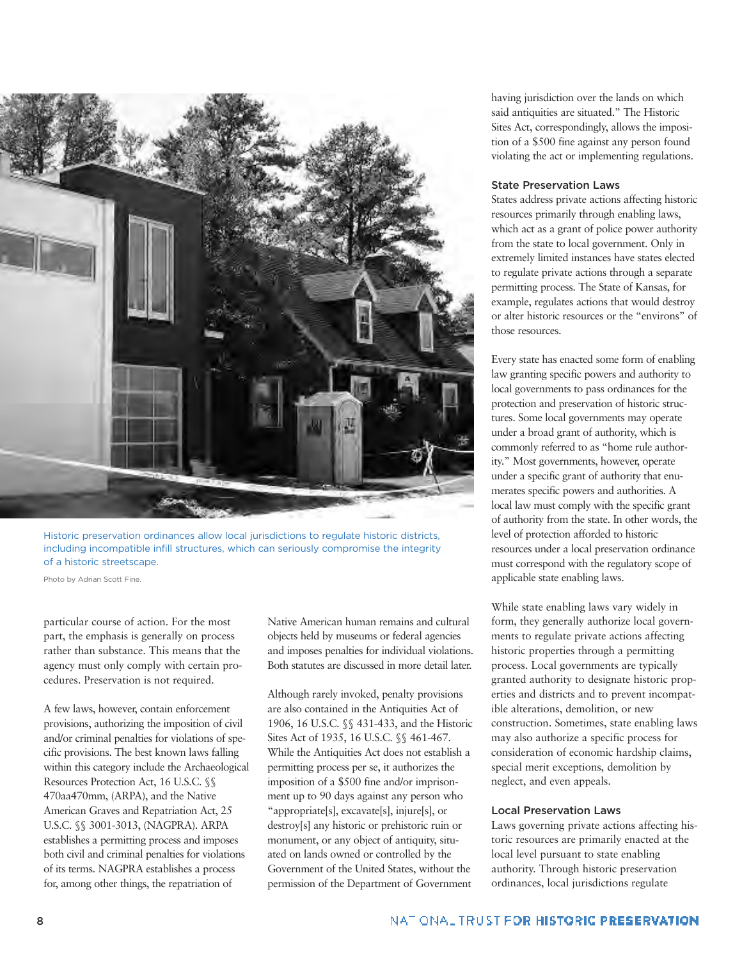

Historic preservation ordinances allow local jurisdictions to regulate historic districts, including incompatible infill structures, which can seriously compromise the integrity of a historic streetscape.

Photo by Adrian Scott Fine.

particular course of action. For the most part, the emphasis is generally on process rather than substance. This means that the agency must only comply with certain procedures. Preservation is not required.

A few laws, however, contain enforcement provisions, authorizing the imposition of civil and/or criminal penalties for violations of specific provisions. The best known laws falling within this category include the Archaeological Resources Protection Act, 16 U.S.C. §§ 470aa470mm, (ARPA), and the Native American Graves and Repatriation Act, 25 U.S.C. §§ 3001-3013, (NAGPRA). ARPA establishes a permitting process and imposes both civil and criminal penalties for violations of its terms. NAGPRA establishes a process for, among other things, the repatriation of

Native American human remains and cultural objects held by museums or federal agencies and imposes penalties for individual violations. Both statutes are discussed in more detail later.

Although rarely invoked, penalty provisions are also contained in the Antiquities Act of 1906, 16 U.S.C. §§ 431-433, and the Historic Sites Act of 1935, 16 U.S.C. §§ 461-467. While the Antiquities Act does not establish a permitting process per se, it authorizes the imposition of a \$500 fine and/or imprisonment up to 90 days against any person who "appropriate[s], excavate[s], injure[s], or destroy[s] any historic or prehistoric ruin or monument, or any object of antiquity, situated on lands owned or controlled by the Government of the United States, without the permission of the Department of Government

having jurisdiction over the lands on which said antiquities are situated." The Historic Sites Act, correspondingly, allows the imposition of a \$500 fine against any person found violating the act or implementing regulations.

#### **State Preservation Laws**

States address private actions affecting historic resources primarily through enabling laws, which act as a grant of police power authority from the state to local government. Only in extremely limited instances have states elected to regulate private actions through a separate permitting process. The State of Kansas, for example, regulates actions that would destroy or alter historic resources or the "environs" of those resources.

Every state has enacted some form of enabling law granting specific powers and authority to local governments to pass ordinances for the protection and preservation of historic structures. Some local governments may operate under a broad grant of authority, which is commonly referred to as "home rule authority." Most governments, however, operate under a specific grant of authority that enumerates specific powers and authorities. A local law must comply with the specific grant of authority from the state. In other words, the level of protection afforded to historic resources under a local preservation ordinance must correspond with the regulatory scope of applicable state enabling laws.

While state enabling laws vary widely in form, they generally authorize local governments to regulate private actions affecting historic properties through a permitting process. Local governments are typically granted authority to designate historic properties and districts and to prevent incompatible alterations, demolition, or new construction. Sometimes, state enabling laws may also authorize a specific process for consideration of economic hardship claims, special merit exceptions, demolition by neglect, and even appeals.

#### **Local Preservation Laws**

Laws governing private actions affecting historic resources are primarily enacted at the local level pursuant to state enabling authority. Through historic preservation ordinances, local jurisdictions regulate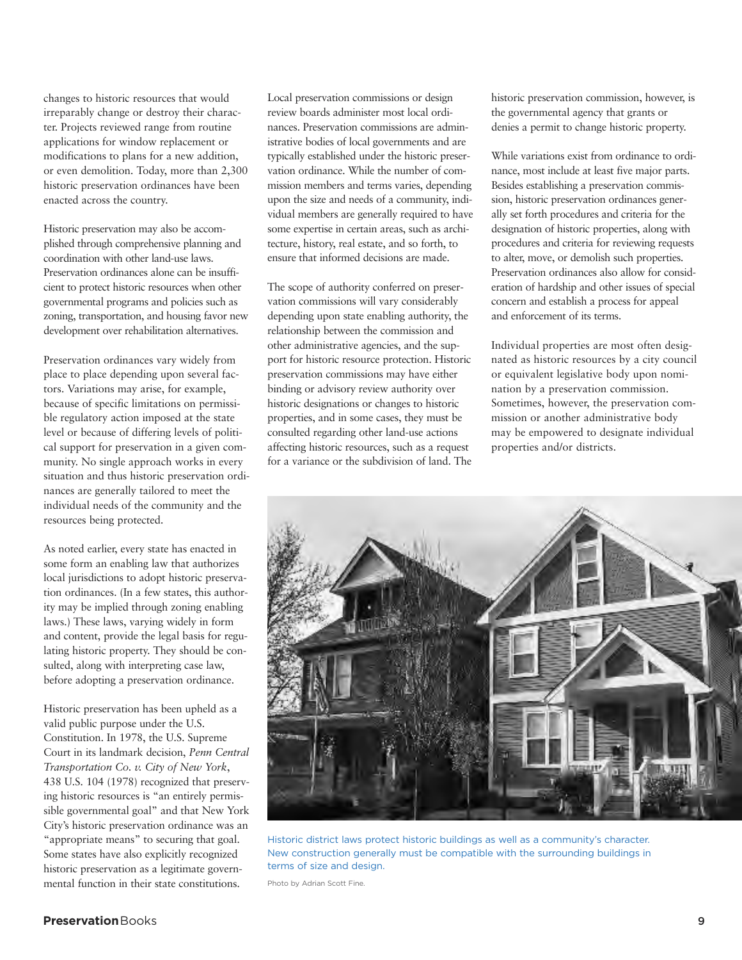changes to historic resources that would irreparably change or destroy their character. Projects reviewed range from routine applications for window replacement or modifications to plans for a new addition, or even demolition. Today, more than 2,300 historic preservation ordinances have been enacted across the country.

Historic preservation may also be accomplished through comprehensive planning and coordination with other land-use laws. Preservation ordinances alone can be insufficient to protect historic resources when other governmental programs and policies such as zoning, transportation, and housing favor new development over rehabilitation alternatives.

Preservation ordinances vary widely from place to place depending upon several factors. Variations may arise, for example, because of specific limitations on permissible regulatory action imposed at the state level or because of differing levels of political support for preservation in a given community. No single approach works in every situation and thus historic preservation ordinances are generally tailored to meet the individual needs of the community and the resources being protected.

As noted earlier, every state has enacted in some form an enabling law that authorizes local jurisdictions to adopt historic preservation ordinances. (In a few states, this authority may be implied through zoning enabling laws.) These laws, varying widely in form and content, provide the legal basis for regulating historic property. They should be consulted, along with interpreting case law, before adopting a preservation ordinance.

Historic preservation has been upheld as a valid public purpose under the U.S. Constitution. In 1978, the U.S. Supreme Court in its landmark decision, *Penn Central Transportation Co. v. City of New York*, 438 U.S. 104 (1978) recognized that preserving historic resources is "an entirely permissible governmental goal" and that New York City's historic preservation ordinance was an "appropriate means" to securing that goal. Some states have also explicitly recognized historic preservation as a legitimate governmental function in their state constitutions.

Local preservation commissions or design review boards administer most local ordinances. Preservation commissions are administrative bodies of local governments and are typically established under the historic preservation ordinance. While the number of commission members and terms varies, depending upon the size and needs of a community, individual members are generally required to have some expertise in certain areas, such as architecture, history, real estate, and so forth, to ensure that informed decisions are made.

The scope of authority conferred on preservation commissions will vary considerably depending upon state enabling authority, the relationship between the commission and other administrative agencies, and the support for historic resource protection. Historic preservation commissions may have either binding or advisory review authority over historic designations or changes to historic properties, and in some cases, they must be consulted regarding other land-use actions affecting historic resources, such as a request for a variance or the subdivision of land. The historic preservation commission, however, is the governmental agency that grants or denies a permit to change historic property.

While variations exist from ordinance to ordinance, most include at least five major parts. Besides establishing a preservation commission, historic preservation ordinances generally set forth procedures and criteria for the designation of historic properties, along with procedures and criteria for reviewing requests to alter, move, or demolish such properties. Preservation ordinances also allow for consideration of hardship and other issues of special concern and establish a process for appeal and enforcement of its terms.

Individual properties are most often designated as historic resources by a city council or equivalent legislative body upon nomination by a preservation commission. Sometimes, however, the preservation commission or another administrative body may be empowered to designate individual properties and/or districts.



Historic district laws protect historic buildings as well as a community's character. New construction generally must be compatible with the surrounding buildings in terms of size and design.

Photo by Adrian Scott Fine.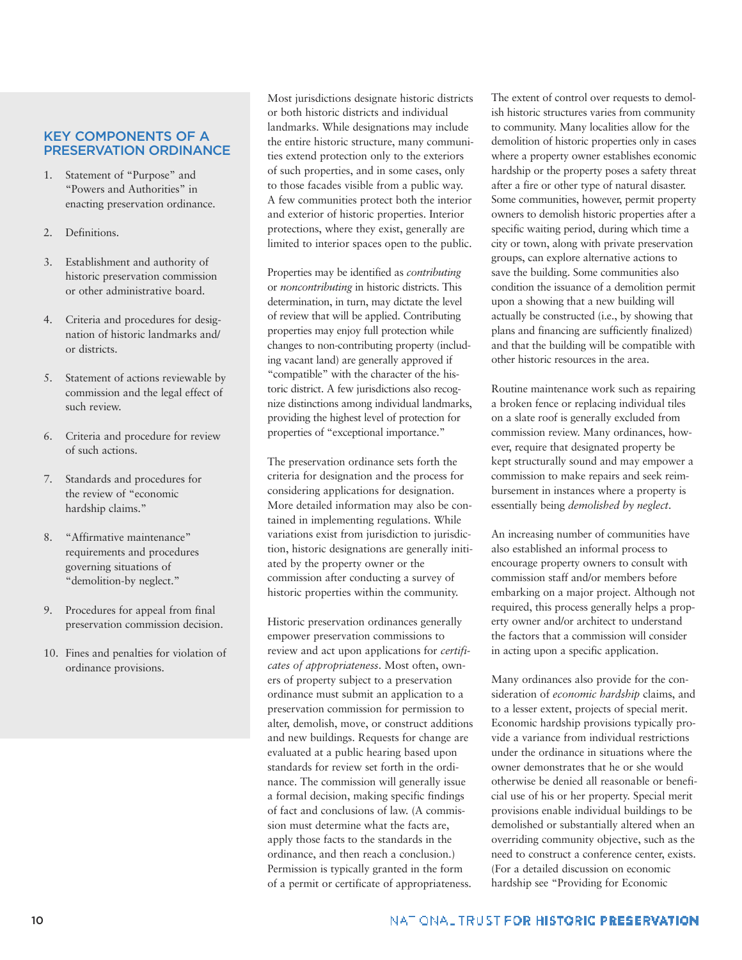## **KEY COMPONENTS OF A PRESERVATION ORDINANCE**

- 1. Statement of "Purpose" and "Powers and Authorities" in enacting preservation ordinance.
- 2. Definitions.
- 3. Establishment and authority of historic preservation commission or other administrative board.
- 4. Criteria and procedures for designation of historic landmarks and/ or districts.
- 5. Statement of actions reviewable by commission and the legal effect of such review.
- 6. Criteria and procedure for review of such actions.
- 7. Standards and procedures for the review of "economic hardship claims."
- 8. "Affirmative maintenance" requirements and procedures governing situations of "demolition-by neglect."
- 9. Procedures for appeal from final preservation commission decision.
- 10. Fines and penalties for violation of ordinance provisions.

Most jurisdictions designate historic districts or both historic districts and individual landmarks. While designations may include the entire historic structure, many communities extend protection only to the exteriors of such properties, and in some cases, only to those facades visible from a public way. A few communities protect both the interior and exterior of historic properties. Interior protections, where they exist, generally are limited to interior spaces open to the public.

Properties may be identified as *contributing* or *noncontributing* in historic districts. This determination, in turn, may dictate the level of review that will be applied. Contributing properties may enjoy full protection while changes to non-contributing property (including vacant land) are generally approved if "compatible" with the character of the historic district. A few jurisdictions also recognize distinctions among individual landmarks, providing the highest level of protection for properties of "exceptional importance."

The preservation ordinance sets forth the criteria for designation and the process for considering applications for designation. More detailed information may also be contained in implementing regulations. While variations exist from jurisdiction to jurisdiction, historic designations are generally initiated by the property owner or the commission after conducting a survey of historic properties within the community.

Historic preservation ordinances generally empower preservation commissions to review and act upon applications for *certificates of appropriateness*. Most often, owners of property subject to a preservation ordinance must submit an application to a preservation commission for permission to alter, demolish, move, or construct additions and new buildings. Requests for change are evaluated at a public hearing based upon standards for review set forth in the ordinance. The commission will generally issue a formal decision, making specific findings of fact and conclusions of law. (A commission must determine what the facts are, apply those facts to the standards in the ordinance, and then reach a conclusion.) Permission is typically granted in the form of a permit or certificate of appropriateness.

The extent of control over requests to demolish historic structures varies from community to community. Many localities allow for the demolition of historic properties only in cases where a property owner establishes economic hardship or the property poses a safety threat after a fire or other type of natural disaster. Some communities, however, permit property owners to demolish historic properties after a specific waiting period, during which time a city or town, along with private preservation groups, can explore alternative actions to save the building. Some communities also condition the issuance of a demolition permit upon a showing that a new building will actually be constructed (i.e., by showing that plans and financing are sufficiently finalized) and that the building will be compatible with other historic resources in the area.

Routine maintenance work such as repairing a broken fence or replacing individual tiles on a slate roof is generally excluded from commission review. Many ordinances, however, require that designated property be kept structurally sound and may empower a commission to make repairs and seek reimbursement in instances where a property is essentially being *demolished by neglect*.

An increasing number of communities have also established an informal process to encourage property owners to consult with commission staff and/or members before embarking on a major project. Although not required, this process generally helps a property owner and/or architect to understand the factors that a commission will consider in acting upon a specific application.

Many ordinances also provide for the consideration of *economic hardship* claims, and to a lesser extent, projects of special merit. Economic hardship provisions typically provide a variance from individual restrictions under the ordinance in situations where the owner demonstrates that he or she would otherwise be denied all reasonable or beneficial use of his or her property. Special merit provisions enable individual buildings to be demolished or substantially altered when an overriding community objective, such as the need to construct a conference center, exists. (For a detailed discussion on economic hardship see "Providing for Economic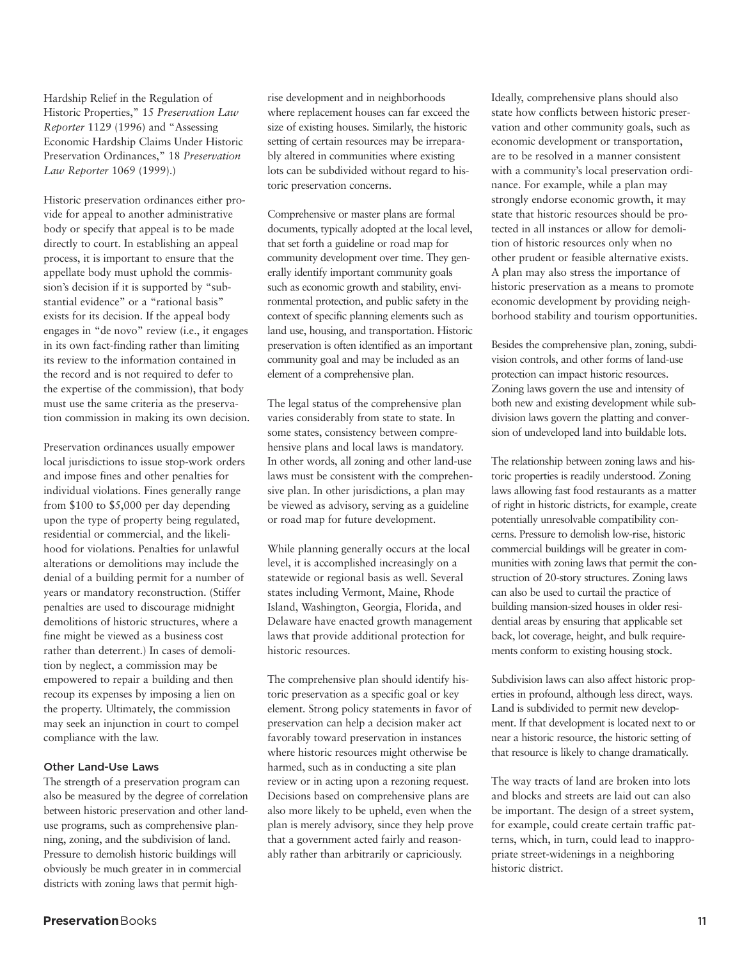Hardship Relief in the Regulation of Historic Properties," 15 *Preservation Law Reporter* 1129 (1996) and "Assessing Economic Hardship Claims Under Historic Preservation Ordinances," 18 *Preservation Law Reporter* 1069 (1999).)

Historic preservation ordinances either provide for appeal to another administrative body or specify that appeal is to be made directly to court. In establishing an appeal process, it is important to ensure that the appellate body must uphold the commission's decision if it is supported by "substantial evidence" or a "rational basis" exists for its decision. If the appeal body engages in "de novo" review (i.e., it engages in its own fact-finding rather than limiting its review to the information contained in the record and is not required to defer to the expertise of the commission), that body must use the same criteria as the preservation commission in making its own decision.

Preservation ordinances usually empower local jurisdictions to issue stop-work orders and impose fines and other penalties for individual violations. Fines generally range from \$100 to \$5,000 per day depending upon the type of property being regulated, residential or commercial, and the likelihood for violations. Penalties for unlawful alterations or demolitions may include the denial of a building permit for a number of years or mandatory reconstruction. (Stiffer penalties are used to discourage midnight demolitions of historic structures, where a fine might be viewed as a business cost rather than deterrent.) In cases of demolition by neglect, a commission may be empowered to repair a building and then recoup its expenses by imposing a lien on the property. Ultimately, the commission may seek an injunction in court to compel compliance with the law.

#### **Other Land-Use Laws**

The strength of a preservation program can also be measured by the degree of correlation between historic preservation and other landuse programs, such as comprehensive planning, zoning, and the subdivision of land. Pressure to demolish historic buildings will obviously be much greater in in commercial districts with zoning laws that permit highrise development and in neighborhoods where replacement houses can far exceed the size of existing houses. Similarly, the historic setting of certain resources may be irreparably altered in communities where existing lots can be subdivided without regard to historic preservation concerns.

Comprehensive or master plans are formal documents, typically adopted at the local level, that set forth a guideline or road map for community development over time. They generally identify important community goals such as economic growth and stability, environmental protection, and public safety in the context of specific planning elements such as land use, housing, and transportation. Historic preservation is often identified as an important community goal and may be included as an element of a comprehensive plan.

The legal status of the comprehensive plan varies considerably from state to state. In some states, consistency between comprehensive plans and local laws is mandatory. In other words, all zoning and other land-use laws must be consistent with the comprehensive plan. In other jurisdictions, a plan may be viewed as advisory, serving as a guideline or road map for future development.

While planning generally occurs at the local level, it is accomplished increasingly on a statewide or regional basis as well. Several states including Vermont, Maine, Rhode Island, Washington, Georgia, Florida, and Delaware have enacted growth management laws that provide additional protection for historic resources.

The comprehensive plan should identify historic preservation as a specific goal or key element. Strong policy statements in favor of preservation can help a decision maker act favorably toward preservation in instances where historic resources might otherwise be harmed, such as in conducting a site plan review or in acting upon a rezoning request. Decisions based on comprehensive plans are also more likely to be upheld, even when the plan is merely advisory, since they help prove that a government acted fairly and reasonably rather than arbitrarily or capriciously.

Ideally, comprehensive plans should also state how conflicts between historic preservation and other community goals, such as economic development or transportation, are to be resolved in a manner consistent with a community's local preservation ordinance. For example, while a plan may strongly endorse economic growth, it may state that historic resources should be protected in all instances or allow for demolition of historic resources only when no other prudent or feasible alternative exists. A plan may also stress the importance of historic preservation as a means to promote economic development by providing neighborhood stability and tourism opportunities.

Besides the comprehensive plan, zoning, subdivision controls, and other forms of land-use protection can impact historic resources. Zoning laws govern the use and intensity of both new and existing development while subdivision laws govern the platting and conversion of undeveloped land into buildable lots.

The relationship between zoning laws and historic properties is readily understood. Zoning laws allowing fast food restaurants as a matter of right in historic districts, for example, create potentially unresolvable compatibility concerns. Pressure to demolish low-rise, historic commercial buildings will be greater in communities with zoning laws that permit the construction of 20-story structures. Zoning laws can also be used to curtail the practice of building mansion-sized houses in older residential areas by ensuring that applicable set back, lot coverage, height, and bulk requirements conform to existing housing stock.

Subdivision laws can also affect historic properties in profound, although less direct, ways. Land is subdivided to permit new development. If that development is located next to or near a historic resource, the historic setting of that resource is likely to change dramatically.

The way tracts of land are broken into lots and blocks and streets are laid out can also be important. The design of a street system, for example, could create certain traffic patterns, which, in turn, could lead to inappropriate street-widenings in a neighboring historic district.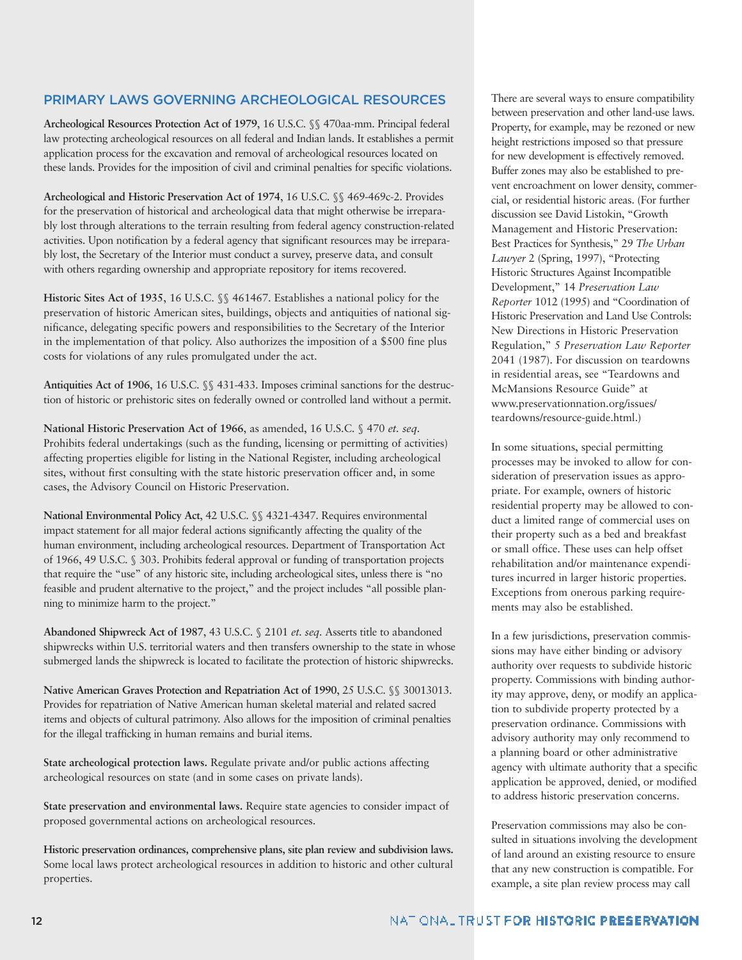## **PRIMARY LAWS GOVERNING ARCHEOLOGICAL RESOURCES**

**Archeological Resources Protection Act of 1979**, 16 U.S.C. §§ 470aa-mm. Principal federal law protecting archeological resources on all federal and Indian lands. It establishes a permit application process for the excavation and removal of archeological resources located on these lands. Provides for the imposition of civil and criminal penalties for specific violations.

**Archeological and Historic Preservation Act of 1974**, 16 U.S.C. §§ 469-469c-2. Provides for the preservation of historical and archeological data that might otherwise be irreparably lost through alterations to the terrain resulting from federal agency construction-related activities. Upon notification by a federal agency that significant resources may be irreparably lost, the Secretary of the Interior must conduct a survey, preserve data, and consult with others regarding ownership and appropriate repository for items recovered.

**Historic Sites Act of 1935**, 16 U.S.C. §§ 461467. Establishes a national policy for the preservation of historic American sites, buildings, objects and antiquities of national significance, delegating specific powers and responsibilities to the Secretary of the Interior in the implementation of that policy. Also authorizes the imposition of a \$500 fine plus costs for violations of any rules promulgated under the act.

**Antiquities Act of 1906**, 16 U.S.C. §§ 431-433. Imposes criminal sanctions for the destruction of historic or prehistoric sites on federally owned or controlled land without a permit.

**National Historic Preservation Act of 1966**, as amended, 16 U.S.C. § 470 *et. seq.* Prohibits federal undertakings (such as the funding, licensing or permitting of activities) affecting properties eligible for listing in the National Register, including archeological sites, without first consulting with the state historic preservation officer and, in some cases, the Advisory Council on Historic Preservation.

**National Environmental Policy Act**, 42 U.S.C. §§ 4321-4347. Requires environmental impact statement for all major federal actions significantly affecting the quality of the human environment, including archeological resources. Department of Transportation Act of 1966, 49 U.S.C. § 303. Prohibits federal approval or funding of transportation projects that require the "use" of any historic site, including archeological sites, unless there is "no feasible and prudent alternative to the project," and the project includes "all possible planning to minimize harm to the project."

**Abandoned Shipwreck Act of 1987**, 43 U.S.C. § 2101 *et. seq.* Asserts title to abandoned shipwrecks within U.S. territorial waters and then transfers ownership to the state in whose submerged lands the shipwreck is located to facilitate the protection of historic shipwrecks.

**Native American Graves Protection and Repatriation Act of 1990**, 25 U.S.C. §§ 30013013. Provides for repatriation of Native American human skeletal material and related sacred items and objects of cultural patrimony. Also allows for the imposition of criminal penalties for the illegal trafficking in human remains and burial items.

**State archeological protection laws.** Regulate private and/or public actions affecting archeological resources on state (and in some cases on private lands).

**State preservation and environmental laws.** Require state agencies to consider impact of proposed governmental actions on archeological resources.

**Historic preservation ordinances, comprehensive plans, site plan review and subdivision laws.** Some local laws protect archeological resources in addition to historic and other cultural properties.

There are several ways to ensure compatibility between preservation and other land-use laws. Property, for example, may be rezoned or new height restrictions imposed so that pressure for new development is effectively removed. Buffer zones may also be established to prevent encroachment on lower density, commercial, or residential historic areas. (For further discussion see David Listokin, "Growth Management and Historic Preservation: Best Practices for Synthesis," 29 *The Urban Lawyer* 2 (Spring, 1997), "Protecting Historic Structures Against Incompatible Development," 14 *Preservation Law Reporter* 1012 (1995) and "Coordination of Historic Preservation and Land Use Controls: New Directions in Historic Preservation Regulation," 5 *Preservation Law Reporter* 2041 (1987). For discussion on teardowns in residential areas, see "Teardowns and McMansions Resource Guide" at www.preservationnation.org/issues/ teardowns/resource-guide.html.)

In some situations, special permitting processes may be invoked to allow for consideration of preservation issues as appropriate. For example, owners of historic residential property may be allowed to conduct a limited range of commercial uses on their property such as a bed and breakfast or small office. These uses can help offset rehabilitation and/or maintenance expenditures incurred in larger historic properties. Exceptions from onerous parking requirements may also be established.

In a few jurisdictions, preservation commissions may have either binding or advisory authority over requests to subdivide historic property. Commissions with binding authority may approve, deny, or modify an application to subdivide property protected by a preservation ordinance. Commissions with advisory authority may only recommend to a planning board or other administrative agency with ultimate authority that a specific application be approved, denied, or modified to address historic preservation concerns.

Preservation commissions may also be consulted in situations involving the development of land around an existing resource to ensure that any new construction is compatible. For example, a site plan review process may call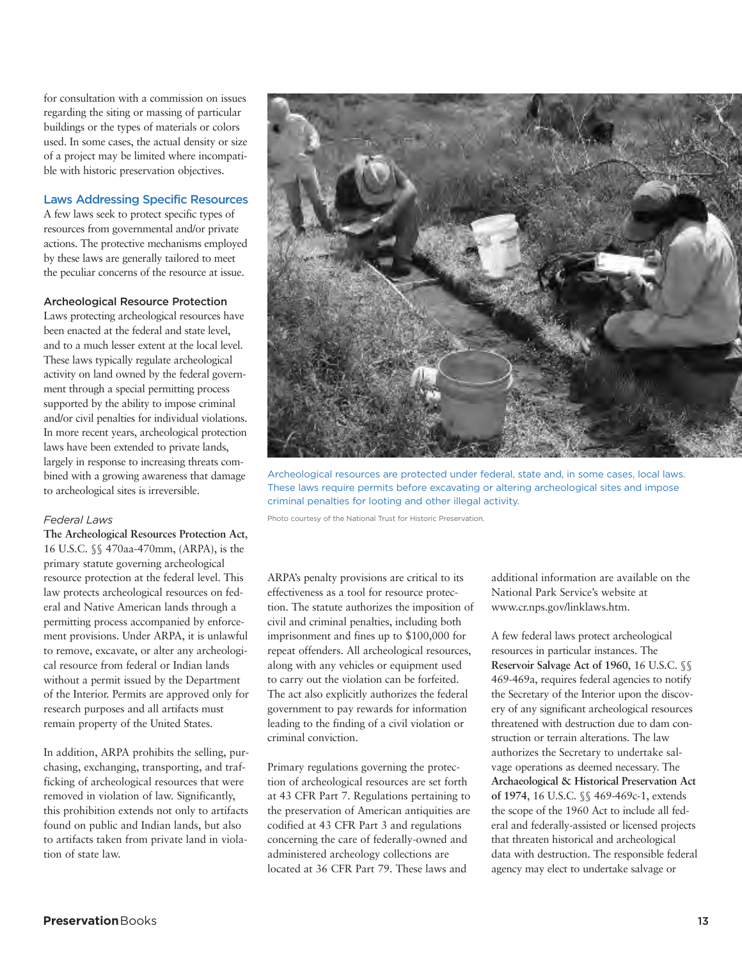for consultation with a commission on issues regarding the siting or massing of particular buildings or the types of materials or colors used. In some cases, the actual density or size of a project may be limited where incompatible with historic preservation objectives.

## **Laws Addressing Specific Resources**

A few laws seek to protect specific types of resources from governmental and/or private actions. The protective mechanisms employed by these laws are generally tailored to meet the peculiar concerns of the resource at issue.

## **Archeological Resource Protection**

Laws protecting archeological resources have been enacted at the federal and state level, and to a much lesser extent at the local level. These laws typically regulate archeological activity on land owned by the federal government through a special permitting process supported by the ability to impose criminal and/or civil penalties for individual violations. In more recent years, archeological protection laws have been extended to private lands, largely in response to increasing threats combined with a growing awareness that damage to archeological sites is irreversible.

## *Federal Laws*

**The Archeological Resources Protection Act**, 16 U.S.C. §§ 470aa-470mm, (ARPA), is the primary statute governing archeological resource protection at the federal level. This law protects archeological resources on federal and Native American lands through a permitting process accompanied by enforcement provisions. Under ARPA, it is unlawful to remove, excavate, or alter any archeological resource from federal or Indian lands without a permit issued by the Department of the Interior. Permits are approved only for research purposes and all artifacts must remain property of the United States.

In addition, ARPA prohibits the selling, purchasing, exchanging, transporting, and trafficking of archeological resources that were removed in violation of law. Significantly, this prohibition extends not only to artifacts found on public and Indian lands, but also to artifacts taken from private land in violation of state law.



Archeological resources are protected under federal, state and, in some cases, local laws. These laws require permits before excavating or altering archeological sites and impose criminal penalties for looting and other illegal activity.

Photo courtesy of the National Trust for Historic Preservation.

ARPA's penalty provisions are critical to its effectiveness as a tool for resource protection. The statute authorizes the imposition of civil and criminal penalties, including both imprisonment and fines up to \$100,000 for repeat offenders. All archeological resources, along with any vehicles or equipment used to carry out the violation can be forfeited. The act also explicitly authorizes the federal government to pay rewards for information leading to the finding of a civil violation or criminal conviction.

Primary regulations governing the protection of archeological resources are set forth at 43 CFR Part 7. Regulations pertaining to the preservation of American antiquities are codified at 43 CFR Part 3 and regulations concerning the care of federally-owned and administered archeology collections are located at 36 CFR Part 79. These laws and

additional information are available on the National Park Service's website at www.cr.nps.gov/linklaws.htm.

A few federal laws protect archeological resources in particular instances. The **Reservoir Salvage Act of 1960**, 16 U.S.C. §§ 469-469a, requires federal agencies to notify the Secretary of the Interior upon the discovery of any significant archeological resources threatened with destruction due to dam construction or terrain alterations. The law authorizes the Secretary to undertake salvage operations as deemed necessary. The **Archaeological & Historical Preservation Act of 1974**, 16 U.S.C. §§ 469-469c-1, extends the scope of the 1960 Act to include all federal and federally-assisted or licensed projects that threaten historical and archeological data with destruction. The responsible federal agency may elect to undertake salvage or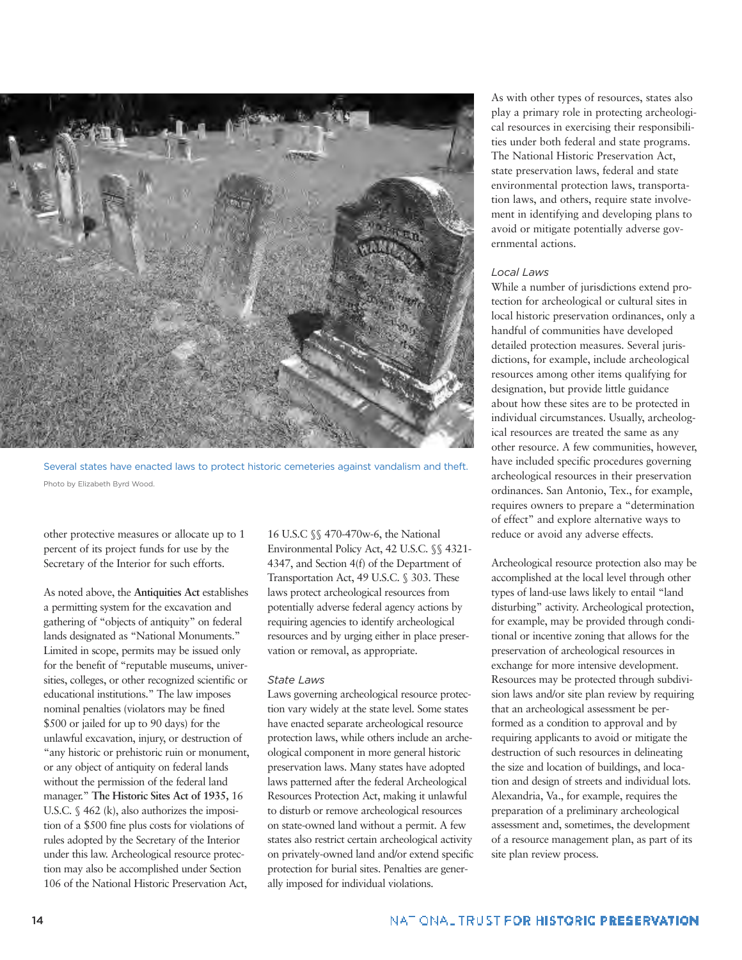

Several states have enacted laws to protect historic cemeteries against vandalism and theft. Photo by Elizabeth Byrd Wood.

other protective measures or allocate up to 1 percent of its project funds for use by the Secretary of the Interior for such efforts.

As noted above, the **Antiquities Act** establishes a permitting system for the excavation and gathering of "objects of antiquity" on federal lands designated as "National Monuments." Limited in scope, permits may be issued only for the benefit of "reputable museums, universities, colleges, or other recognized scientific or educational institutions." The law imposes nominal penalties (violators may be fined \$500 or jailed for up to 90 days) for the unlawful excavation, injury, or destruction of "any historic or prehistoric ruin or monument, or any object of antiquity on federal lands without the permission of the federal land manager." **The Historic Sites Act of 1935,** 16 U.S.C. § 462 (k), also authorizes the imposition of a \$500 fine plus costs for violations of rules adopted by the Secretary of the Interior under this law. Archeological resource protection may also be accomplished under Section 106 of the National Historic Preservation Act,

16 U.S.C §§ 470-470w-6, the National Environmental Policy Act, 42 U.S.C. §§ 4321- 4347, and Section 4(f) of the Department of Transportation Act, 49 U.S.C. § 303. These laws protect archeological resources from potentially adverse federal agency actions by requiring agencies to identify archeological resources and by urging either in place preservation or removal, as appropriate.

## *State Laws*

Laws governing archeological resource protection vary widely at the state level. Some states have enacted separate archeological resource protection laws, while others include an archeological component in more general historic preservation laws. Many states have adopted laws patterned after the federal Archeological Resources Protection Act, making it unlawful to disturb or remove archeological resources on state-owned land without a permit. A few states also restrict certain archeological activity on privately-owned land and/or extend specific protection for burial sites. Penalties are generally imposed for individual violations.

As with other types of resources, states also play a primary role in protecting archeological resources in exercising their responsibilities under both federal and state programs. The National Historic Preservation Act, state preservation laws, federal and state environmental protection laws, transportation laws, and others, require state involvement in identifying and developing plans to avoid or mitigate potentially adverse governmental actions.

#### *Local Laws*

While a number of jurisdictions extend protection for archeological or cultural sites in local historic preservation ordinances, only a handful of communities have developed detailed protection measures. Several jurisdictions, for example, include archeological resources among other items qualifying for designation, but provide little guidance about how these sites are to be protected in individual circumstances. Usually, archeological resources are treated the same as any other resource. A few communities, however, have included specific procedures governing archeological resources in their preservation ordinances. San Antonio, Tex., for example, requires owners to prepare a "determination of effect" and explore alternative ways to reduce or avoid any adverse effects.

Archeological resource protection also may be accomplished at the local level through other types of land-use laws likely to entail "land disturbing" activity. Archeological protection, for example, may be provided through conditional or incentive zoning that allows for the preservation of archeological resources in exchange for more intensive development. Resources may be protected through subdivision laws and/or site plan review by requiring that an archeological assessment be performed as a condition to approval and by requiring applicants to avoid or mitigate the destruction of such resources in delineating the size and location of buildings, and location and design of streets and individual lots. Alexandria, Va., for example, requires the preparation of a preliminary archeological assessment and, sometimes, the development of a resource management plan, as part of its site plan review process.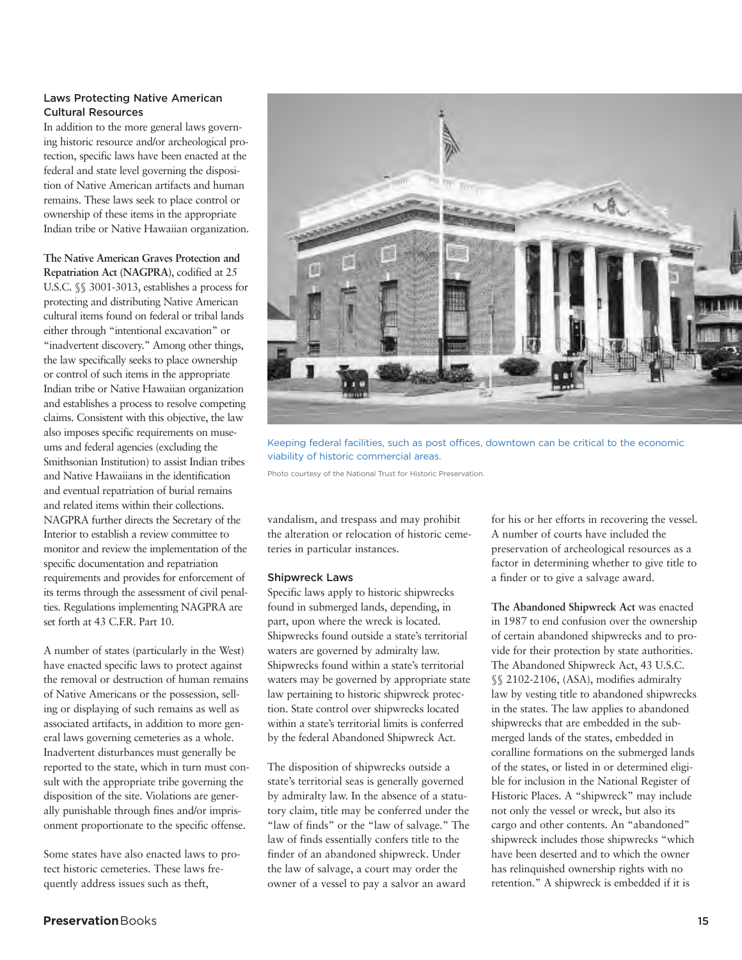## **Laws Protecting Native American Cultural Resources**

In addition to the more general laws governing historic resource and/or archeological protection, specific laws have been enacted at the federal and state level governing the disposition of Native American artifacts and human remains. These laws seek to place control or ownership of these items in the appropriate Indian tribe or Native Hawaiian organization.

**The Native American Graves Protection and Repatriation Act (NAGPRA)**, codified at 25 U.S.C. §§ 3001-3013, establishes a process for protecting and distributing Native American cultural items found on federal or tribal lands either through "intentional excavation" or "inadvertent discovery." Among other things, the law specifically seeks to place ownership or control of such items in the appropriate Indian tribe or Native Hawaiian organization and establishes a process to resolve competing claims. Consistent with this objective, the law also imposes specific requirements on museums and federal agencies (excluding the Smithsonian Institution) to assist Indian tribes and Native Hawaiians in the identification and eventual repatriation of burial remains and related items within their collections. NAGPRA further directs the Secretary of the Interior to establish a review committee to monitor and review the implementation of the specific documentation and repatriation requirements and provides for enforcement of its terms through the assessment of civil penalties. Regulations implementing NAGPRA are set forth at 43 C.F.R. Part 10.

A number of states (particularly in the West) have enacted specific laws to protect against the removal or destruction of human remains of Native Americans or the possession, selling or displaying of such remains as well as associated artifacts, in addition to more general laws governing cemeteries as a whole. Inadvertent disturbances must generally be reported to the state, which in turn must consult with the appropriate tribe governing the disposition of the site. Violations are generally punishable through fines and/or imprisonment proportionate to the specific offense.

Some states have also enacted laws to protect historic cemeteries. These laws frequently address issues such as theft,



Keeping federal facilities, such as post offices, downtown can be critical to the economic viability of historic commercial areas.

Photo courtesy of the National Trust for Historic Preservation.

vandalism, and trespass and may prohibit the alteration or relocation of historic cemeteries in particular instances.

#### **Shipwreck Laws**

Specific laws apply to historic shipwrecks found in submerged lands, depending, in part, upon where the wreck is located. Shipwrecks found outside a state's territorial waters are governed by admiralty law. Shipwrecks found within a state's territorial waters may be governed by appropriate state law pertaining to historic shipwreck protection. State control over shipwrecks located within a state's territorial limits is conferred by the federal Abandoned Shipwreck Act.

The disposition of shipwrecks outside a state's territorial seas is generally governed by admiralty law. In the absence of a statutory claim, title may be conferred under the "law of finds" or the "law of salvage." The law of finds essentially confers title to the finder of an abandoned shipwreck. Under the law of salvage, a court may order the owner of a vessel to pay a salvor an award

for his or her efforts in recovering the vessel. A number of courts have included the preservation of archeological resources as a factor in determining whether to give title to a finder or to give a salvage award.

**The Abandoned Shipwreck Act** was enacted in 1987 to end confusion over the ownership of certain abandoned shipwrecks and to provide for their protection by state authorities. The Abandoned Shipwreck Act, 43 U.S.C. §§ 2102-2106, (ASA), modifies admiralty law by vesting title to abandoned shipwrecks in the states. The law applies to abandoned shipwrecks that are embedded in the submerged lands of the states, embedded in coralline formations on the submerged lands of the states, or listed in or determined eligible for inclusion in the National Register of Historic Places. A "shipwreck" may include not only the vessel or wreck, but also its cargo and other contents. An "abandoned" shipwreck includes those shipwrecks "which have been deserted and to which the owner has relinquished ownership rights with no retention." A shipwreck is embedded if it is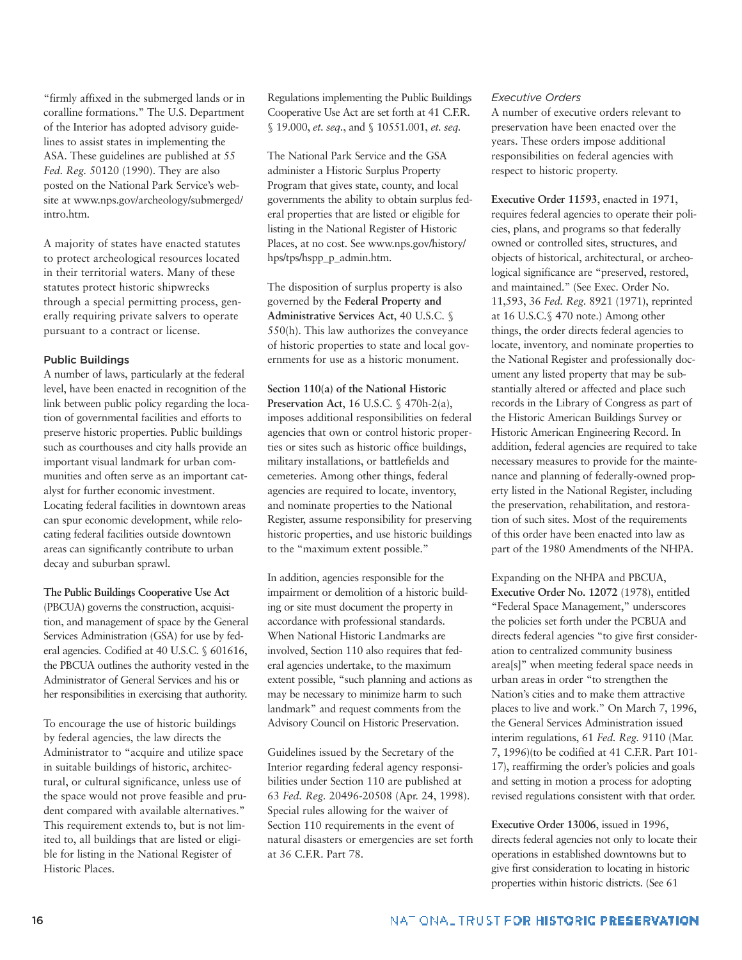"firmly affixed in the submerged lands or in coralline formations." The U.S. Department of the Interior has adopted advisory guidelines to assist states in implementing the ASA. These guidelines are published at 55 *Fed. Reg.* 50120 (1990). They are also posted on the National Park Service's website at www.nps.gov/archeology/submerged/ intro.htm.

A majority of states have enacted statutes to protect archeological resources located in their territorial waters. Many of these statutes protect historic shipwrecks through a special permitting process, generally requiring private salvers to operate pursuant to a contract or license.

## **Public Buildings**

A number of laws, particularly at the federal level, have been enacted in recognition of the link between public policy regarding the location of governmental facilities and efforts to preserve historic properties. Public buildings such as courthouses and city halls provide an important visual landmark for urban communities and often serve as an important catalyst for further economic investment. Locating federal facilities in downtown areas can spur economic development, while relocating federal facilities outside downtown areas can significantly contribute to urban decay and suburban sprawl.

**The Public Buildings Cooperative Use Act** (PBCUA) governs the construction, acquisition, and management of space by the General Services Administration (GSA) for use by federal agencies. Codified at 40 U.S.C. § 601616, the PBCUA outlines the authority vested in the Administrator of General Services and his or her responsibilities in exercising that authority.

To encourage the use of historic buildings by federal agencies, the law directs the Administrator to "acquire and utilize space in suitable buildings of historic, architectural, or cultural significance, unless use of the space would not prove feasible and prudent compared with available alternatives." This requirement extends to, but is not limited to, all buildings that are listed or eligible for listing in the National Register of Historic Places.

Regulations implementing the Public Buildings Cooperative Use Act are set forth at 41 C.F.R. § 19.000, *et. seq.*, and § 10551.001, *et. seq.*

The National Park Service and the GSA administer a Historic Surplus Property Program that gives state, county, and local governments the ability to obtain surplus federal properties that are listed or eligible for listing in the National Register of Historic Places, at no cost. See www.nps.gov/history/ hps/tps/hspp\_p\_admin.htm.

The disposition of surplus property is also governed by the **Federal Property and Administrative Services Act**, 40 U.S.C. § 550(h). This law authorizes the conveyance of historic properties to state and local governments for use as a historic monument.

**Section 110(a) of the National Historic Preservation Act**, 16 U.S.C. § 470h-2(a), imposes additional responsibilities on federal agencies that own or control historic properties or sites such as historic office buildings, military installations, or battlefields and cemeteries. Among other things, federal agencies are required to locate, inventory, and nominate properties to the National Register, assume responsibility for preserving historic properties, and use historic buildings to the "maximum extent possible."

In addition, agencies responsible for the impairment or demolition of a historic building or site must document the property in accordance with professional standards. When National Historic Landmarks are involved, Section 110 also requires that federal agencies undertake, to the maximum extent possible, "such planning and actions as may be necessary to minimize harm to such landmark" and request comments from the Advisory Council on Historic Preservation.

Guidelines issued by the Secretary of the Interior regarding federal agency responsibilities under Section 110 are published at 63 *Fed. Reg.* 20496-20508 (Apr. 24, 1998). Special rules allowing for the waiver of Section 110 requirements in the event of natural disasters or emergencies are set forth at 36 C.F.R. Part 78.

#### *Executive Orders*

A number of executive orders relevant to preservation have been enacted over the years. These orders impose additional responsibilities on federal agencies with respect to historic property.

**Executive Order 11593**, enacted in 1971, requires federal agencies to operate their policies, plans, and programs so that federally owned or controlled sites, structures, and objects of historical, architectural, or archeological significance are "preserved, restored, and maintained." (See Exec. Order No. 11,593, 36 *Fed. Reg.* 8921 (1971), reprinted at 16 U.S.C.§ 470 note.) Among other things, the order directs federal agencies to locate, inventory, and nominate properties to the National Register and professionally document any listed property that may be substantially altered or affected and place such records in the Library of Congress as part of the Historic American Buildings Survey or Historic American Engineering Record. In addition, federal agencies are required to take necessary measures to provide for the maintenance and planning of federally-owned property listed in the National Register, including the preservation, rehabilitation, and restoration of such sites. Most of the requirements of this order have been enacted into law as part of the 1980 Amendments of the NHPA.

Expanding on the NHPA and PBCUA, **Executive Order No. 12072** (1978), entitled "Federal Space Management," underscores the policies set forth under the PCBUA and directs federal agencies "to give first consideration to centralized community business area[s]" when meeting federal space needs in urban areas in order "to strengthen the Nation's cities and to make them attractive places to live and work." On March 7, 1996, the General Services Administration issued interim regulations, 61 *Fed. Reg.* 9110 (Mar. 7, 1996)(to be codified at 41 C.F.R. Part 101- 17), reaffirming the order's policies and goals and setting in motion a process for adopting revised regulations consistent with that order.

**Executive Order 13006**, issued in 1996, directs federal agencies not only to locate their operations in established downtowns but to give first consideration to locating in historic properties within historic districts. (See 61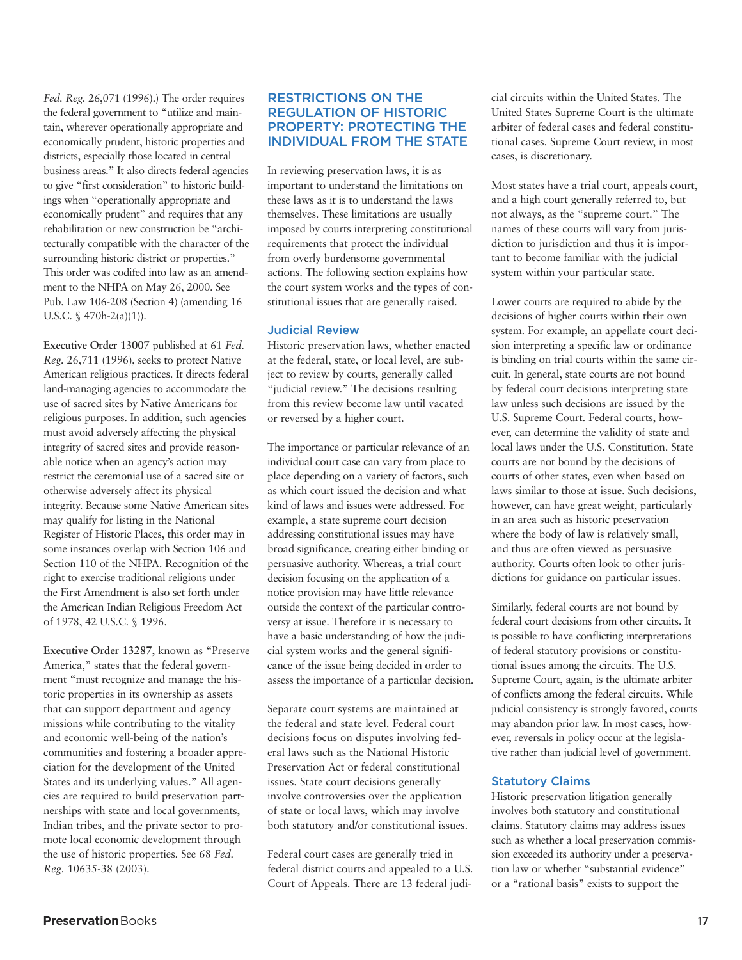*Fed. Reg.* 26,071 (1996).) The order requires the federal government to "utilize and maintain, wherever operationally appropriate and economically prudent, historic properties and districts, especially those located in central business areas." It also directs federal agencies to give "first consideration" to historic buildings when "operationally appropriate and economically prudent" and requires that any rehabilitation or new construction be "architecturally compatible with the character of the surrounding historic district or properties." This order was codifed into law as an amendment to the NHPA on May 26, 2000. See Pub. Law 106-208 (Section 4) (amending 16 U.S.C. § 470h-2(a)(1)).

**Executive Order 13007** published at 61 *Fed. Reg.* 26,711 (1996), seeks to protect Native American religious practices. It directs federal land-managing agencies to accommodate the use of sacred sites by Native Americans for religious purposes. In addition, such agencies must avoid adversely affecting the physical integrity of sacred sites and provide reasonable notice when an agency's action may restrict the ceremonial use of a sacred site or otherwise adversely affect its physical integrity. Because some Native American sites may qualify for listing in the National Register of Historic Places, this order may in some instances overlap with Section 106 and Section 110 of the NHPA. Recognition of the right to exercise traditional religions under the First Amendment is also set forth under the American Indian Religious Freedom Act of 1978, 42 U.S.C. § 1996.

**Executive Order 13287**, known as "Preserve America," states that the federal government "must recognize and manage the historic properties in its ownership as assets that can support department and agency missions while contributing to the vitality and economic well-being of the nation's communities and fostering a broader appreciation for the development of the United States and its underlying values." All agencies are required to build preservation partnerships with state and local governments, Indian tribes, and the private sector to promote local economic development through the use of historic properties. See 68 *Fed. Reg.* 10635-38 (2003).

## **RESTRICTIONS ON THE REGULATION OF HISTORIC PROPERTY: PROTECTING THE INDIVIDUAL FROM THE STATE**

In reviewing preservation laws, it is as important to understand the limitations on these laws as it is to understand the laws themselves. These limitations are usually imposed by courts interpreting constitutional requirements that protect the individual from overly burdensome governmental actions. The following section explains how the court system works and the types of constitutional issues that are generally raised.

#### **Judicial Review**

Historic preservation laws, whether enacted at the federal, state, or local level, are subject to review by courts, generally called "judicial review." The decisions resulting from this review become law until vacated or reversed by a higher court.

The importance or particular relevance of an individual court case can vary from place to place depending on a variety of factors, such as which court issued the decision and what kind of laws and issues were addressed. For example, a state supreme court decision addressing constitutional issues may have broad significance, creating either binding or persuasive authority. Whereas, a trial court decision focusing on the application of a notice provision may have little relevance outside the context of the particular controversy at issue. Therefore it is necessary to have a basic understanding of how the judicial system works and the general significance of the issue being decided in order to assess the importance of a particular decision.

Separate court systems are maintained at the federal and state level. Federal court decisions focus on disputes involving federal laws such as the National Historic Preservation Act or federal constitutional issues. State court decisions generally involve controversies over the application of state or local laws, which may involve both statutory and/or constitutional issues.

Federal court cases are generally tried in federal district courts and appealed to a U.S. Court of Appeals. There are 13 federal judicial circuits within the United States. The United States Supreme Court is the ultimate arbiter of federal cases and federal constitutional cases. Supreme Court review, in most cases, is discretionary.

Most states have a trial court, appeals court, and a high court generally referred to, but not always, as the "supreme court." The names of these courts will vary from jurisdiction to jurisdiction and thus it is important to become familiar with the judicial system within your particular state.

Lower courts are required to abide by the decisions of higher courts within their own system. For example, an appellate court decision interpreting a specific law or ordinance is binding on trial courts within the same circuit. In general, state courts are not bound by federal court decisions interpreting state law unless such decisions are issued by the U.S. Supreme Court. Federal courts, however, can determine the validity of state and local laws under the U.S. Constitution. State courts are not bound by the decisions of courts of other states, even when based on laws similar to those at issue. Such decisions, however, can have great weight, particularly in an area such as historic preservation where the body of law is relatively small, and thus are often viewed as persuasive authority. Courts often look to other jurisdictions for guidance on particular issues.

Similarly, federal courts are not bound by federal court decisions from other circuits. It is possible to have conflicting interpretations of federal statutory provisions or constitutional issues among the circuits. The U.S. Supreme Court, again, is the ultimate arbiter of conflicts among the federal circuits. While judicial consistency is strongly favored, courts may abandon prior law. In most cases, however, reversals in policy occur at the legislative rather than judicial level of government.

## **Statutory Claims**

Historic preservation litigation generally involves both statutory and constitutional claims. Statutory claims may address issues such as whether a local preservation commission exceeded its authority under a preservation law or whether "substantial evidence" or a "rational basis" exists to support the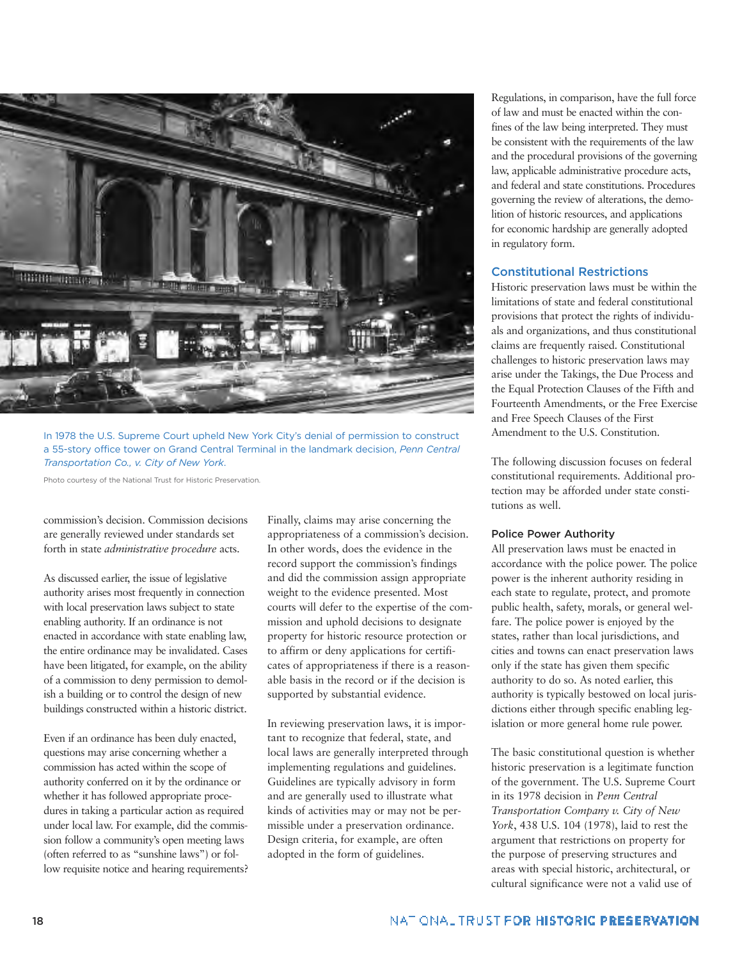

In 1978 the U.S. Supreme Court upheld New York City's denial of permission to construct a 55-story office tower on Grand Central Terminal in the landmark decision, *Penn Central Transportation Co., v. City of New York*.

Photo courtesy of the National Trust for Historic Preservation.

commission's decision. Commission decisions are generally reviewed under standards set forth in state *administrative procedure* acts.

As discussed earlier, the issue of legislative authority arises most frequently in connection with local preservation laws subject to state enabling authority. If an ordinance is not enacted in accordance with state enabling law, the entire ordinance may be invalidated. Cases have been litigated, for example, on the ability of a commission to deny permission to demolish a building or to control the design of new buildings constructed within a historic district.

Even if an ordinance has been duly enacted, questions may arise concerning whether a commission has acted within the scope of authority conferred on it by the ordinance or whether it has followed appropriate procedures in taking a particular action as required under local law. For example, did the commission follow a community's open meeting laws (often referred to as "sunshine laws") or follow requisite notice and hearing requirements? Finally, claims may arise concerning the appropriateness of a commission's decision. In other words, does the evidence in the record support the commission's findings and did the commission assign appropriate weight to the evidence presented. Most courts will defer to the expertise of the commission and uphold decisions to designate property for historic resource protection or to affirm or deny applications for certificates of appropriateness if there is a reasonable basis in the record or if the decision is supported by substantial evidence.

In reviewing preservation laws, it is important to recognize that federal, state, and local laws are generally interpreted through implementing regulations and guidelines. Guidelines are typically advisory in form and are generally used to illustrate what kinds of activities may or may not be permissible under a preservation ordinance. Design criteria, for example, are often adopted in the form of guidelines.

Regulations, in comparison, have the full force of law and must be enacted within the confines of the law being interpreted. They must be consistent with the requirements of the law and the procedural provisions of the governing law, applicable administrative procedure acts, and federal and state constitutions. Procedures governing the review of alterations, the demolition of historic resources, and applications for economic hardship are generally adopted in regulatory form.

#### **Constitutional Restrictions**

Historic preservation laws must be within the limitations of state and federal constitutional provisions that protect the rights of individuals and organizations, and thus constitutional claims are frequently raised. Constitutional challenges to historic preservation laws may arise under the Takings, the Due Process and the Equal Protection Clauses of the Fifth and Fourteenth Amendments, or the Free Exercise and Free Speech Clauses of the First Amendment to the U.S. Constitution.

The following discussion focuses on federal constitutional requirements. Additional protection may be afforded under state constitutions as well.

#### **Police Power Authority**

All preservation laws must be enacted in accordance with the police power. The police power is the inherent authority residing in each state to regulate, protect, and promote public health, safety, morals, or general welfare. The police power is enjoyed by the states, rather than local jurisdictions, and cities and towns can enact preservation laws only if the state has given them specific authority to do so. As noted earlier, this authority is typically bestowed on local jurisdictions either through specific enabling legislation or more general home rule power.

The basic constitutional question is whether historic preservation is a legitimate function of the government. The U.S. Supreme Court in its 1978 decision in *Penn Central Transportation Company v. City of New York*, 438 U.S. 104 (1978), laid to rest the argument that restrictions on property for the purpose of preserving structures and areas with special historic, architectural, or cultural significance were not a valid use of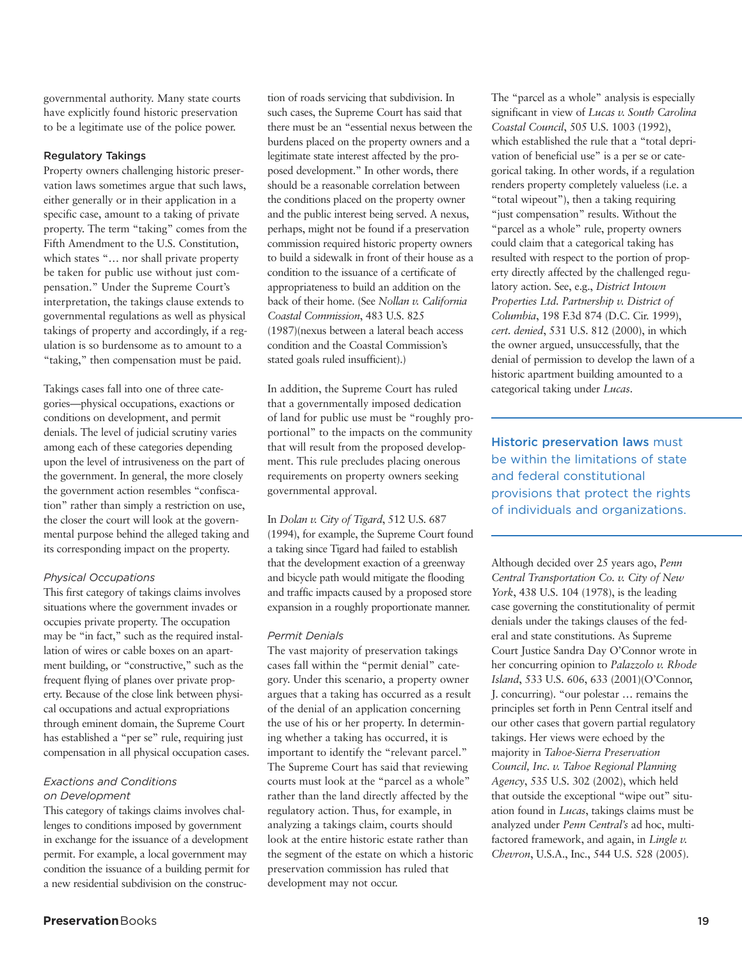governmental authority. Many state courts have explicitly found historic preservation to be a legitimate use of the police power.

#### **Regulatory Takings**

Property owners challenging historic preservation laws sometimes argue that such laws, either generally or in their application in a specific case, amount to a taking of private property. The term "taking" comes from the Fifth Amendment to the U.S. Constitution, which states "... nor shall private property be taken for public use without just compensation." Under the Supreme Court's interpretation, the takings clause extends to governmental regulations as well as physical takings of property and accordingly, if a regulation is so burdensome as to amount to a "taking," then compensation must be paid.

Takings cases fall into one of three categories—physical occupations, exactions or conditions on development, and permit denials. The level of judicial scrutiny varies among each of these categories depending upon the level of intrusiveness on the part of the government. In general, the more closely the government action resembles "confiscation" rather than simply a restriction on use, the closer the court will look at the governmental purpose behind the alleged taking and its corresponding impact on the property.

## *Physical Occupations*

This first category of takings claims involves situations where the government invades or occupies private property. The occupation may be "in fact," such as the required installation of wires or cable boxes on an apartment building, or "constructive," such as the frequent flying of planes over private property. Because of the close link between physical occupations and actual expropriations through eminent domain, the Supreme Court has established a "per se" rule, requiring just compensation in all physical occupation cases.

## *Exactions and Conditions on Development*

This category of takings claims involves challenges to conditions imposed by government in exchange for the issuance of a development permit. For example, a local government may condition the issuance of a building permit for a new residential subdivision on the construction of roads servicing that subdivision. In such cases, the Supreme Court has said that there must be an "essential nexus between the burdens placed on the property owners and a legitimate state interest affected by the proposed development." In other words, there should be a reasonable correlation between the conditions placed on the property owner and the public interest being served. A nexus, perhaps, might not be found if a preservation commission required historic property owners to build a sidewalk in front of their house as a condition to the issuance of a certificate of appropriateness to build an addition on the back of their home. (See *Nollan v. California Coastal Commission*, 483 U.S. 825 (1987)(nexus between a lateral beach access condition and the Coastal Commission's stated goals ruled insufficient).)

In addition, the Supreme Court has ruled that a governmentally imposed dedication of land for public use must be "roughly proportional" to the impacts on the community that will result from the proposed development. This rule precludes placing onerous requirements on property owners seeking governmental approval.

## In *Dolan v. City of Tigard*, 512 U.S. 687

(1994), for example, the Supreme Court found a taking since Tigard had failed to establish that the development exaction of a greenway and bicycle path would mitigate the flooding and traffic impacts caused by a proposed store expansion in a roughly proportionate manner.

## *Permit Denials*

The vast majority of preservation takings cases fall within the "permit denial" category. Under this scenario, a property owner argues that a taking has occurred as a result of the denial of an application concerning the use of his or her property. In determining whether a taking has occurred, it is important to identify the "relevant parcel." The Supreme Court has said that reviewing courts must look at the "parcel as a whole" rather than the land directly affected by the regulatory action. Thus, for example, in analyzing a takings claim, courts should look at the entire historic estate rather than the segment of the estate on which a historic preservation commission has ruled that development may not occur.

The "parcel as a whole" analysis is especially significant in view of *Lucas v. South Carolina Coastal Council*, 505 U.S. 1003 (1992), which established the rule that a "total deprivation of beneficial use" is a per se or categorical taking. In other words, if a regulation renders property completely valueless (i.e. a "total wipeout"), then a taking requiring "just compensation" results. Without the "parcel as a whole" rule, property owners could claim that a categorical taking has resulted with respect to the portion of property directly affected by the challenged regulatory action. See, e.g., *District Intown Properties Ltd. Partnership v. District of Columbia*, 198 F.3d 874 (D.C. Cir. 1999), *cert. denied*, 531 U.S. 812 (2000), in which the owner argued, unsuccessfully, that the denial of permission to develop the lawn of a historic apartment building amounted to a categorical taking under *Lucas*.

**Historic preservation laws** must be within the limitations of state and federal constitutional provisions that protect the rights of individuals and organizations.

Although decided over 25 years ago, *Penn Central Transportation Co. v. City of New York*, 438 U.S. 104 (1978), is the leading case governing the constitutionality of permit denials under the takings clauses of the federal and state constitutions. As Supreme Court Justice Sandra Day O'Connor wrote in her concurring opinion to *Palazzolo v. Rhode Island*, 533 U.S. 606, 633 (2001)(O'Connor, J. concurring). "our polestar … remains the principles set forth in Penn Central itself and our other cases that govern partial regulatory takings. Her views were echoed by the majority in *Tahoe-Sierra Preservation Council, Inc. v. Tahoe Regional Planning Agency*, 535 U.S. 302 (2002), which held that outside the exceptional "wipe out" situation found in *Lucas*, takings claims must be analyzed under *Penn Central's* ad hoc, multifactored framework, and again, in *Lingle v. Chevron*, U.S.A., Inc., 544 U.S. 528 (2005).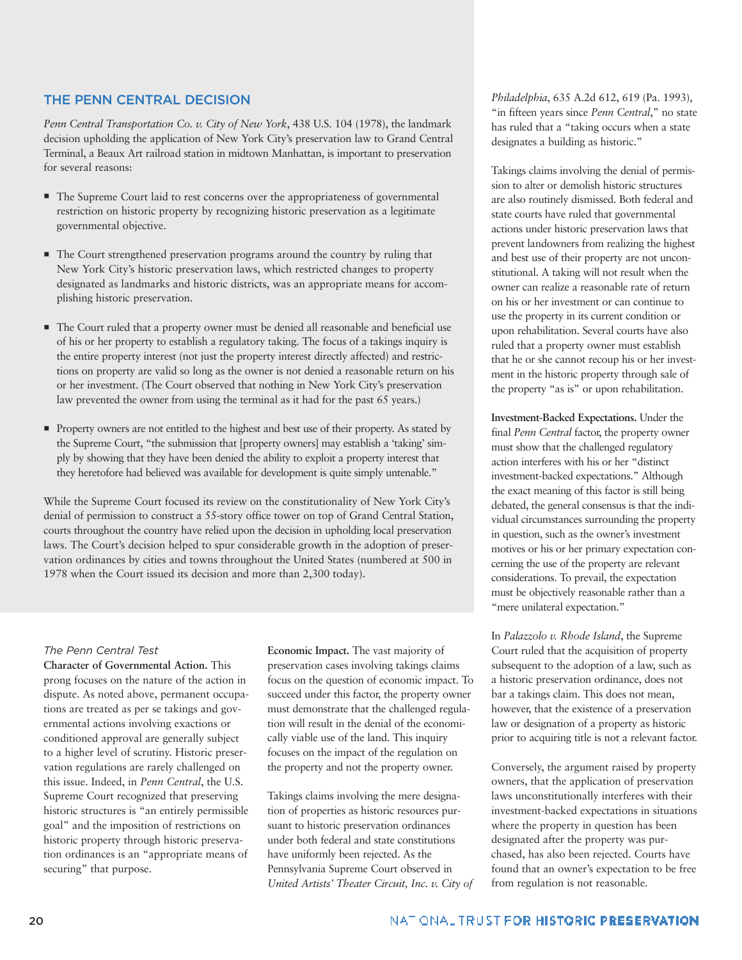## **THE PENN CENTRAL DECISION**

*Penn Central Transportation Co. v. City of New York*, 438 U.S. 104 (1978), the landmark decision upholding the application of New York City's preservation law to Grand Central Terminal, a Beaux Art railroad station in midtown Manhattan, is important to preservation for several reasons:

- $\blacksquare$  The Supreme Court laid to rest concerns over the appropriateness of governmental restriction on historic property by recognizing historic preservation as a legitimate governmental objective.
- $\blacksquare$  The Court strengthened preservation programs around the country by ruling that New York City's historic preservation laws, which restricted changes to property designated as landmarks and historic districts, was an appropriate means for accomplishing historic preservation.
- The Court ruled that a property owner must be denied all reasonable and beneficial use of his or her property to establish a regulatory taking. The focus of a takings inquiry is the entire property interest (not just the property interest directly affected) and restrictions on property are valid so long as the owner is not denied a reasonable return on his or her investment. (The Court observed that nothing in New York City's preservation law prevented the owner from using the terminal as it had for the past 65 years.)
- **Property owners are not entitled to the highest and best use of their property. As stated by** the Supreme Court, "the submission that [property owners] may establish a 'taking' simply by showing that they have been denied the ability to exploit a property interest that they heretofore had believed was available for development is quite simply untenable."

While the Supreme Court focused its review on the constitutionality of New York City's denial of permission to construct a 55-story office tower on top of Grand Central Station, courts throughout the country have relied upon the decision in upholding local preservation laws. The Court's decision helped to spur considerable growth in the adoption of preservation ordinances by cities and towns throughout the United States (numbered at 500 in 1978 when the Court issued its decision and more than 2,300 today).

## *The Penn Central Test*

**Character of Governmental Action.** This prong focuses on the nature of the action in dispute. As noted above, permanent occupations are treated as per se takings and governmental actions involving exactions or conditioned approval are generally subject to a higher level of scrutiny. Historic preservation regulations are rarely challenged on this issue. Indeed, in *Penn Central*, the U.S. Supreme Court recognized that preserving historic structures is "an entirely permissible goal" and the imposition of restrictions on historic property through historic preservation ordinances is an "appropriate means of securing" that purpose.

**Economic Impact.** The vast majority of preservation cases involving takings claims focus on the question of economic impact. To succeed under this factor, the property owner must demonstrate that the challenged regulation will result in the denial of the economically viable use of the land. This inquiry focuses on the impact of the regulation on the property and not the property owner.

Takings claims involving the mere designation of properties as historic resources pursuant to historic preservation ordinances under both federal and state constitutions have uniformly been rejected. As the Pennsylvania Supreme Court observed in *United Artists' Theater Circuit, Inc. v. City of* *Philadelphia*, 635 A.2d 612, 619 (Pa. 1993), "in fifteen years since *Penn Central*," no state has ruled that a "taking occurs when a state designates a building as historic."

Takings claims involving the denial of permission to alter or demolish historic structures are also routinely dismissed. Both federal and state courts have ruled that governmental actions under historic preservation laws that prevent landowners from realizing the highest and best use of their property are not unconstitutional. A taking will not result when the owner can realize a reasonable rate of return on his or her investment or can continue to use the property in its current condition or upon rehabilitation. Several courts have also ruled that a property owner must establish that he or she cannot recoup his or her investment in the historic property through sale of the property "as is" or upon rehabilitation.

**Investment-Backed Expectations.** Under the final *Penn Central* factor, the property owner must show that the challenged regulatory action interferes with his or her "distinct investment-backed expectations." Although the exact meaning of this factor is still being debated, the general consensus is that the individual circumstances surrounding the property in question, such as the owner's investment motives or his or her primary expectation concerning the use of the property are relevant considerations. To prevail, the expectation must be objectively reasonable rather than a "mere unilateral expectation."

In *Palazzolo v. Rhode Island*, the Supreme Court ruled that the acquisition of property subsequent to the adoption of a law, such as a historic preservation ordinance, does not bar a takings claim. This does not mean, however, that the existence of a preservation law or designation of a property as historic prior to acquiring title is not a relevant factor.

Conversely, the argument raised by property owners, that the application of preservation laws unconstitutionally interferes with their investment-backed expectations in situations where the property in question has been designated after the property was purchased, has also been rejected. Courts have found that an owner's expectation to be free from regulation is not reasonable.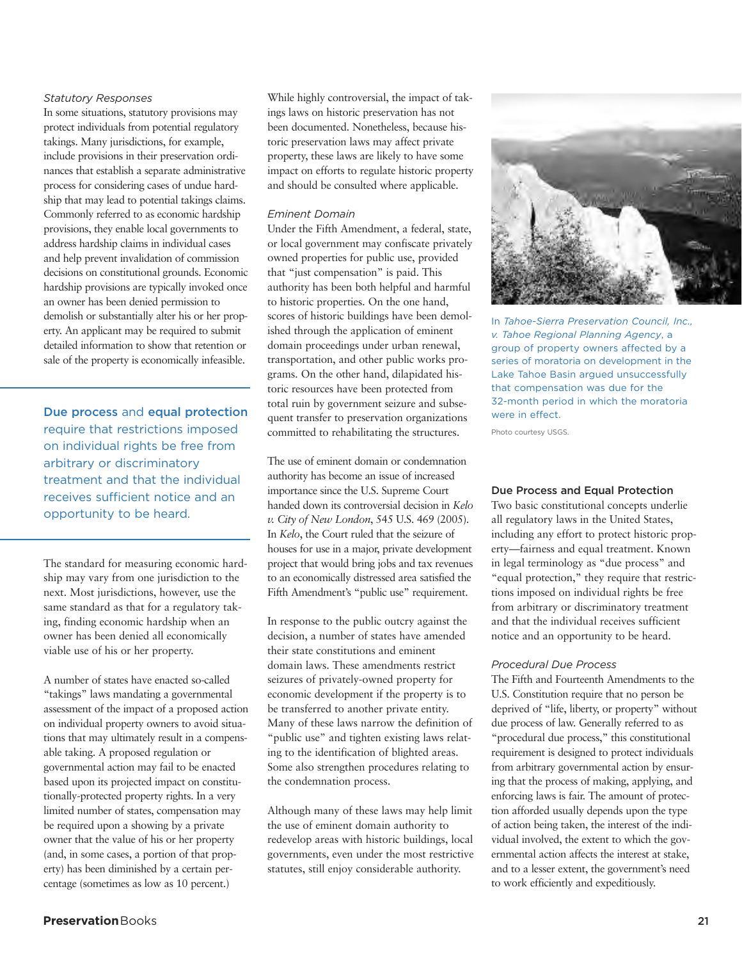#### *Statutory Responses*

In some situations, statutory provisions may protect individuals from potential regulatory takings. Many jurisdictions, for example, include provisions in their preservation ordinances that establish a separate administrative process for considering cases of undue hardship that may lead to potential takings claims. Commonly referred to as economic hardship provisions, they enable local governments to address hardship claims in individual cases and help prevent invalidation of commission decisions on constitutional grounds. Economic hardship provisions are typically invoked once an owner has been denied permission to demolish or substantially alter his or her property. An applicant may be required to submit detailed information to show that retention or sale of the property is economically infeasible.

**Due process** and **equal protection** require that restrictions imposed on individual rights be free from arbitrary or discriminatory treatment and that the individual receives sufficient notice and an opportunity to be heard.

The standard for measuring economic hardship may vary from one jurisdiction to the next. Most jurisdictions, however, use the same standard as that for a regulatory taking, finding economic hardship when an owner has been denied all economically viable use of his or her property.

A number of states have enacted so-called "takings" laws mandating a governmental assessment of the impact of a proposed action on individual property owners to avoid situations that may ultimately result in a compensable taking. A proposed regulation or governmental action may fail to be enacted based upon its projected impact on constitutionally-protected property rights. In a very limited number of states, compensation may be required upon a showing by a private owner that the value of his or her property (and, in some cases, a portion of that property) has been diminished by a certain percentage (sometimes as low as 10 percent.)

While highly controversial, the impact of takings laws on historic preservation has not been documented. Nonetheless, because historic preservation laws may affect private property, these laws are likely to have some impact on efforts to regulate historic property and should be consulted where applicable.

#### *Eminent Domain*

Under the Fifth Amendment, a federal, state, or local government may confiscate privately owned properties for public use, provided that "just compensation" is paid. This authority has been both helpful and harmful to historic properties. On the one hand, scores of historic buildings have been demolished through the application of eminent domain proceedings under urban renewal, transportation, and other public works programs. On the other hand, dilapidated historic resources have been protected from total ruin by government seizure and subsequent transfer to preservation organizations committed to rehabilitating the structures.

The use of eminent domain or condemnation authority has become an issue of increased importance since the U.S. Supreme Court handed down its controversial decision in *Kelo v. City of New London*, 545 U.S. 469 (2005). In *Kelo*, the Court ruled that the seizure of houses for use in a major, private development project that would bring jobs and tax revenues to an economically distressed area satisfied the Fifth Amendment's "public use" requirement.

In response to the public outcry against the decision, a number of states have amended their state constitutions and eminent domain laws. These amendments restrict seizures of privately-owned property for economic development if the property is to be transferred to another private entity. Many of these laws narrow the definition of "public use" and tighten existing laws relating to the identification of blighted areas. Some also strengthen procedures relating to the condemnation process.

Although many of these laws may help limit the use of eminent domain authority to redevelop areas with historic buildings, local governments, even under the most restrictive statutes, still enjoy considerable authority.



In *Tahoe-Sierra Preservation Council, Inc., v. Tahoe Regional Planning Agency*, a group of property owners affected by a series of moratoria on development in the Lake Tahoe Basin argued unsuccessfully that compensation was due for the 32-month period in which the moratoria were in effect.

Photo courtesy USGS.

#### **Due Process and Equal Protection**

Two basic constitutional concepts underlie all regulatory laws in the United States, including any effort to protect historic property—fairness and equal treatment. Known in legal terminology as "due process" and "equal protection," they require that restrictions imposed on individual rights be free from arbitrary or discriminatory treatment and that the individual receives sufficient notice and an opportunity to be heard.

#### *Procedural Due Process*

The Fifth and Fourteenth Amendments to the U.S. Constitution require that no person be deprived of "life, liberty, or property" without due process of law. Generally referred to as "procedural due process," this constitutional requirement is designed to protect individuals from arbitrary governmental action by ensuring that the process of making, applying, and enforcing laws is fair. The amount of protection afforded usually depends upon the type of action being taken, the interest of the individual involved, the extent to which the governmental action affects the interest at stake, and to a lesser extent, the government's need to work efficiently and expeditiously.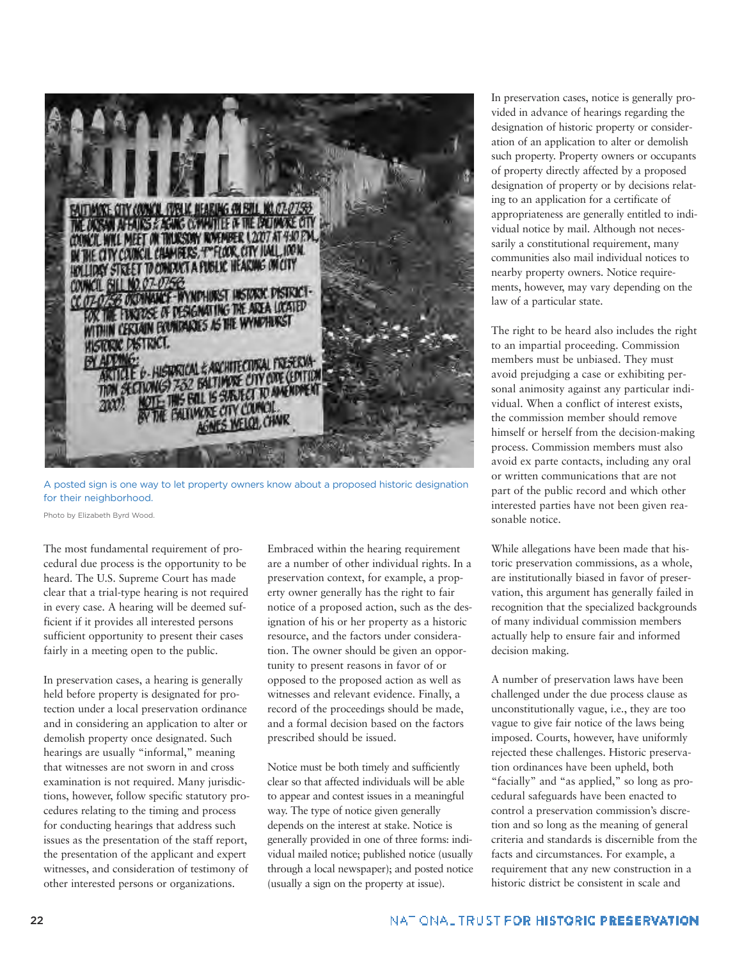

A posted sign is one way to let property owners know about a proposed historic designation for their neighborhood.

Photo by Elizabeth Byrd Wood.

The most fundamental requirement of procedural due process is the opportunity to be heard. The U.S. Supreme Court has made clear that a trial-type hearing is not required in every case. A hearing will be deemed sufficient if it provides all interested persons sufficient opportunity to present their cases fairly in a meeting open to the public.

In preservation cases, a hearing is generally held before property is designated for protection under a local preservation ordinance and in considering an application to alter or demolish property once designated. Such hearings are usually "informal," meaning that witnesses are not sworn in and cross examination is not required. Many jurisdictions, however, follow specific statutory procedures relating to the timing and process for conducting hearings that address such issues as the presentation of the staff report, the presentation of the applicant and expert witnesses, and consideration of testimony of other interested persons or organizations.

Embraced within the hearing requirement are a number of other individual rights. In a preservation context, for example, a property owner generally has the right to fair notice of a proposed action, such as the designation of his or her property as a historic resource, and the factors under consideration. The owner should be given an opportunity to present reasons in favor of or opposed to the proposed action as well as witnesses and relevant evidence. Finally, a record of the proceedings should be made, and a formal decision based on the factors prescribed should be issued.

Notice must be both timely and sufficiently clear so that affected individuals will be able to appear and contest issues in a meaningful way. The type of notice given generally depends on the interest at stake. Notice is generally provided in one of three forms: individual mailed notice; published notice (usually through a local newspaper); and posted notice (usually a sign on the property at issue).

In preservation cases, notice is generally provided in advance of hearings regarding the designation of historic property or consideration of an application to alter or demolish such property. Property owners or occupants of property directly affected by a proposed designation of property or by decisions relating to an application for a certificate of appropriateness are generally entitled to individual notice by mail. Although not necessarily a constitutional requirement, many communities also mail individual notices to nearby property owners. Notice requirements, however, may vary depending on the law of a particular state.

The right to be heard also includes the right to an impartial proceeding. Commission members must be unbiased. They must avoid prejudging a case or exhibiting personal animosity against any particular individual. When a conflict of interest exists, the commission member should remove himself or herself from the decision-making process. Commission members must also avoid ex parte contacts, including any oral or written communications that are not part of the public record and which other interested parties have not been given reasonable notice.

While allegations have been made that historic preservation commissions, as a whole, are institutionally biased in favor of preservation, this argument has generally failed in recognition that the specialized backgrounds of many individual commission members actually help to ensure fair and informed decision making.

A number of preservation laws have been challenged under the due process clause as unconstitutionally vague, i.e., they are too vague to give fair notice of the laws being imposed. Courts, however, have uniformly rejected these challenges. Historic preservation ordinances have been upheld, both "facially" and "as applied," so long as procedural safeguards have been enacted to control a preservation commission's discretion and so long as the meaning of general criteria and standards is discernible from the facts and circumstances. For example, a requirement that any new construction in a historic district be consistent in scale and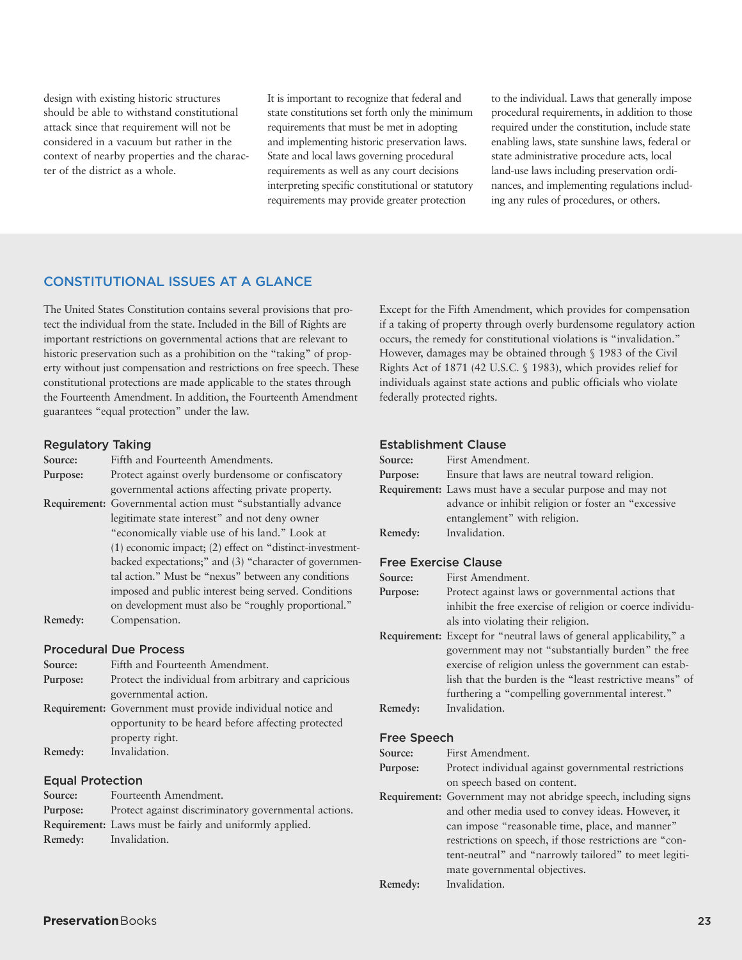design with existing historic structures should be able to withstand constitutional attack since that requirement will not be considered in a vacuum but rather in the context of nearby properties and the character of the district as a whole.

It is important to recognize that federal and state constitutions set forth only the minimum requirements that must be met in adopting and implementing historic preservation laws. State and local laws governing procedural requirements as well as any court decisions interpreting specific constitutional or statutory requirements may provide greater protection

to the individual. Laws that generally impose procedural requirements, in addition to those required under the constitution, include state enabling laws, state sunshine laws, federal or state administrative procedure acts, local land-use laws including preservation ordinances, and implementing regulations including any rules of procedures, or others.

## **CONSTITUTIONAL ISSUES AT A GLANCE**

The United States Constitution contains several provisions that protect the individual from the state. Included in the Bill of Rights are important restrictions on governmental actions that are relevant to historic preservation such as a prohibition on the "taking" of property without just compensation and restrictions on free speech. These constitutional protections are made applicable to the states through the Fourteenth Amendment. In addition, the Fourteenth Amendment guarantees "equal protection" under the law.

#### **Regulatory Taking**

| Source:  | Fifth and Fourteenth Amendments.                              |  |  |
|----------|---------------------------------------------------------------|--|--|
| Purpose: | Protect against overly burdensome or confiscatory             |  |  |
|          | governmental actions affecting private property.              |  |  |
|          | Requirement: Governmental action must "substantially advance" |  |  |
|          | legitimate state interest" and not deny owner                 |  |  |
|          | "economically viable use of his land." Look at                |  |  |
|          | (1) economic impact; (2) effect on "distinct-investment-      |  |  |
|          | backed expectations;" and (3) "character of governmen-        |  |  |
|          | tal action." Must be "nexus" between any conditions           |  |  |
|          | imposed and public interest being served. Conditions          |  |  |
|          | on development must also be "roughly proportional."           |  |  |
| Remedy:  | Compensation.                                                 |  |  |

## **Procedural Due Process**

| Source:  | Fifth and Fourteenth Amendment.                            |  |
|----------|------------------------------------------------------------|--|
| Purpose: | Protect the individual from arbitrary and capricious       |  |
|          | governmental action.                                       |  |
|          | Requirement: Government must provide individual notice and |  |
|          | opportunity to be heard before affecting protected         |  |
|          | property right.                                            |  |
| Remedy:  | Invalidation.                                              |  |
|          |                                                            |  |

## **Equal Protection**

| Source:  | Fourteenth Amendment.                                          |
|----------|----------------------------------------------------------------|
| Purpose: | Protect against discriminatory governmental actions.           |
|          | <b>Requirement:</b> Laws must be fairly and uniformly applied. |
| Remedy:  | Invalidation.                                                  |
|          |                                                                |

Except for the Fifth Amendment, which provides for compensation if a taking of property through overly burdensome regulatory action occurs, the remedy for constitutional violations is "invalidation." However, damages may be obtained through § 1983 of the Civil Rights Act of 1871 (42 U.S.C. § 1983), which provides relief for individuals against state actions and public officials who violate federally protected rights.

## **Establishment Clause**

| Source:  | First Amendment.                                          |  |
|----------|-----------------------------------------------------------|--|
| Purpose: | Ensure that laws are neutral toward religion.             |  |
|          | Requirement: Laws must have a secular purpose and may not |  |
|          | advance or inhibit religion or foster an "excessive       |  |
|          | entanglement" with religion.                              |  |
| Remedy:  | Invalidation.                                             |  |
|          |                                                           |  |

## **Free Exercise Clause**

| Source:  | First Amendment.                                                   |  |
|----------|--------------------------------------------------------------------|--|
| Purpose: | Protect against laws or governmental actions that                  |  |
|          | inhibit the free exercise of religion or coerce individu-          |  |
|          | als into violating their religion.                                 |  |
|          | Requirement: Except for "neutral laws of general applicability," a |  |
|          | government may not "substantially burden" the free                 |  |
|          | exercise of religion unless the government can estab-              |  |
|          | lish that the burden is the "least restrictive means" of           |  |
|          | furthering a "compelling governmental interest."                   |  |
| Remedy:  | Invalidation.                                                      |  |
|          |                                                                    |  |

#### **Free Speech**

**Source:** First Amendment.

- **Purpose:** Protect individual against governmental restrictions on speech based on content.
- **Requirement:** Government may not abridge speech, including signs and other media used to convey ideas. However, it can impose "reasonable time, place, and manner" restrictions on speech, if those restrictions are "content-neutral" and "narrowly tailored" to meet legitimate governmental objectives.

**Remedy:** Invalidation.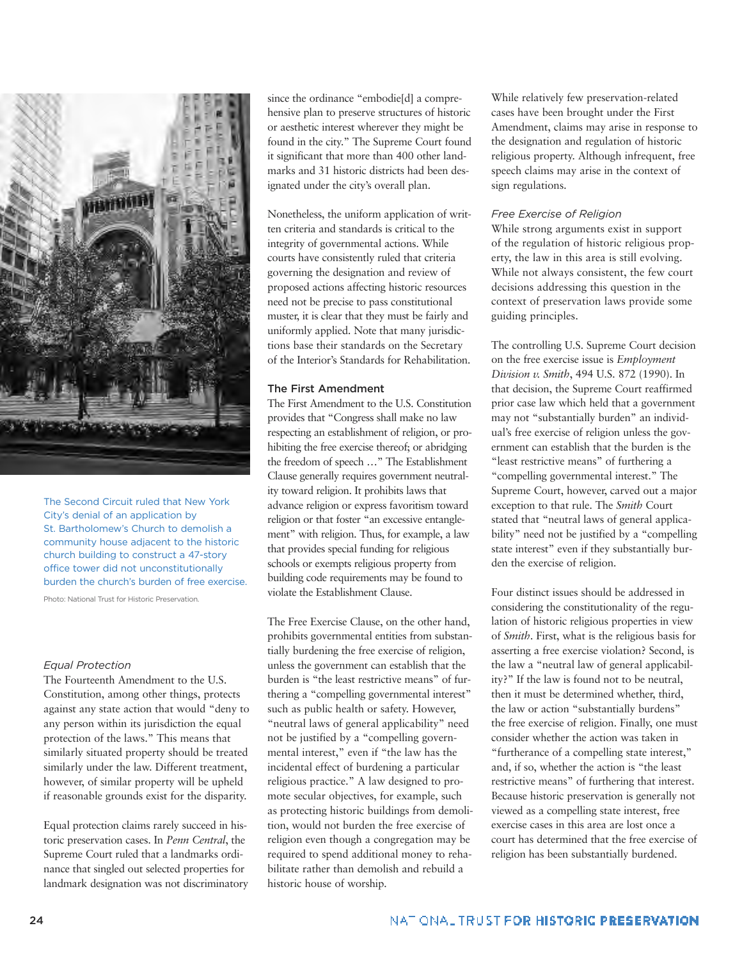

The Second Circuit ruled that New York City's denial of an application by St. Bartholomew's Church to demolish a community house adjacent to the historic church building to construct a 47-story office tower did not unconstitutionally burden the church's burden of free exercise.

Photo: National Trust for Historic Preservation.

#### *Equal Protection*

The Fourteenth Amendment to the U.S. Constitution, among other things, protects against any state action that would "deny to any person within its jurisdiction the equal protection of the laws." This means that similarly situated property should be treated similarly under the law. Different treatment, however, of similar property will be upheld if reasonable grounds exist for the disparity.

Equal protection claims rarely succeed in historic preservation cases. In *Penn Central*, the Supreme Court ruled that a landmarks ordinance that singled out selected properties for landmark designation was not discriminatory since the ordinance "embodie[d] a comprehensive plan to preserve structures of historic or aesthetic interest wherever they might be found in the city." The Supreme Court found it significant that more than 400 other landmarks and 31 historic districts had been designated under the city's overall plan.

Nonetheless, the uniform application of written criteria and standards is critical to the integrity of governmental actions. While courts have consistently ruled that criteria governing the designation and review of proposed actions affecting historic resources need not be precise to pass constitutional muster, it is clear that they must be fairly and uniformly applied. Note that many jurisdictions base their standards on the Secretary of the Interior's Standards for Rehabilitation.

#### **The First Amendment**

The First Amendment to the U.S. Constitution provides that "Congress shall make no law respecting an establishment of religion, or prohibiting the free exercise thereof; or abridging the freedom of speech …" The Establishment Clause generally requires government neutrality toward religion. It prohibits laws that advance religion or express favoritism toward religion or that foster "an excessive entanglement" with religion. Thus, for example, a law that provides special funding for religious schools or exempts religious property from building code requirements may be found to violate the Establishment Clause.

The Free Exercise Clause, on the other hand, prohibits governmental entities from substantially burdening the free exercise of religion, unless the government can establish that the burden is "the least restrictive means" of furthering a "compelling governmental interest" such as public health or safety. However, "neutral laws of general applicability" need not be justified by a "compelling governmental interest," even if "the law has the incidental effect of burdening a particular religious practice." A law designed to promote secular objectives, for example, such as protecting historic buildings from demolition, would not burden the free exercise of religion even though a congregation may be required to spend additional money to rehabilitate rather than demolish and rebuild a historic house of worship.

While relatively few preservation-related cases have been brought under the First Amendment, claims may arise in response to the designation and regulation of historic religious property. Although infrequent, free speech claims may arise in the context of sign regulations.

#### *Free Exercise of Religion*

While strong arguments exist in support of the regulation of historic religious property, the law in this area is still evolving. While not always consistent, the few court decisions addressing this question in the context of preservation laws provide some guiding principles.

The controlling U.S. Supreme Court decision on the free exercise issue is *Employment Division v. Smith*, 494 U.S. 872 (1990). In that decision, the Supreme Court reaffirmed prior case law which held that a government may not "substantially burden" an individual's free exercise of religion unless the government can establish that the burden is the "least restrictive means" of furthering a "compelling governmental interest." The Supreme Court, however, carved out a major exception to that rule. The *Smith* Court stated that "neutral laws of general applicability" need not be justified by a "compelling state interest" even if they substantially burden the exercise of religion.

Four distinct issues should be addressed in considering the constitutionality of the regulation of historic religious properties in view of *Smith*. First, what is the religious basis for asserting a free exercise violation? Second, is the law a "neutral law of general applicability?" If the law is found not to be neutral, then it must be determined whether, third, the law or action "substantially burdens" the free exercise of religion. Finally, one must consider whether the action was taken in "furtherance of a compelling state interest," and, if so, whether the action is "the least restrictive means" of furthering that interest. Because historic preservation is generally not viewed as a compelling state interest, free exercise cases in this area are lost once a court has determined that the free exercise of religion has been substantially burdened.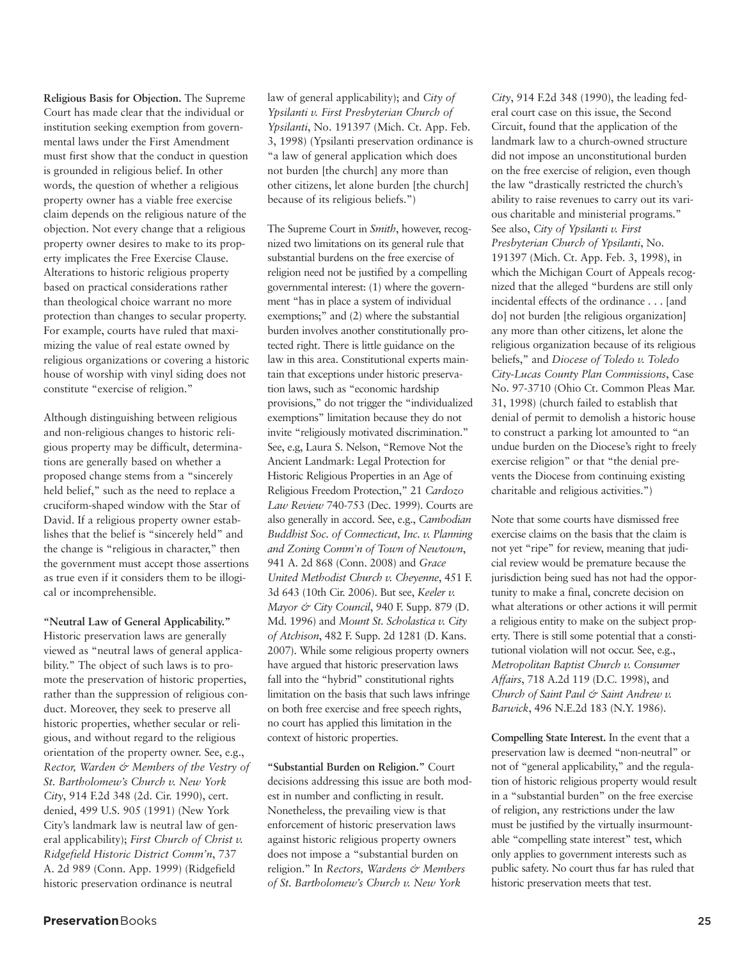**Religious Basis for Objection.** The Supreme Court has made clear that the individual or institution seeking exemption from governmental laws under the First Amendment must first show that the conduct in question is grounded in religious belief. In other words, the question of whether a religious property owner has a viable free exercise claim depends on the religious nature of the objection. Not every change that a religious property owner desires to make to its property implicates the Free Exercise Clause. Alterations to historic religious property based on practical considerations rather than theological choice warrant no more protection than changes to secular property. For example, courts have ruled that maximizing the value of real estate owned by religious organizations or covering a historic house of worship with vinyl siding does not constitute "exercise of religion."

Although distinguishing between religious and non-religious changes to historic religious property may be difficult, determinations are generally based on whether a proposed change stems from a "sincerely held belief," such as the need to replace a cruciform-shaped window with the Star of David. If a religious property owner establishes that the belief is "sincerely held" and the change is "religious in character," then the government must accept those assertions as true even if it considers them to be illogical or incomprehensible.

**"Neutral Law of General Applicability."** Historic preservation laws are generally viewed as "neutral laws of general applicability." The object of such laws is to promote the preservation of historic properties, rather than the suppression of religious conduct. Moreover, they seek to preserve all historic properties, whether secular or religious, and without regard to the religious orientation of the property owner. See, e.g., *Rector, Warden & Members of the Vestry of St. Bartholomew's Church v. New York City*, 914 F.2d 348 (2d. Cir. 1990), cert. denied, 499 U.S. 905 (1991) (New York City's landmark law is neutral law of general applicability); *First Church of Christ v. Ridgefield Historic District Comm'n*, 737 A. 2d 989 (Conn. App. 1999) (Ridgefield historic preservation ordinance is neutral

law of general applicability); and *City of Ypsilanti v. First Presbyterian Church of Ypsilanti*, No. 191397 (Mich. Ct. App. Feb. 3, 1998) (Ypsilanti preservation ordinance is "a law of general application which does not burden [the church] any more than other citizens, let alone burden [the church] because of its religious beliefs.")

The Supreme Court in *Smith*, however, recognized two limitations on its general rule that substantial burdens on the free exercise of religion need not be justified by a compelling governmental interest: (1) where the government "has in place a system of individual exemptions;" and (2) where the substantial burden involves another constitutionally protected right. There is little guidance on the law in this area. Constitutional experts maintain that exceptions under historic preservation laws, such as "economic hardship provisions," do not trigger the "individualized exemptions" limitation because they do not invite "religiously motivated discrimination." See, e.g, Laura S. Nelson, "Remove Not the Ancient Landmark: Legal Protection for Historic Religious Properties in an Age of Religious Freedom Protection," 21 *Cardozo Law Review* 740-753 (Dec. 1999). Courts are also generally in accord. See, e.g., *Cambodian Buddhist Soc. of Connecticut, Inc. v. Planning and Zoning Comm'n of Town of Newtown*, 941 A. 2d 868 (Conn. 2008) and *Grace United Methodist Church v. Cheyenne*, 451 F. 3d 643 (10th Cir. 2006). But see, *Keeler v. Mayor & City Council*, 940 F. Supp. 879 (D. Md. 1996) and *Mount St. Scholastica v. City of Atchison*, 482 F. Supp. 2d 1281 (D. Kans. 2007). While some religious property owners have argued that historic preservation laws fall into the "hybrid" constitutional rights limitation on the basis that such laws infringe on both free exercise and free speech rights, no court has applied this limitation in the context of historic properties.

**"Substantial Burden on Religion."** Court decisions addressing this issue are both modest in number and conflicting in result. Nonetheless, the prevailing view is that enforcement of historic preservation laws against historic religious property owners does not impose a "substantial burden on religion." In *Rectors, Wardens & Members of St. Bartholomew's Church v. New York*

*City*, 914 F.2d 348 (1990), the leading federal court case on this issue, the Second Circuit, found that the application of the landmark law to a church-owned structure did not impose an unconstitutional burden on the free exercise of religion, even though the law "drastically restricted the church's ability to raise revenues to carry out its various charitable and ministerial programs." See also, *City of Ypsilanti v. First Presbyterian Church of Ypsilanti*, No. 191397 (Mich. Ct. App. Feb. 3, 1998), in which the Michigan Court of Appeals recognized that the alleged "burdens are still only incidental effects of the ordinance . . . [and do] not burden [the religious organization] any more than other citizens, let alone the religious organization because of its religious beliefs," and *Diocese of Toledo v. Toledo City-Lucas County Plan Commissions*, Case No. 97-3710 (Ohio Ct. Common Pleas Mar. 31, 1998) (church failed to establish that denial of permit to demolish a historic house to construct a parking lot amounted to "an undue burden on the Diocese's right to freely exercise religion" or that "the denial prevents the Diocese from continuing existing charitable and religious activities.")

Note that some courts have dismissed free exercise claims on the basis that the claim is not yet "ripe" for review, meaning that judicial review would be premature because the jurisdiction being sued has not had the opportunity to make a final, concrete decision on what alterations or other actions it will permit a religious entity to make on the subject property. There is still some potential that a constitutional violation will not occur. See, e.g., *Metropolitan Baptist Church v. Consumer Affairs*, 718 A.2d 119 (D.C. 1998), and *Church of Saint Paul & Saint Andrew v. Barwick*, 496 N.E.2d 183 (N.Y. 1986).

**Compelling State Interest.** In the event that a preservation law is deemed "non-neutral" or not of "general applicability," and the regulation of historic religious property would result in a "substantial burden" on the free exercise of religion, any restrictions under the law must be justified by the virtually insurmountable "compelling state interest" test, which only applies to government interests such as public safety. No court thus far has ruled that historic preservation meets that test.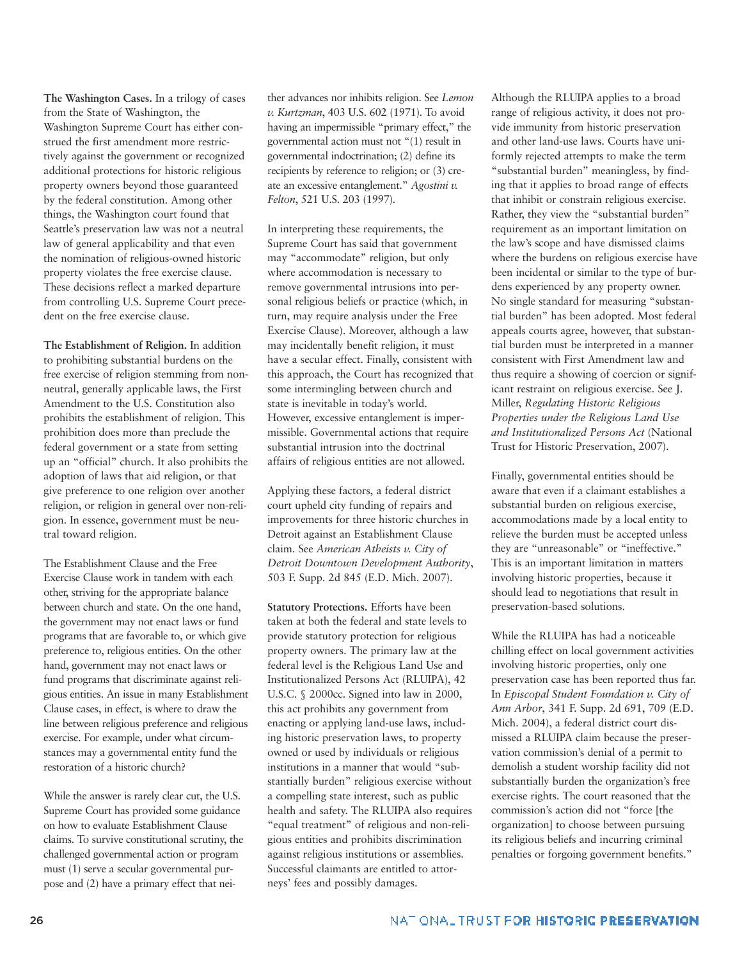**The Washington Cases.** In a trilogy of cases from the State of Washington, the Washington Supreme Court has either construed the first amendment more restrictively against the government or recognized additional protections for historic religious property owners beyond those guaranteed by the federal constitution. Among other things, the Washington court found that Seattle's preservation law was not a neutral law of general applicability and that even the nomination of religious-owned historic property violates the free exercise clause. These decisions reflect a marked departure from controlling U.S. Supreme Court precedent on the free exercise clause.

**The Establishment of Religion.** In addition to prohibiting substantial burdens on the free exercise of religion stemming from nonneutral, generally applicable laws, the First Amendment to the U.S. Constitution also prohibits the establishment of religion. This prohibition does more than preclude the federal government or a state from setting up an "official" church. It also prohibits the adoption of laws that aid religion, or that give preference to one religion over another religion, or religion in general over non-religion. In essence, government must be neutral toward religion.

The Establishment Clause and the Free Exercise Clause work in tandem with each other, striving for the appropriate balance between church and state. On the one hand, the government may not enact laws or fund programs that are favorable to, or which give preference to, religious entities. On the other hand, government may not enact laws or fund programs that discriminate against religious entities. An issue in many Establishment Clause cases, in effect, is where to draw the line between religious preference and religious exercise. For example, under what circumstances may a governmental entity fund the restoration of a historic church?

While the answer is rarely clear cut, the U.S. Supreme Court has provided some guidance on how to evaluate Establishment Clause claims. To survive constitutional scrutiny, the challenged governmental action or program must (1) serve a secular governmental purpose and (2) have a primary effect that neither advances nor inhibits religion. See *Lemon v. Kurtzman*, 403 U.S. 602 (1971). To avoid having an impermissible "primary effect," the governmental action must not "(1) result in governmental indoctrination; (2) define its recipients by reference to religion; or (3) create an excessive entanglement." *Agostini v. Felton*, 521 U.S. 203 (1997).

In interpreting these requirements, the Supreme Court has said that government may "accommodate" religion, but only where accommodation is necessary to remove governmental intrusions into personal religious beliefs or practice (which, in turn, may require analysis under the Free Exercise Clause). Moreover, although a law may incidentally benefit religion, it must have a secular effect. Finally, consistent with this approach, the Court has recognized that some intermingling between church and state is inevitable in today's world. However, excessive entanglement is impermissible. Governmental actions that require substantial intrusion into the doctrinal affairs of religious entities are not allowed.

Applying these factors, a federal district court upheld city funding of repairs and improvements for three historic churches in Detroit against an Establishment Clause claim. See *American Atheists v. City of Detroit Downtown Development Authority*, 503 F. Supp. 2d 845 (E.D. Mich. 2007).

**Statutory Protections.** Efforts have been taken at both the federal and state levels to provide statutory protection for religious property owners. The primary law at the federal level is the Religious Land Use and Institutionalized Persons Act (RLUIPA), 42 U.S.C. § 2000cc. Signed into law in 2000, this act prohibits any government from enacting or applying land-use laws, including historic preservation laws, to property owned or used by individuals or religious institutions in a manner that would "substantially burden" religious exercise without a compelling state interest, such as public health and safety. The RLUIPA also requires "equal treatment" of religious and non-religious entities and prohibits discrimination against religious institutions or assemblies. Successful claimants are entitled to attorneys' fees and possibly damages.

Although the RLUIPA applies to a broad range of religious activity, it does not provide immunity from historic preservation and other land-use laws. Courts have uniformly rejected attempts to make the term "substantial burden" meaningless, by finding that it applies to broad range of effects that inhibit or constrain religious exercise. Rather, they view the "substantial burden" requirement as an important limitation on the law's scope and have dismissed claims where the burdens on religious exercise have been incidental or similar to the type of burdens experienced by any property owner. No single standard for measuring "substantial burden" has been adopted. Most federal appeals courts agree, however, that substantial burden must be interpreted in a manner consistent with First Amendment law and thus require a showing of coercion or significant restraint on religious exercise. See J. Miller, *Regulating Historic Religious Properties under the Religious Land Use and Institutionalized Persons Act* (National Trust for Historic Preservation, 2007).

Finally, governmental entities should be aware that even if a claimant establishes a substantial burden on religious exercise, accommodations made by a local entity to relieve the burden must be accepted unless they are "unreasonable" or "ineffective." This is an important limitation in matters involving historic properties, because it should lead to negotiations that result in preservation-based solutions.

While the RLUIPA has had a noticeable chilling effect on local government activities involving historic properties, only one preservation case has been reported thus far. In *Episcopal Student Foundation v. City of Ann Arbor*, 341 F. Supp. 2d 691, 709 (E.D. Mich. 2004), a federal district court dismissed a RLUIPA claim because the preservation commission's denial of a permit to demolish a student worship facility did not substantially burden the organization's free exercise rights. The court reasoned that the commission's action did not "force [the organization] to choose between pursuing its religious beliefs and incurring criminal penalties or forgoing government benefits."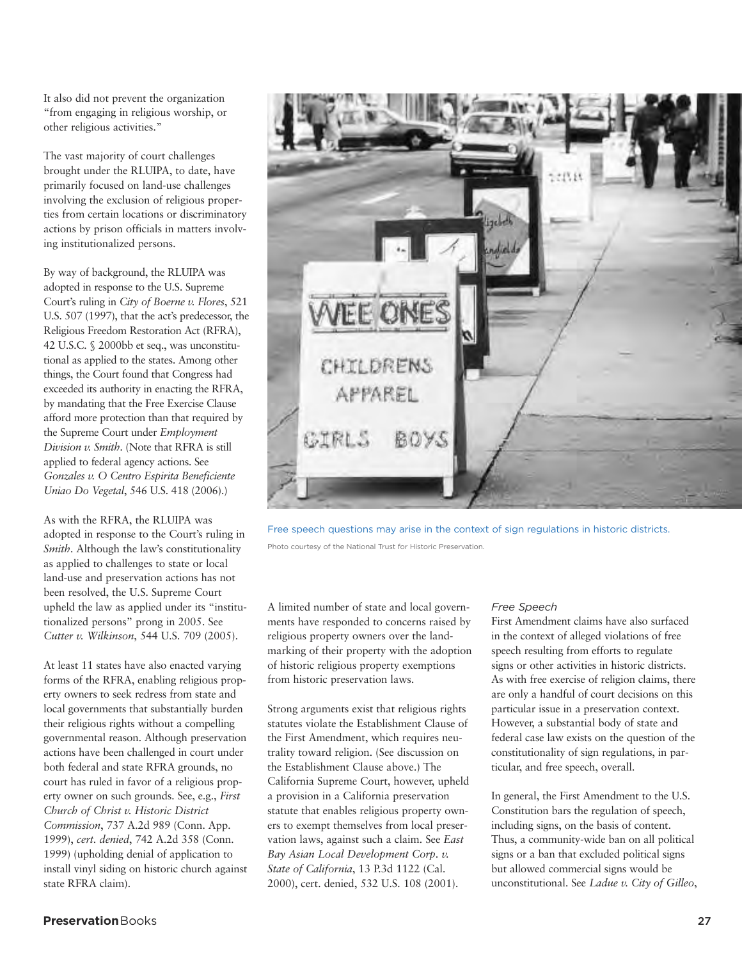It also did not prevent the organization "from engaging in religious worship, or other religious activities."

The vast majority of court challenges brought under the RLUIPA, to date, have primarily focused on land-use challenges involving the exclusion of religious properties from certain locations or discriminatory actions by prison officials in matters involving institutionalized persons.

By way of background, the RLUIPA was adopted in response to the U.S. Supreme Court's ruling in *City of Boerne v. Flores*, 521 U.S. 507 (1997), that the act's predecessor, the Religious Freedom Restoration Act (RFRA), 42 U.S.C. § 2000bb et seq., was unconstitutional as applied to the states. Among other things, the Court found that Congress had exceeded its authority in enacting the RFRA, by mandating that the Free Exercise Clause afford more protection than that required by the Supreme Court under *Employment Division v. Smith*. (Note that RFRA is still applied to federal agency actions. See *Gonzales v. O Centro Espirita Beneficiente Uniao Do Vegetal*, 546 U.S. 418 (2006).)

As with the RFRA, the RLUIPA was adopted in response to the Court's ruling in *Smith*. Although the law's constitutionality as applied to challenges to state or local land-use and preservation actions has not been resolved, the U.S. Supreme Court upheld the law as applied under its "institutionalized persons" prong in 2005. See *Cutter v. Wilkinson*, 544 U.S. 709 (2005).

At least 11 states have also enacted varying forms of the RFRA, enabling religious property owners to seek redress from state and local governments that substantially burden their religious rights without a compelling governmental reason. Although preservation actions have been challenged in court under both federal and state RFRA grounds, no court has ruled in favor of a religious property owner on such grounds. See, e.g., *First Church of Christ v. Historic District Commission*, 737 A.2d 989 (Conn. App. 1999), *cert. denied*, 742 A.2d 358 (Conn. 1999) (upholding denial of application to install vinyl siding on historic church against state RFRA claim).



Free speech questions may arise in the context of sign regulations in historic districts. Photo courtesy of the National Trust for Historic Preservation.

A limited number of state and local governments have responded to concerns raised by religious property owners over the landmarking of their property with the adoption of historic religious property exemptions from historic preservation laws.

Strong arguments exist that religious rights statutes violate the Establishment Clause of the First Amendment, which requires neutrality toward religion. (See discussion on the Establishment Clause above.) The California Supreme Court, however, upheld a provision in a California preservation statute that enables religious property owners to exempt themselves from local preservation laws, against such a claim. See *East Bay Asian Local Development Corp. v. State of California*, 13 P.3d 1122 (Cal. 2000), cert. denied, 532 U.S. 108 (2001).

## *Free Speech*

First Amendment claims have also surfaced in the context of alleged violations of free speech resulting from efforts to regulate signs or other activities in historic districts. As with free exercise of religion claims, there are only a handful of court decisions on this particular issue in a preservation context. However, a substantial body of state and federal case law exists on the question of the constitutionality of sign regulations, in particular, and free speech, overall.

In general, the First Amendment to the U.S. Constitution bars the regulation of speech, including signs, on the basis of content. Thus, a community-wide ban on all political signs or a ban that excluded political signs but allowed commercial signs would be unconstitutional. See *Ladue v. City of Gilleo*,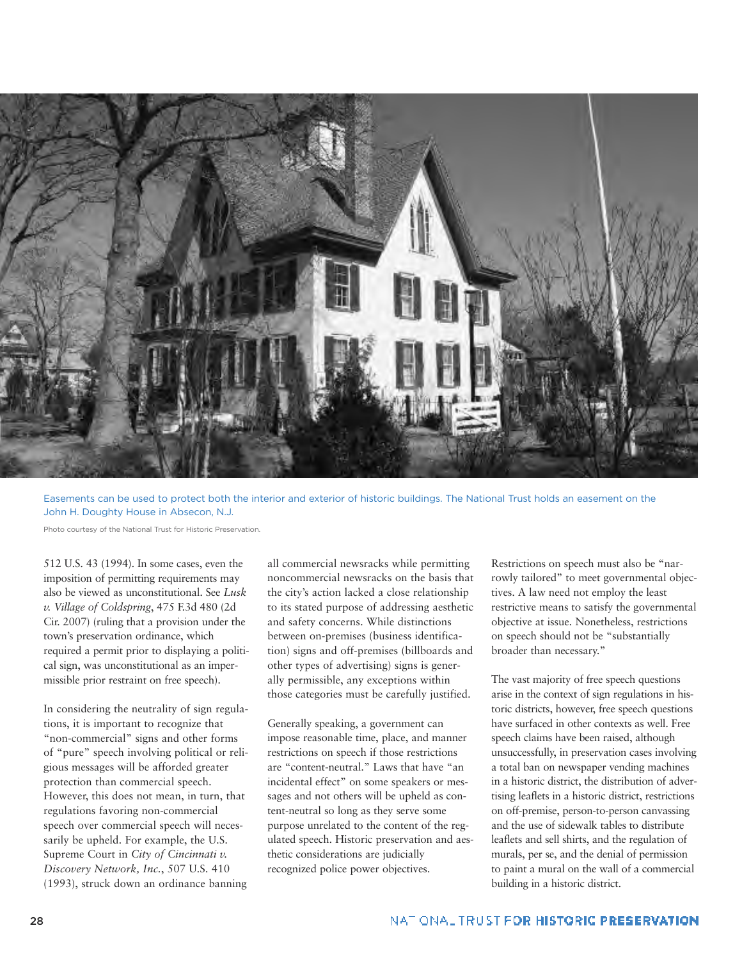

Easements can be used to protect both the interior and exterior of historic buildings. The National Trust holds an easement on the John H. Doughty House in Absecon, N.J.

Photo courtesy of the National Trust for Historic Preservation.

512 U.S. 43 (1994). In some cases, even the imposition of permitting requirements may also be viewed as unconstitutional. See *Lusk v. Village of Coldspring*, 475 F.3d 480 (2d Cir. 2007) (ruling that a provision under the town's preservation ordinance, which required a permit prior to displaying a political sign, was unconstitutional as an impermissible prior restraint on free speech).

In considering the neutrality of sign regulations, it is important to recognize that "non-commercial" signs and other forms of "pure" speech involving political or religious messages will be afforded greater protection than commercial speech. However, this does not mean, in turn, that regulations favoring non-commercial speech over commercial speech will necessarily be upheld. For example, the U.S. Supreme Court in *City of Cincinnati v. Discovery Network, Inc.*, 507 U.S. 410 (1993), struck down an ordinance banning all commercial newsracks while permitting noncommercial newsracks on the basis that the city's action lacked a close relationship to its stated purpose of addressing aesthetic and safety concerns. While distinctions between on-premises (business identification) signs and off-premises (billboards and other types of advertising) signs is generally permissible, any exceptions within those categories must be carefully justified.

Generally speaking, a government can impose reasonable time, place, and manner restrictions on speech if those restrictions are "content-neutral." Laws that have "an incidental effect" on some speakers or messages and not others will be upheld as content-neutral so long as they serve some purpose unrelated to the content of the regulated speech. Historic preservation and aesthetic considerations are judicially recognized police power objectives.

Restrictions on speech must also be "narrowly tailored" to meet governmental objectives. A law need not employ the least restrictive means to satisfy the governmental objective at issue. Nonetheless, restrictions on speech should not be "substantially broader than necessary."

The vast majority of free speech questions arise in the context of sign regulations in historic districts, however, free speech questions have surfaced in other contexts as well. Free speech claims have been raised, although unsuccessfully, in preservation cases involving a total ban on newspaper vending machines in a historic district, the distribution of advertising leaflets in a historic district, restrictions on off-premise, person-to-person canvassing and the use of sidewalk tables to distribute leaflets and sell shirts, and the regulation of murals, per se, and the denial of permission to paint a mural on the wall of a commercial building in a historic district.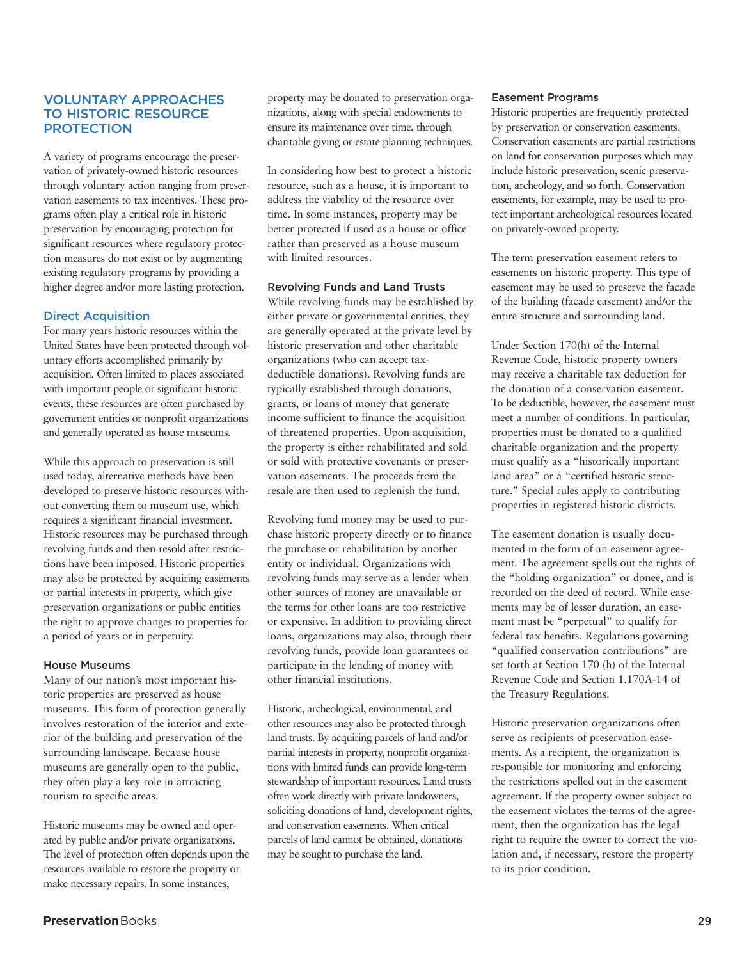## **VOLUNTARY APPROACHES TO HISTORIC RESOURCE PROTECTION**

A variety of programs encourage the preservation of privately-owned historic resources through voluntary action ranging from preservation easements to tax incentives. These programs often play a critical role in historic preservation by encouraging protection for significant resources where regulatory protection measures do not exist or by augmenting existing regulatory programs by providing a higher degree and/or more lasting protection.

## **Direct Acquisition**

For many years historic resources within the United States have been protected through voluntary efforts accomplished primarily by acquisition. Often limited to places associated with important people or significant historic events, these resources are often purchased by government entities or nonprofit organizations and generally operated as house museums.

While this approach to preservation is still used today, alternative methods have been developed to preserve historic resources without converting them to museum use, which requires a significant financial investment. Historic resources may be purchased through revolving funds and then resold after restrictions have been imposed. Historic properties may also be protected by acquiring easements or partial interests in property, which give preservation organizations or public entities the right to approve changes to properties for a period of years or in perpetuity.

#### **House Museums**

Many of our nation's most important historic properties are preserved as house museums. This form of protection generally involves restoration of the interior and exterior of the building and preservation of the surrounding landscape. Because house museums are generally open to the public, they often play a key role in attracting tourism to specific areas.

Historic museums may be owned and operated by public and/or private organizations. The level of protection often depends upon the resources available to restore the property or make necessary repairs. In some instances,

property may be donated to preservation organizations, along with special endowments to ensure its maintenance over time, through charitable giving or estate planning techniques.

In considering how best to protect a historic resource, such as a house, it is important to address the viability of the resource over time. In some instances, property may be better protected if used as a house or office rather than preserved as a house museum with limited resources.

## **Revolving Funds and Land Trusts**

While revolving funds may be established by either private or governmental entities, they are generally operated at the private level by historic preservation and other charitable organizations (who can accept taxdeductible donations). Revolving funds are typically established through donations, grants, or loans of money that generate income sufficient to finance the acquisition of threatened properties. Upon acquisition, the property is either rehabilitated and sold or sold with protective covenants or preservation easements. The proceeds from the resale are then used to replenish the fund.

Revolving fund money may be used to purchase historic property directly or to finance the purchase or rehabilitation by another entity or individual. Organizations with revolving funds may serve as a lender when other sources of money are unavailable or the terms for other loans are too restrictive or expensive. In addition to providing direct loans, organizations may also, through their revolving funds, provide loan guarantees or participate in the lending of money with other financial institutions.

Historic, archeological, environmental, and other resources may also be protected through land trusts. By acquiring parcels of land and/or partial interests in property, nonprofit organizations with limited funds can provide long-term stewardship of important resources. Land trusts often work directly with private landowners, soliciting donations of land, development rights, and conservation easements. When critical parcels of land cannot be obtained, donations may be sought to purchase the land.

#### **Easement Programs**

Historic properties are frequently protected by preservation or conservation easements. Conservation easements are partial restrictions on land for conservation purposes which may include historic preservation, scenic preservation, archeology, and so forth. Conservation easements, for example, may be used to protect important archeological resources located on privately-owned property.

The term preservation easement refers to easements on historic property. This type of easement may be used to preserve the facade of the building (facade easement) and/or the entire structure and surrounding land.

Under Section 170(h) of the Internal Revenue Code, historic property owners may receive a charitable tax deduction for the donation of a conservation easement. To be deductible, however, the easement must meet a number of conditions. In particular, properties must be donated to a qualified charitable organization and the property must qualify as a "historically important land area" or a "certified historic structure." Special rules apply to contributing properties in registered historic districts.

The easement donation is usually documented in the form of an easement agreement. The agreement spells out the rights of the "holding organization" or donee, and is recorded on the deed of record. While easements may be of lesser duration, an easement must be "perpetual" to qualify for federal tax benefits. Regulations governing "qualified conservation contributions" are set forth at Section 170 (h) of the Internal Revenue Code and Section 1.170A-14 of the Treasury Regulations.

Historic preservation organizations often serve as recipients of preservation easements. As a recipient, the organization is responsible for monitoring and enforcing the restrictions spelled out in the easement agreement. If the property owner subject to the easement violates the terms of the agreement, then the organization has the legal right to require the owner to correct the violation and, if necessary, restore the property to its prior condition.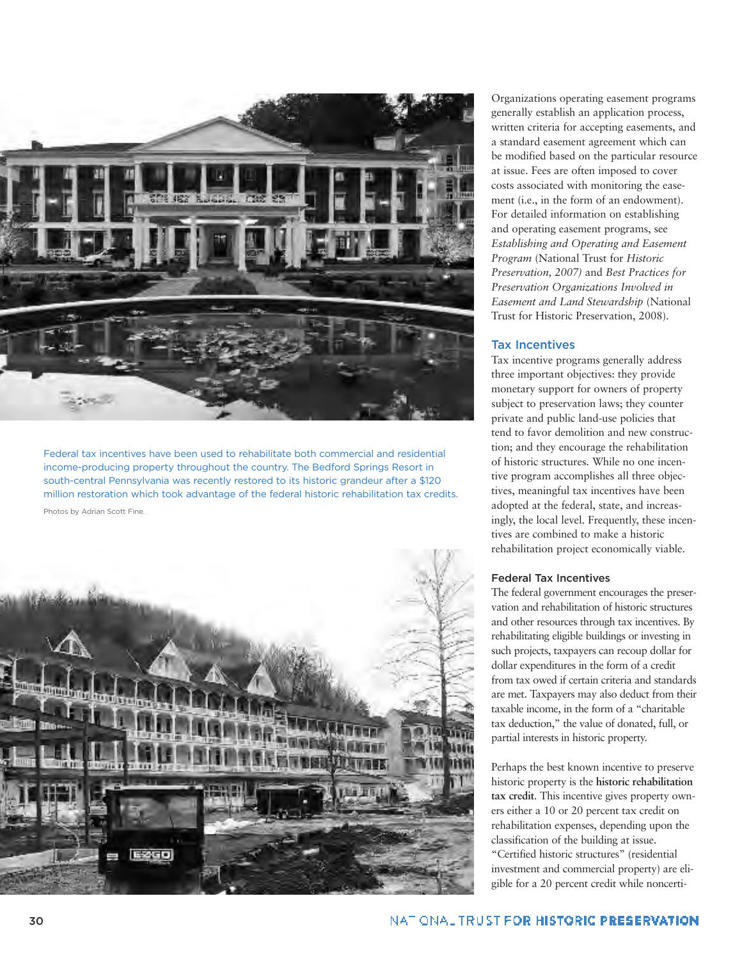

Federal tax incentives have been used to rehabilitate both commercial and residential income-producing property throughout the country. The Bedford Springs Resort in south-central Pennsylvania was recently restored to its historic grandeur after a \$120 million restoration which took advantage of the federal historic rehabilitation tax credits.

Photos by Adrian Scott Fine.



Organizations operating easement programs generally establish an application process, written criteria for accepting easements, and a standard easement agreement which can be modified based on the particular resource at issue. Fees are often imposed to cover costs associated with monitoring the easement (i.e., in the form of an endowment). For detailed information on establishing and operating easement programs, see *Establishing and Operating and Easement Program* (National Trust for *Historic Preservation, 2007)* and *Best Practices for Preservation Organizations Involved in Easement and Land Stewardship* (National Trust for Historic Preservation, 2008).

#### **Tax Incentives**

Tax incentive programs generally address three important objectives: they provide monetary support for owners of property subject to preservation laws; they counter private and public land-use policies that tend to favor demolition and new construction; and they encourage the rehabilitation of historic structures. While no one incentive program accomplishes all three objectives, meaningful tax incentives have been adopted at the federal, state, and increasingly, the local level. Frequently, these incentives are combined to make a historic rehabilitation project economically viable.

#### **Federal Tax Incentives**

The federal government encourages the preservation and rehabilitation of historic structures and other resources through tax incentives. By rehabilitating eligible buildings or investing in such projects, taxpayers can recoup dollar for dollar expenditures in the form of a credit from tax owed if certain criteria and standards are met. Taxpayers may also deduct from their taxable income, in the form of a "charitable tax deduction," the value of donated, full, or partial interests in historic property.

Perhaps the best known incentive to preserve historic property is the **historic rehabilitation tax credit**. This incentive gives property owners either a 10 or 20 percent tax credit on rehabilitation expenses, depending upon the classification of the building at issue. "Certified historic structures" (residential investment and commercial property) are eligible for a 20 percent credit while noncerti-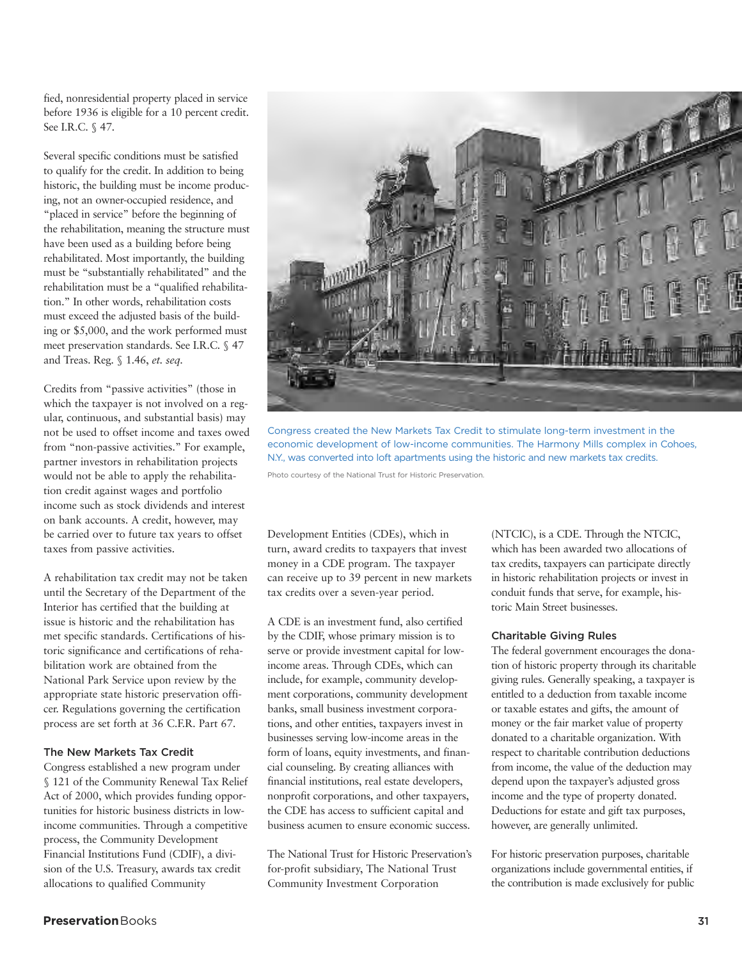fied, nonresidential property placed in service before 1936 is eligible for a 10 percent credit. See I.R.C. § 47.

Several specific conditions must be satisfied to qualify for the credit. In addition to being historic, the building must be income producing, not an owner-occupied residence, and "placed in service" before the beginning of the rehabilitation, meaning the structure must have been used as a building before being rehabilitated. Most importantly, the building must be "substantially rehabilitated" and the rehabilitation must be a "qualified rehabilitation." In other words, rehabilitation costs must exceed the adjusted basis of the building or \$5,000, and the work performed must meet preservation standards. See I.R.C. § 47 and Treas. Reg. § 1.46, *et. seq.*

Credits from "passive activities" (those in which the taxpayer is not involved on a regular, continuous, and substantial basis) may not be used to offset income and taxes owed from "non-passive activities." For example, partner investors in rehabilitation projects would not be able to apply the rehabilitation credit against wages and portfolio income such as stock dividends and interest on bank accounts. A credit, however, may be carried over to future tax years to offset taxes from passive activities.

A rehabilitation tax credit may not be taken until the Secretary of the Department of the Interior has certified that the building at issue is historic and the rehabilitation has met specific standards. Certifications of historic significance and certifications of rehabilitation work are obtained from the National Park Service upon review by the appropriate state historic preservation officer. Regulations governing the certification process are set forth at 36 C.F.R. Part 67.

## **The New Markets Tax Credit**

Congress established a new program under § 121 of the Community Renewal Tax Relief Act of 2000, which provides funding opportunities for historic business districts in lowincome communities. Through a competitive process, the Community Development Financial Institutions Fund (CDIF), a division of the U.S. Treasury, awards tax credit allocations to qualified Community



Congress created the New Markets Tax Credit to stimulate long-term investment in the economic development of low-income communities. The Harmony Mills complex in Cohoes, N.Y., was converted into loft apartments using the historic and new markets tax credits.

Photo courtesy of the National Trust for Historic Preservation.

Development Entities (CDEs), which in turn, award credits to taxpayers that invest money in a CDE program. The taxpayer can receive up to 39 percent in new markets tax credits over a seven-year period.

A CDE is an investment fund, also certified by the CDIF, whose primary mission is to serve or provide investment capital for lowincome areas. Through CDEs, which can include, for example, community development corporations, community development banks, small business investment corporations, and other entities, taxpayers invest in businesses serving low-income areas in the form of loans, equity investments, and financial counseling. By creating alliances with financial institutions, real estate developers, nonprofit corporations, and other taxpayers, the CDE has access to sufficient capital and business acumen to ensure economic success.

The National Trust for Historic Preservation's for-profit subsidiary, The National Trust Community Investment Corporation

(NTCIC), is a CDE. Through the NTCIC, which has been awarded two allocations of tax credits, taxpayers can participate directly in historic rehabilitation projects or invest in conduit funds that serve, for example, historic Main Street businesses.

#### **Charitable Giving Rules**

The federal government encourages the donation of historic property through its charitable giving rules. Generally speaking, a taxpayer is entitled to a deduction from taxable income or taxable estates and gifts, the amount of money or the fair market value of property donated to a charitable organization. With respect to charitable contribution deductions from income, the value of the deduction may depend upon the taxpayer's adjusted gross income and the type of property donated. Deductions for estate and gift tax purposes, however, are generally unlimited.

For historic preservation purposes, charitable organizations include governmental entities, if the contribution is made exclusively for public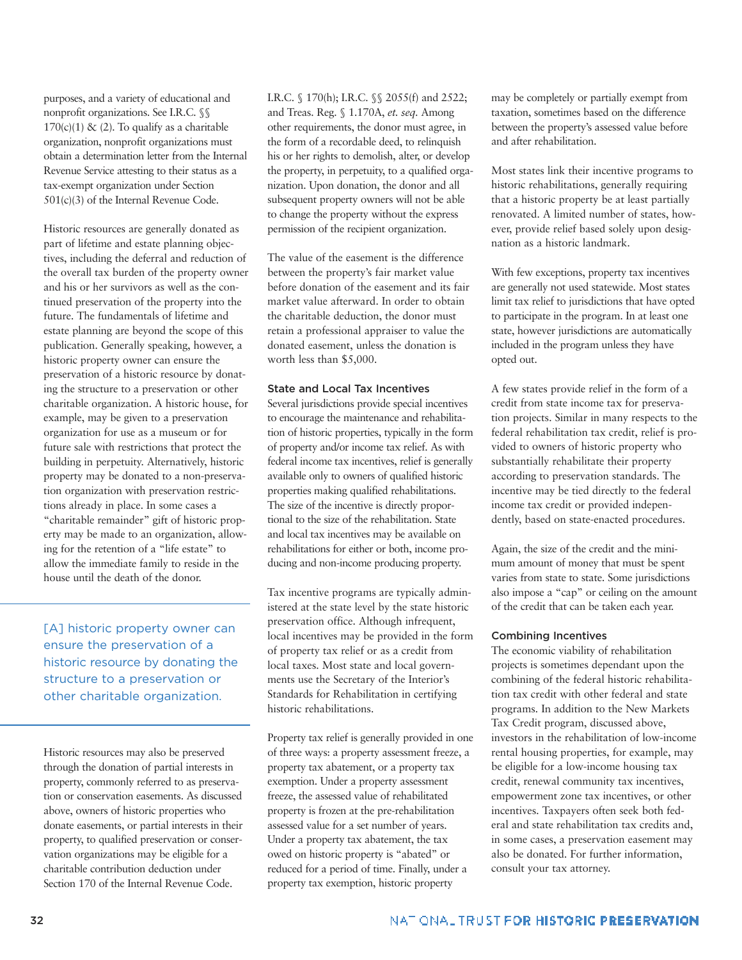purposes, and a variety of educational and nonprofit organizations. See I.R.C. §§  $170(c)(1)$  & (2). To qualify as a charitable organization, nonprofit organizations must obtain a determination letter from the Internal Revenue Service attesting to their status as a tax-exempt organization under Section 501(c)(3) of the Internal Revenue Code.

Historic resources are generally donated as part of lifetime and estate planning objectives, including the deferral and reduction of the overall tax burden of the property owner and his or her survivors as well as the continued preservation of the property into the future. The fundamentals of lifetime and estate planning are beyond the scope of this publication. Generally speaking, however, a historic property owner can ensure the preservation of a historic resource by donating the structure to a preservation or other charitable organization. A historic house, for example, may be given to a preservation organization for use as a museum or for future sale with restrictions that protect the building in perpetuity. Alternatively, historic property may be donated to a non-preservation organization with preservation restrictions already in place. In some cases a "charitable remainder" gift of historic property may be made to an organization, allowing for the retention of a "life estate" to allow the immediate family to reside in the house until the death of the donor.

[A] historic property owner can ensure the preservation of a historic resource by donating the structure to a preservation or other charitable organization.

Historic resources may also be preserved through the donation of partial interests in property, commonly referred to as preservation or conservation easements. As discussed above, owners of historic properties who donate easements, or partial interests in their property, to qualified preservation or conservation organizations may be eligible for a charitable contribution deduction under Section 170 of the Internal Revenue Code.

I.R.C. § 170(h); I.R.C. §§ 2055(f) and 2522; and Treas. Reg. § 1.170A, *et. seq.* Among other requirements, the donor must agree, in the form of a recordable deed, to relinquish his or her rights to demolish, alter, or develop the property, in perpetuity, to a qualified organization. Upon donation, the donor and all subsequent property owners will not be able to change the property without the express permission of the recipient organization.

The value of the easement is the difference between the property's fair market value before donation of the easement and its fair market value afterward. In order to obtain the charitable deduction, the donor must retain a professional appraiser to value the donated easement, unless the donation is worth less than \$5,000.

## **State and Local Tax Incentives**

Several jurisdictions provide special incentives to encourage the maintenance and rehabilitation of historic properties, typically in the form of property and/or income tax relief. As with federal income tax incentives, relief is generally available only to owners of qualified historic properties making qualified rehabilitations. The size of the incentive is directly proportional to the size of the rehabilitation. State and local tax incentives may be available on rehabilitations for either or both, income producing and non-income producing property.

Tax incentive programs are typically administered at the state level by the state historic preservation office. Although infrequent, local incentives may be provided in the form of property tax relief or as a credit from local taxes. Most state and local governments use the Secretary of the Interior's Standards for Rehabilitation in certifying historic rehabilitations.

Property tax relief is generally provided in one of three ways: a property assessment freeze, a property tax abatement, or a property tax exemption. Under a property assessment freeze, the assessed value of rehabilitated property is frozen at the pre-rehabilitation assessed value for a set number of years. Under a property tax abatement, the tax owed on historic property is "abated" or reduced for a period of time. Finally, under a property tax exemption, historic property

may be completely or partially exempt from taxation, sometimes based on the difference between the property's assessed value before and after rehabilitation.

Most states link their incentive programs to historic rehabilitations, generally requiring that a historic property be at least partially renovated. A limited number of states, however, provide relief based solely upon designation as a historic landmark.

With few exceptions, property tax incentives are generally not used statewide. Most states limit tax relief to jurisdictions that have opted to participate in the program. In at least one state, however jurisdictions are automatically included in the program unless they have opted out.

A few states provide relief in the form of a credit from state income tax for preservation projects. Similar in many respects to the federal rehabilitation tax credit, relief is provided to owners of historic property who substantially rehabilitate their property according to preservation standards. The incentive may be tied directly to the federal income tax credit or provided independently, based on state-enacted procedures.

Again, the size of the credit and the minimum amount of money that must be spent varies from state to state. Some jurisdictions also impose a "cap" or ceiling on the amount of the credit that can be taken each year.

#### **Combining Incentives**

The economic viability of rehabilitation projects is sometimes dependant upon the combining of the federal historic rehabilitation tax credit with other federal and state programs. In addition to the New Markets Tax Credit program, discussed above, investors in the rehabilitation of low-income rental housing properties, for example, may be eligible for a low-income housing tax credit, renewal community tax incentives, empowerment zone tax incentives, or other incentives. Taxpayers often seek both federal and state rehabilitation tax credits and, in some cases, a preservation easement may also be donated. For further information, consult your tax attorney.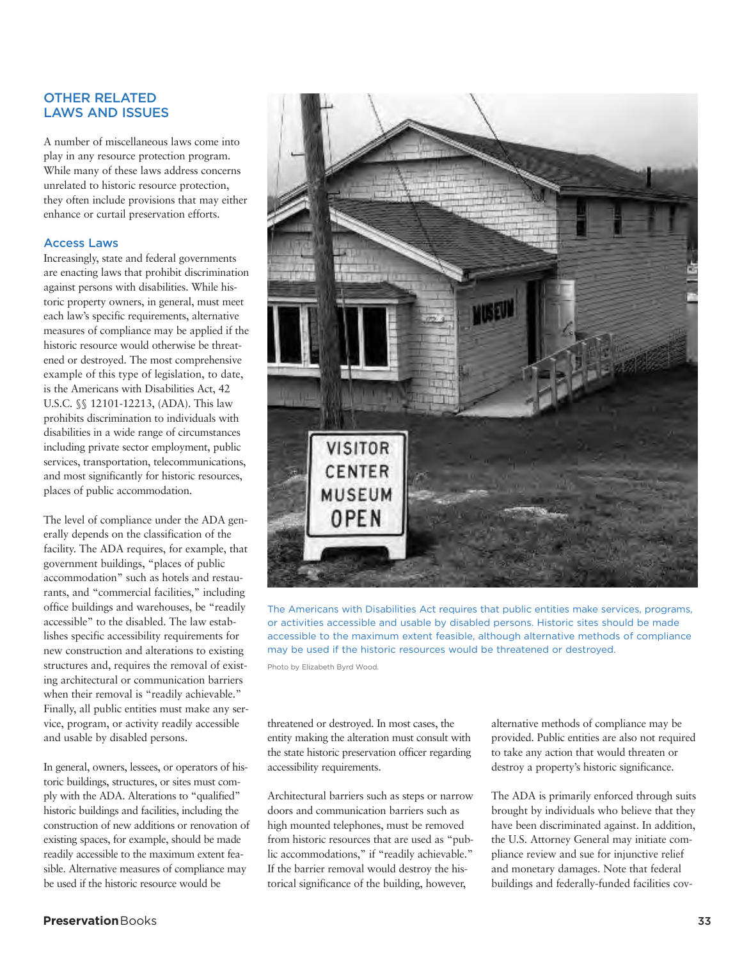## **OTHER RELATED LAWS AND ISSUES**

A number of miscellaneous laws come into play in any resource protection program. While many of these laws address concerns unrelated to historic resource protection, they often include provisions that may either enhance or curtail preservation efforts.

## **Access Laws**

Increasingly, state and federal governments are enacting laws that prohibit discrimination against persons with disabilities. While historic property owners, in general, must meet each law's specific requirements, alternative measures of compliance may be applied if the historic resource would otherwise be threatened or destroyed. The most comprehensive example of this type of legislation, to date, is the Americans with Disabilities Act, 42 U.S.C. §§ 12101-12213, (ADA). This law prohibits discrimination to individuals with disabilities in a wide range of circumstances including private sector employment, public services, transportation, telecommunications, and most significantly for historic resources, places of public accommodation.

The level of compliance under the ADA generally depends on the classification of the facility. The ADA requires, for example, that government buildings, "places of public accommodation" such as hotels and restaurants, and "commercial facilities," including office buildings and warehouses, be "readily accessible" to the disabled. The law establishes specific accessibility requirements for new construction and alterations to existing structures and, requires the removal of existing architectural or communication barriers when their removal is "readily achievable." Finally, all public entities must make any service, program, or activity readily accessible and usable by disabled persons.

In general, owners, lessees, or operators of historic buildings, structures, or sites must comply with the ADA. Alterations to "qualified" historic buildings and facilities, including the construction of new additions or renovation of existing spaces, for example, should be made readily accessible to the maximum extent feasible. Alternative measures of compliance may be used if the historic resource would be



The Americans with Disabilities Act requires that public entities make services, programs, or activities accessible and usable by disabled persons. Historic sites should be made accessible to the maximum extent feasible, although alternative methods of compliance may be used if the historic resources would be threatened or destroyed.

Photo by Elizabeth Byrd Wood.

threatened or destroyed. In most cases, the entity making the alteration must consult with the state historic preservation officer regarding accessibility requirements.

Architectural barriers such as steps or narrow doors and communication barriers such as high mounted telephones, must be removed from historic resources that are used as "public accommodations," if "readily achievable." If the barrier removal would destroy the historical significance of the building, however,

alternative methods of compliance may be provided. Public entities are also not required to take any action that would threaten or destroy a property's historic significance.

The ADA is primarily enforced through suits brought by individuals who believe that they have been discriminated against. In addition, the U.S. Attorney General may initiate compliance review and sue for injunctive relief and monetary damages. Note that federal buildings and federally-funded facilities cov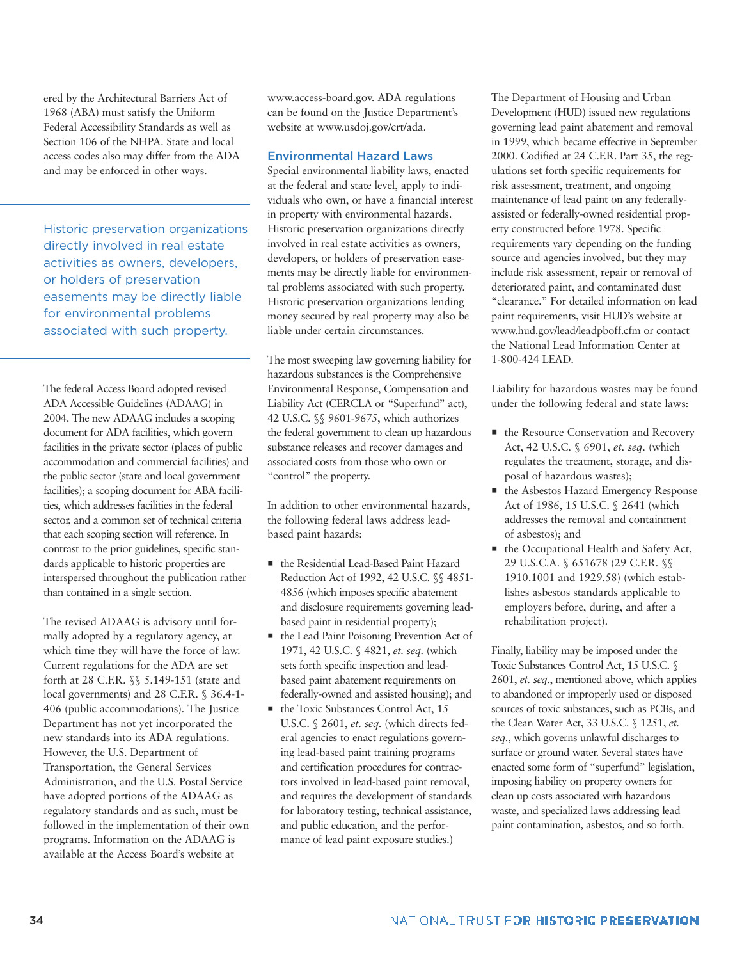ered by the Architectural Barriers Act of 1968 (ABA) must satisfy the Uniform Federal Accessibility Standards as well as Section 106 of the NHPA. State and local access codes also may differ from the ADA and may be enforced in other ways.

Historic preservation organizations directly involved in real estate activities as owners, developers, or holders of preservation easements may be directly liable for environmental problems associated with such property.

The federal Access Board adopted revised ADA Accessible Guidelines (ADAAG) in 2004. The new ADAAG includes a scoping document for ADA facilities, which govern facilities in the private sector (places of public accommodation and commercial facilities) and the public sector (state and local government facilities); a scoping document for ABA facilities, which addresses facilities in the federal sector, and a common set of technical criteria that each scoping section will reference. In contrast to the prior guidelines, specific standards applicable to historic properties are interspersed throughout the publication rather than contained in a single section.

The revised ADAAG is advisory until formally adopted by a regulatory agency, at which time they will have the force of law. Current regulations for the ADA are set forth at 28 C.F.R. §§ 5.149-151 (state and local governments) and 28 C.F.R. § 36.4-1-406 (public accommodations). The Justice Department has not yet incorporated the new standards into its ADA regulations. However, the U.S. Department of Transportation, the General Services Administration, and the U.S. Postal Service have adopted portions of the ADAAG as regulatory standards and as such, must be followed in the implementation of their own programs. Information on the ADAAG is available at the Access Board's website at

www.access-board.gov. ADA regulations can be found on the Justice Department's website at www.usdoj.gov/crt/ada.

## **Environmental Hazard Laws**

Special environmental liability laws, enacted at the federal and state level, apply to individuals who own, or have a financial interest in property with environmental hazards. Historic preservation organizations directly involved in real estate activities as owners, developers, or holders of preservation easements may be directly liable for environmental problems associated with such property. Historic preservation organizations lending money secured by real property may also be liable under certain circumstances.

The most sweeping law governing liability for hazardous substances is the Comprehensive Environmental Response, Compensation and Liability Act (CERCLA or "Superfund" act), 42 U.S.C. §§ 9601-9675, which authorizes the federal government to clean up hazardous substance releases and recover damages and associated costs from those who own or "control" the property.

In addition to other environmental hazards, the following federal laws address leadbased paint hazards:

- the Residential Lead-Based Paint Hazard Reduction Act of 1992, 42 U.S.C. §§ 4851- 4856 (which imposes specific abatement and disclosure requirements governing leadbased paint in residential property);
- $\blacksquare$  the Lead Paint Poisoning Prevention Act of 1971, 42 U.S.C. § 4821, *et. seq.* (which sets forth specific inspection and leadbased paint abatement requirements on federally-owned and assisted housing); and
- $\blacksquare$  the Toxic Substances Control Act, 15 U.S.C. § 2601, *et. seq.* (which directs federal agencies to enact regulations governing lead-based paint training programs and certification procedures for contractors involved in lead-based paint removal, and requires the development of standards for laboratory testing, technical assistance, and public education, and the performance of lead paint exposure studies.)

The Department of Housing and Urban Development (HUD) issued new regulations governing lead paint abatement and removal in 1999, which became effective in September 2000. Codified at 24 C.F.R. Part 35, the regulations set forth specific requirements for risk assessment, treatment, and ongoing maintenance of lead paint on any federallyassisted or federally-owned residential property constructed before 1978. Specific requirements vary depending on the funding source and agencies involved, but they may include risk assessment, repair or removal of deteriorated paint, and contaminated dust "clearance." For detailed information on lead paint requirements, visit HUD's website at www.hud.gov/lead/leadpboff.cfm or contact the National Lead Information Center at 1-800-424 LEAD.

Liability for hazardous wastes may be found under the following federal and state laws:

- $\blacksquare$  the Resource Conservation and Recovery Act, 42 U.S.C. § 6901, *et. seq.* (which regulates the treatment, storage, and disposal of hazardous wastes);
- the Asbestos Hazard Emergency Response Act of 1986, 15 U.S.C. § 2641 (which addresses the removal and containment of asbestos); and
- $\blacksquare$  the Occupational Health and Safety Act, 29 U.S.C.A. § 651678 (29 C.F.R. §§ 1910.1001 and 1929.58) (which establishes asbestos standards applicable to employers before, during, and after a rehabilitation project).

Finally, liability may be imposed under the Toxic Substances Control Act, 15 U.S.C. § 2601, *et. seq.*, mentioned above, which applies to abandoned or improperly used or disposed sources of toxic substances, such as PCBs, and the Clean Water Act, 33 U.S.C. § 1251, *et. seq.*, which governs unlawful discharges to surface or ground water. Several states have enacted some form of "superfund" legislation, imposing liability on property owners for clean up costs associated with hazardous waste, and specialized laws addressing lead paint contamination, asbestos, and so forth.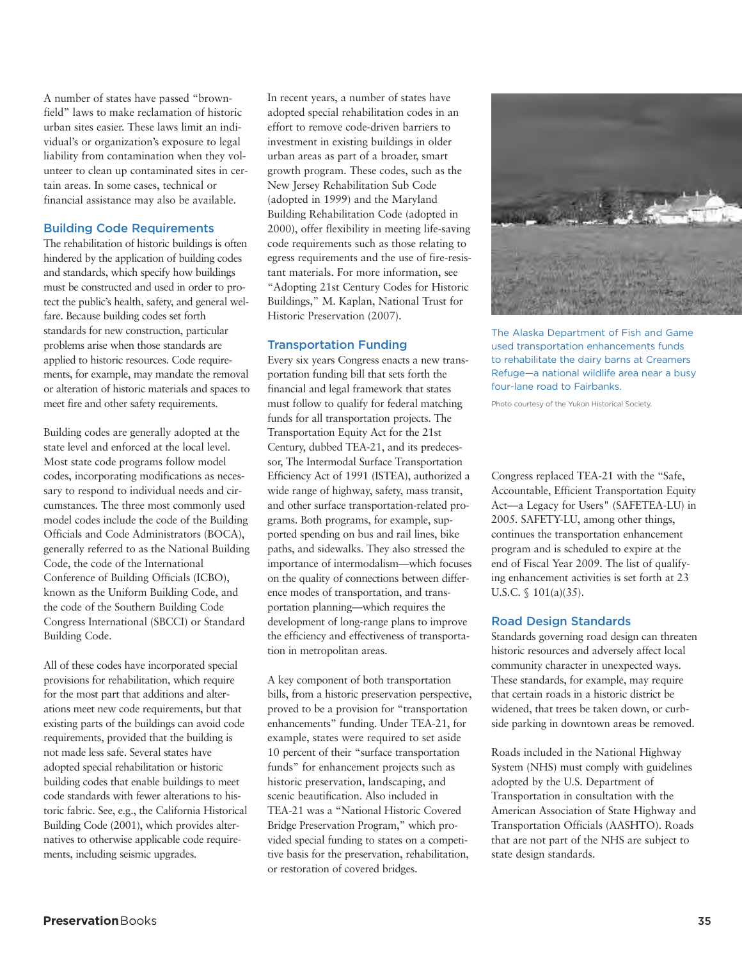A number of states have passed "brownfield" laws to make reclamation of historic urban sites easier. These laws limit an individual's or organization's exposure to legal liability from contamination when they volunteer to clean up contaminated sites in certain areas. In some cases, technical or financial assistance may also be available.

## **Building Code Requirements**

The rehabilitation of historic buildings is often hindered by the application of building codes and standards, which specify how buildings must be constructed and used in order to protect the public's health, safety, and general welfare. Because building codes set forth standards for new construction, particular problems arise when those standards are applied to historic resources. Code requirements, for example, may mandate the removal or alteration of historic materials and spaces to meet fire and other safety requirements.

Building codes are generally adopted at the state level and enforced at the local level. Most state code programs follow model codes, incorporating modifications as necessary to respond to individual needs and circumstances. The three most commonly used model codes include the code of the Building Officials and Code Administrators (BOCA), generally referred to as the National Building Code, the code of the International Conference of Building Officials (ICBO), known as the Uniform Building Code, and the code of the Southern Building Code Congress International (SBCCI) or Standard Building Code.

All of these codes have incorporated special provisions for rehabilitation, which require for the most part that additions and alterations meet new code requirements, but that existing parts of the buildings can avoid code requirements, provided that the building is not made less safe. Several states have adopted special rehabilitation or historic building codes that enable buildings to meet code standards with fewer alterations to historic fabric. See, e.g., the California Historical Building Code (2001), which provides alternatives to otherwise applicable code requirements, including seismic upgrades.

In recent years, a number of states have adopted special rehabilitation codes in an effort to remove code-driven barriers to investment in existing buildings in older urban areas as part of a broader, smart growth program. These codes, such as the New Jersey Rehabilitation Sub Code (adopted in 1999) and the Maryland Building Rehabilitation Code (adopted in 2000), offer flexibility in meeting life-saving code requirements such as those relating to egress requirements and the use of fire-resistant materials. For more information, see "Adopting 21st Century Codes for Historic Buildings," M. Kaplan, National Trust for Historic Preservation (2007).

## **Transportation Funding**

Every six years Congress enacts a new transportation funding bill that sets forth the financial and legal framework that states must follow to qualify for federal matching funds for all transportation projects. The Transportation Equity Act for the 21st Century, dubbed TEA-21, and its predecessor, The Intermodal Surface Transportation Efficiency Act of 1991 (ISTEA), authorized a wide range of highway, safety, mass transit, and other surface transportation-related programs. Both programs, for example, supported spending on bus and rail lines, bike paths, and sidewalks. They also stressed the importance of intermodalism—which focuses on the quality of connections between difference modes of transportation, and transportation planning—which requires the development of long-range plans to improve the efficiency and effectiveness of transportation in metropolitan areas.

A key component of both transportation bills, from a historic preservation perspective, proved to be a provision for "transportation enhancements" funding. Under TEA-21, for example, states were required to set aside 10 percent of their "surface transportation funds" for enhancement projects such as historic preservation, landscaping, and scenic beautification. Also included in TEA-21 was a "National Historic Covered Bridge Preservation Program," which provided special funding to states on a competitive basis for the preservation, rehabilitation, or restoration of covered bridges.



The Alaska Department of Fish and Game used transportation enhancements funds to rehabilitate the dairy barns at Creamers Refuge—a national wildlife area near a busy four-lane road to Fairbanks.

Photo courtesy of the Yukon Historical Society.

Congress replaced TEA-21 with the "Safe, Accountable, Efficient Transportation Equity Act—a Legacy for Users" (SAFETEA-LU) in 2005. SAFETY-LU, among other things, continues the transportation enhancement program and is scheduled to expire at the end of Fiscal Year 2009. The list of qualifying enhancement activities is set forth at 23 U.S.C. § 101(a)(35).

## **Road Design Standards**

Standards governing road design can threaten historic resources and adversely affect local community character in unexpected ways. These standards, for example, may require that certain roads in a historic district be widened, that trees be taken down, or curbside parking in downtown areas be removed.

Roads included in the National Highway System (NHS) must comply with guidelines adopted by the U.S. Department of Transportation in consultation with the American Association of State Highway and Transportation Officials (AASHTO). Roads that are not part of the NHS are subject to state design standards.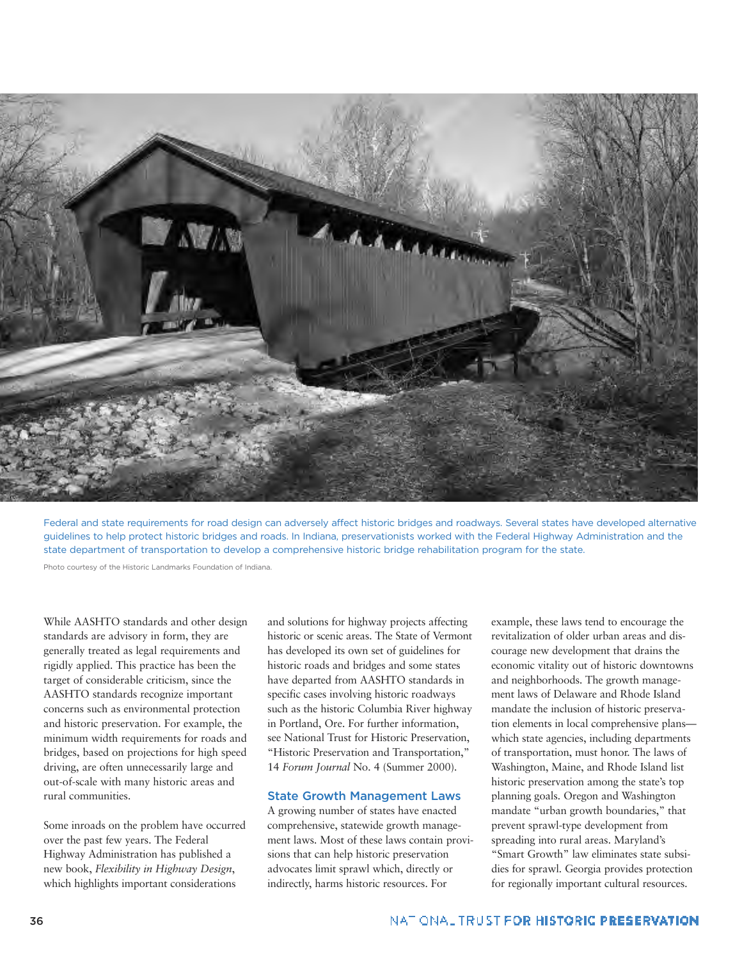

Federal and state requirements for road design can adversely affect historic bridges and roadways. Several states have developed alternative guidelines to help protect historic bridges and roads. In Indiana, preservationists worked with the Federal Highway Administration and the state department of transportation to develop a comprehensive historic bridge rehabilitation program for the state.

Photo courtesy of the Historic Landmarks Foundation of Indiana.

While AASHTO standards and other design standards are advisory in form, they are generally treated as legal requirements and rigidly applied. This practice has been the target of considerable criticism, since the AASHTO standards recognize important concerns such as environmental protection and historic preservation. For example, the minimum width requirements for roads and bridges, based on projections for high speed driving, are often unnecessarily large and out-of-scale with many historic areas and rural communities.

Some inroads on the problem have occurred over the past few years. The Federal Highway Administration has published a new book, *Flexibility in Highway Design*, which highlights important considerations

and solutions for highway projects affecting historic or scenic areas. The State of Vermont has developed its own set of guidelines for historic roads and bridges and some states have departed from AASHTO standards in specific cases involving historic roadways such as the historic Columbia River highway in Portland, Ore. For further information, see National Trust for Historic Preservation, "Historic Preservation and Transportation," 14 *Forum Journal* No. 4 (Summer 2000).

#### **State Growth Management Laws**

A growing number of states have enacted comprehensive, statewide growth management laws. Most of these laws contain provisions that can help historic preservation advocates limit sprawl which, directly or indirectly, harms historic resources. For

example, these laws tend to encourage the revitalization of older urban areas and discourage new development that drains the economic vitality out of historic downtowns and neighborhoods. The growth management laws of Delaware and Rhode Island mandate the inclusion of historic preservation elements in local comprehensive plans which state agencies, including departments of transportation, must honor. The laws of Washington, Maine, and Rhode Island list historic preservation among the state's top planning goals. Oregon and Washington mandate "urban growth boundaries," that prevent sprawl-type development from spreading into rural areas. Maryland's "Smart Growth" law eliminates state subsidies for sprawl. Georgia provides protection for regionally important cultural resources.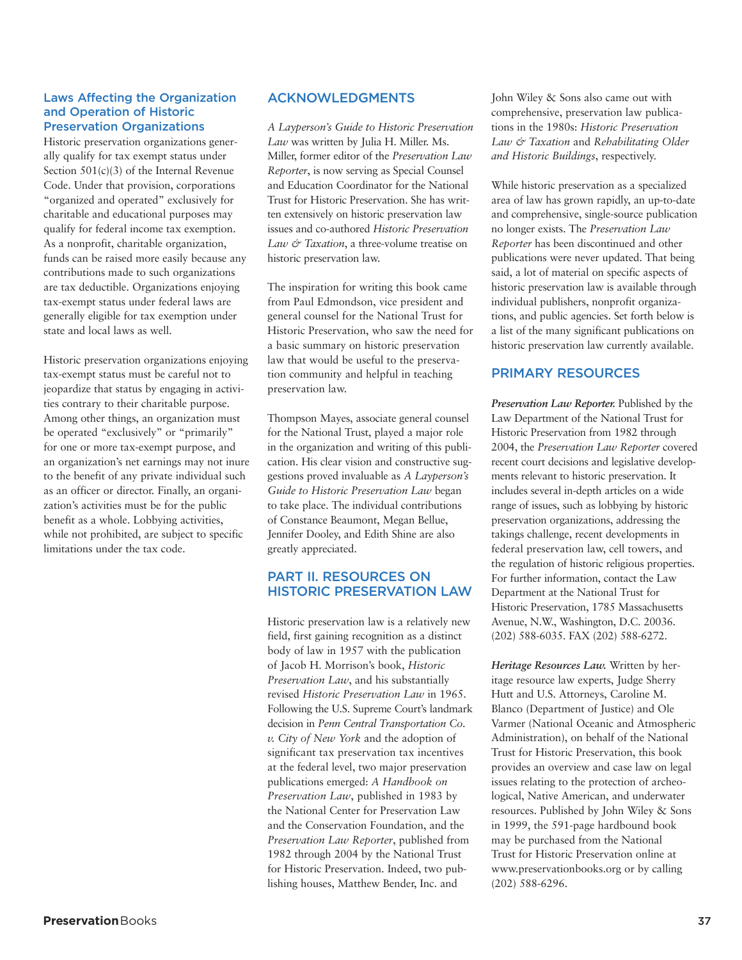## **Laws Affecting the Organization and Operation of Historic Preservation Organizations**

Historic preservation organizations generally qualify for tax exempt status under Section 501(c)(3) of the Internal Revenue Code. Under that provision, corporations "organized and operated" exclusively for charitable and educational purposes may qualify for federal income tax exemption. As a nonprofit, charitable organization, funds can be raised more easily because any contributions made to such organizations are tax deductible. Organizations enjoying tax-exempt status under federal laws are generally eligible for tax exemption under state and local laws as well.

Historic preservation organizations enjoying tax-exempt status must be careful not to jeopardize that status by engaging in activities contrary to their charitable purpose. Among other things, an organization must be operated "exclusively" or "primarily" for one or more tax-exempt purpose, and an organization's net earnings may not inure to the benefit of any private individual such as an officer or director. Finally, an organization's activities must be for the public benefit as a whole. Lobbying activities, while not prohibited, are subject to specific limitations under the tax code.

## **ACKNOWLEDGMENTS**

*A Layperson's Guide to Historic Preservation Law* was written by Julia H. Miller. Ms. Miller, former editor of the *Preservation Law Reporter*, is now serving as Special Counsel and Education Coordinator for the National Trust for Historic Preservation. She has written extensively on historic preservation law issues and co-authored *Historic Preservation Law & Taxation*, a three-volume treatise on historic preservation law.

The inspiration for writing this book came from Paul Edmondson, vice president and general counsel for the National Trust for Historic Preservation, who saw the need for a basic summary on historic preservation law that would be useful to the preservation community and helpful in teaching preservation law.

Thompson Mayes, associate general counsel for the National Trust, played a major role in the organization and writing of this publication. His clear vision and constructive suggestions proved invaluable as *A Layperson's Guide to Historic Preservation Law* began to take place. The individual contributions of Constance Beaumont, Megan Bellue, Jennifer Dooley, and Edith Shine are also greatly appreciated.

## **PART II. RESOURCES ON HISTORIC PRESERVATION LAW**

Historic preservation law is a relatively new field, first gaining recognition as a distinct body of law in 1957 with the publication of Jacob H. Morrison's book, *Historic Preservation Law*, and his substantially revised *Historic Preservation Law* in 1965. Following the U.S. Supreme Court's landmark decision in *Penn Central Transportation Co. v. City of New York* and the adoption of significant tax preservation tax incentives at the federal level, two major preservation publications emerged: *A Handbook on Preservation Law*, published in 1983 by the National Center for Preservation Law and the Conservation Foundation, and the *Preservation Law Reporter*, published from 1982 through 2004 by the National Trust for Historic Preservation. Indeed, two publishing houses, Matthew Bender, Inc. and

John Wiley & Sons also came out with comprehensive, preservation law publications in the 1980s: *Historic Preservation Law & Taxation* and *Rehabilitating Older and Historic Buildings*, respectively.

While historic preservation as a specialized area of law has grown rapidly, an up-to-date and comprehensive, single-source publication no longer exists. The *Preservation Law Reporter* has been discontinued and other publications were never updated. That being said, a lot of material on specific aspects of historic preservation law is available through individual publishers, nonprofit organizations, and public agencies. Set forth below is a list of the many significant publications on historic preservation law currently available.

## **PRIMARY RESOURCES**

*Preservation Law Reporter.* Published by the Law Department of the National Trust for Historic Preservation from 1982 through 2004, the *Preservation Law Reporter* covered recent court decisions and legislative developments relevant to historic preservation. It includes several in-depth articles on a wide range of issues, such as lobbying by historic preservation organizations, addressing the takings challenge, recent developments in federal preservation law, cell towers, and the regulation of historic religious properties. For further information, contact the Law Department at the National Trust for Historic Preservation, 1785 Massachusetts Avenue, N.W., Washington, D.C. 20036. (202) 588-6035. FAX (202) 588-6272.

*Heritage Resources Law.* Written by heritage resource law experts, Judge Sherry Hutt and U.S. Attorneys, Caroline M. Blanco (Department of Justice) and Ole Varmer (National Oceanic and Atmospheric Administration), on behalf of the National Trust for Historic Preservation, this book provides an overview and case law on legal issues relating to the protection of archeological, Native American, and underwater resources. Published by John Wiley & Sons in 1999, the 591-page hardbound book may be purchased from the National Trust for Historic Preservation online at www.preservationbooks.org or by calling (202) 588-6296.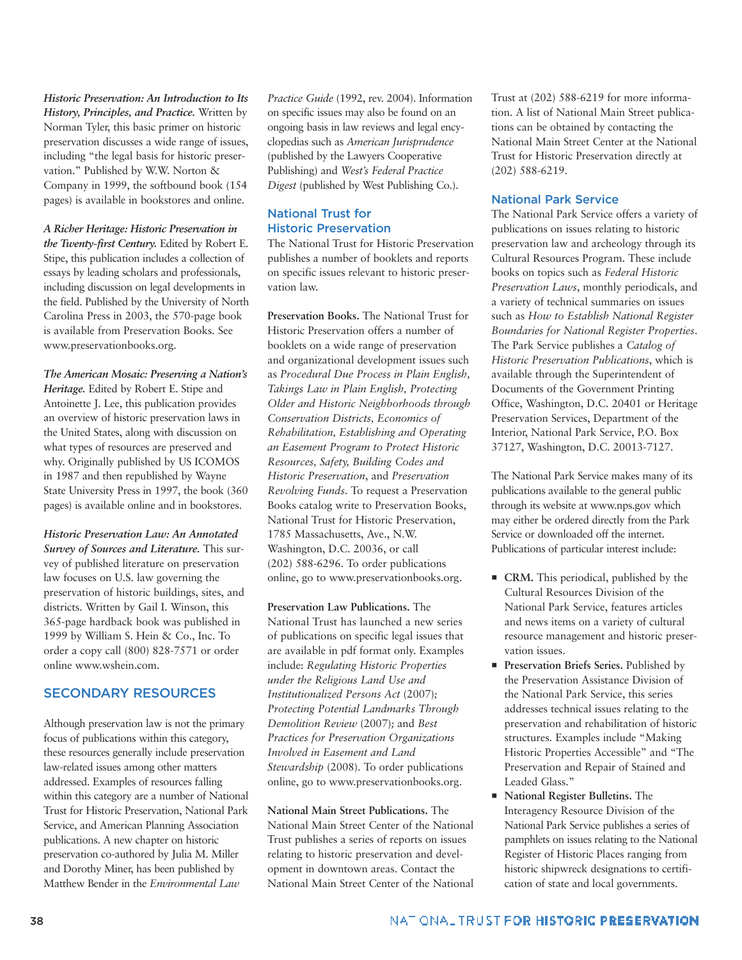*Historic Preservation: An Introduction to Its History, Principles, and Practice.* Written by Norman Tyler, this basic primer on historic preservation discusses a wide range of issues, including "the legal basis for historic preservation." Published by W.W. Norton & Company in 1999, the softbound book (154 pages) is available in bookstores and online.

*A Richer Heritage: Historic Preservation in the Twenty-first Century.* Edited by Robert E. Stipe, this publication includes a collection of essays by leading scholars and professionals, including discussion on legal developments in the field. Published by the University of North Carolina Press in 2003, the 570-page book is available from Preservation Books. See www.preservationbooks.org.

*The American Mosaic: Preserving a Nation's Heritage.* Edited by Robert E. Stipe and Antoinette J. Lee, this publication provides an overview of historic preservation laws in the United States, along with discussion on what types of resources are preserved and why. Originally published by US ICOMOS in 1987 and then republished by Wayne State University Press in 1997, the book (360 pages) is available online and in bookstores.

*Historic Preservation Law: An Annotated Survey of Sources and Literature.* This survey of published literature on preservation law focuses on U.S. law governing the preservation of historic buildings, sites, and districts. Written by Gail I. Winson, this 365-page hardback book was published in 1999 by William S. Hein & Co., Inc. To order a copy call (800) 828-7571 or order online www.wshein.com.

## **SECONDARY RESOURCES**

Although preservation law is not the primary focus of publications within this category, these resources generally include preservation law-related issues among other matters addressed. Examples of resources falling within this category are a number of National Trust for Historic Preservation, National Park Service, and American Planning Association publications. A new chapter on historic preservation co-authored by Julia M. Miller and Dorothy Miner, has been published by Matthew Bender in the *Environmental Law*

*Practice Guide* (1992, rev. 2004). Information on specific issues may also be found on an ongoing basis in law reviews and legal encyclopedias such as *American Jurisprudence* (published by the Lawyers Cooperative Publishing) and *West's Federal Practice Digest* (published by West Publishing Co.).

## **National Trust for Historic Preservation**

The National Trust for Historic Preservation publishes a number of booklets and reports on specific issues relevant to historic preservation law.

**Preservation Books.** The National Trust for Historic Preservation offers a number of booklets on a wide range of preservation and organizational development issues such as *Procedural Due Process in Plain English, Takings Law in Plain English, Protecting Older and Historic Neighborhoods through Conservation Districts, Economics of Rehabilitation, Establishing and Operating an Easement Program to Protect Historic Resources, Safety, Building Codes and Historic Preservation*, and *Preservation Revolving Funds*. To request a Preservation Books catalog write to Preservation Books, National Trust for Historic Preservation, 1785 Massachusetts, Ave., N.W. Washington, D.C. 20036, or call (202) 588-6296. To order publications online, go to www.preservationbooks.org.

**Preservation Law Publications.** The National Trust has launched a new series of publications on specific legal issues that are available in pdf format only. Examples include: *Regulating Historic Properties under the Religious Land Use and Institutionalized Persons Act* (2007)*; Protecting Potential Landmarks Through Demolition Review* (2007)*;* and *Best Practices for Preservation Organizations Involved in Easement and Land Stewardship* (2008). To order publications online, go to www.preservationbooks.org.

**National Main Street Publications.** The National Main Street Center of the National Trust publishes a series of reports on issues relating to historic preservation and development in downtown areas. Contact the National Main Street Center of the National

Trust at (202) 588-6219 for more information. A list of National Main Street publications can be obtained by contacting the National Main Street Center at the National Trust for Historic Preservation directly at (202) 588-6219.

## **National Park Service**

The National Park Service offers a variety of publications on issues relating to historic preservation law and archeology through its Cultural Resources Program. These include books on topics such as *Federal Historic Preservation Laws*, monthly periodicals, and a variety of technical summaries on issues such as *How to Establish National Register Boundaries for National Register Properties*. The Park Service publishes a *Catalog of Historic Preservation Publications*, which is available through the Superintendent of Documents of the Government Printing Office, Washington, D.C. 20401 or Heritage Preservation Services, Department of the Interior, National Park Service, P.O. Box 37127, Washington, D.C. 20013-7127.

The National Park Service makes many of its publications available to the general public through its website at www.nps.gov which may either be ordered directly from the Park Service or downloaded off the internet. Publications of particular interest include:

- **CRM.** This periodical, published by the Cultural Resources Division of the National Park Service, features articles and news items on a variety of cultural resource management and historic preservation issues.
- **Preservation Briefs Series.** Published by the Preservation Assistance Division of the National Park Service, this series addresses technical issues relating to the preservation and rehabilitation of historic structures. Examples include "Making Historic Properties Accessible" and "The Preservation and Repair of Stained and Leaded Glass."
- **National Register Bulletins.** The Interagency Resource Division of the National Park Service publishes a series of pamphlets on issues relating to the National Register of Historic Places ranging from historic shipwreck designations to certification of state and local governments.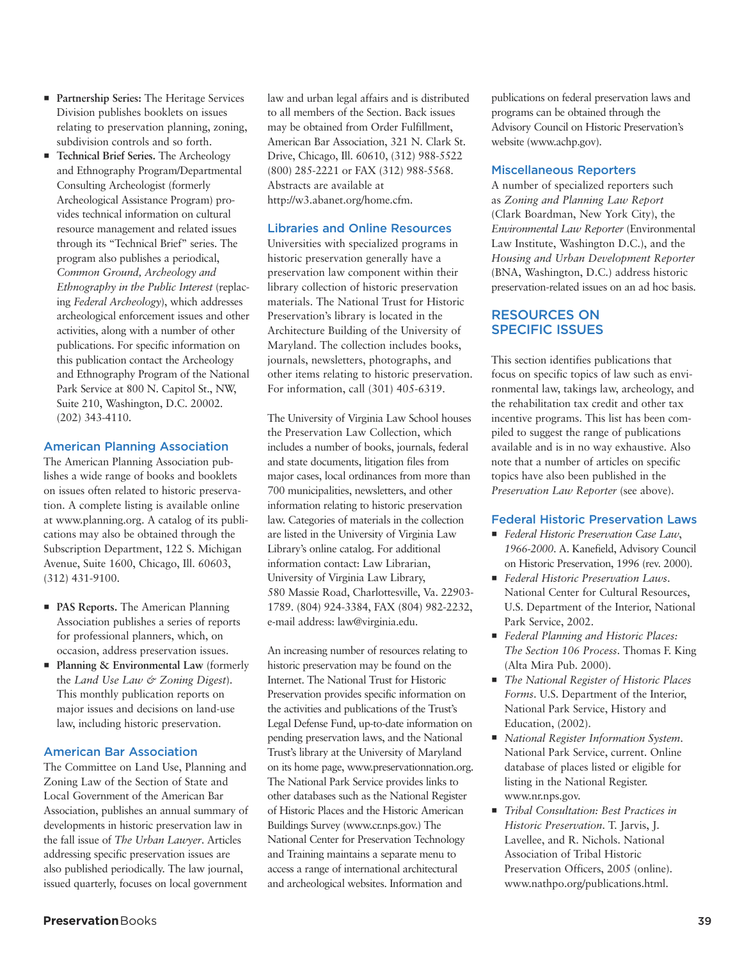- **Partnership Series:** The Heritage Services Division publishes booklets on issues relating to preservation planning, zoning, subdivision controls and so forth.
- **Technical Brief Series.** The Archeology and Ethnography Program/Departmental Consulting Archeologist (formerly Archeological Assistance Program) provides technical information on cultural resource management and related issues through its "Technical Brief" series. The program also publishes a periodical, *Common Ground, Archeology and Ethnography in the Public Interest* (replacing *Federal Archeology*), which addresses archeological enforcement issues and other activities, along with a number of other publications. For specific information on this publication contact the Archeology and Ethnography Program of the National Park Service at 800 N. Capitol St., NW, Suite 210, Washington, D.C. 20002. (202) 343-4110.

## **American Planning Association**

The American Planning Association publishes a wide range of books and booklets on issues often related to historic preservation. A complete listing is available online at www.planning.org. A catalog of its publications may also be obtained through the Subscription Department, 122 S. Michigan Avenue, Suite 1600, Chicago, Ill. 60603, (312) 431-9100.

- **PAS Reports.** The American Planning Association publishes a series of reports for professional planners, which, on occasion, address preservation issues.
- **Planning & Environmental Law** (formerly the *Land Use Law & Zoning Digest*). This monthly publication reports on major issues and decisions on land-use law, including historic preservation.

## **American Bar Association**

The Committee on Land Use, Planning and Zoning Law of the Section of State and Local Government of the American Bar Association, publishes an annual summary of developments in historic preservation law in the fall issue of *The Urban Lawyer*. Articles addressing specific preservation issues are also published periodically. The law journal, issued quarterly, focuses on local government

law and urban legal affairs and is distributed to all members of the Section. Back issues may be obtained from Order Fulfillment, American Bar Association, 321 N. Clark St. Drive, Chicago, Ill. 60610, (312) 988-5522 (800) 285-2221 or FAX (312) 988-5568. Abstracts are available at http://w3.abanet.org/home.cfm.

## **Libraries and Online Resources**

Universities with specialized programs in historic preservation generally have a preservation law component within their library collection of historic preservation materials. The National Trust for Historic Preservation's library is located in the Architecture Building of the University of Maryland. The collection includes books, journals, newsletters, photographs, and other items relating to historic preservation. For information, call (301) 405-6319.

The University of Virginia Law School houses the Preservation Law Collection, which includes a number of books, journals, federal and state documents, litigation files from major cases, local ordinances from more than 700 municipalities, newsletters, and other information relating to historic preservation law. Categories of materials in the collection are listed in the University of Virginia Law Library's online catalog. For additional information contact: Law Librarian, University of Virginia Law Library, 580 Massie Road, Charlottesville, Va. 22903- 1789. (804) 924-3384, FAX (804) 982-2232, e-mail address: law@virginia.edu.

An increasing number of resources relating to historic preservation may be found on the Internet. The National Trust for Historic Preservation provides specific information on the activities and publications of the Trust's Legal Defense Fund, up-to-date information on pending preservation laws, and the National Trust's library at the University of Maryland on its home page, www.preservationnation.org. The National Park Service provides links to other databases such as the National Register of Historic Places and the Historic American Buildings Survey (www.cr.nps.gov.) The National Center for Preservation Technology and Training maintains a separate menu to access a range of international architectural and archeological websites. Information and

publications on federal preservation laws and programs can be obtained through the Advisory Council on Historic Preservation's website (www.achp.gov).

## **Miscellaneous Reporters**

A number of specialized reporters such as *Zoning and Planning Law Report* (Clark Boardman, New York City), the *Environmental Law Reporter* (Environmental Law Institute, Washington D.C.), and the *Housing and Urban Development Reporter* (BNA, Washington, D.C.) address historic preservation-related issues on an ad hoc basis.

## **RESOURCES ON SPECIFIC ISSUES**

This section identifies publications that focus on specific topics of law such as environmental law, takings law, archeology, and the rehabilitation tax credit and other tax incentive programs. This list has been compiled to suggest the range of publications available and is in no way exhaustive. Also note that a number of articles on specific topics have also been published in the *Preservation Law Reporter* (see above).

## **Federal Historic Preservation Laws**

- *Federal Historic Preservation Case Law*, *1966-2000*. A. Kanefield, Advisory Council on Historic Preservation, 1996 (rev. 2000).
- *Federal Historic Preservation Laws*. National Center for Cultural Resources, U.S. Department of the Interior, National Park Service, 2002.
- *Federal Planning and Historic Places: The Section 106 Process*. Thomas F. King (Alta Mira Pub. 2000).
- *The National Register of Historic Places Forms*. U.S. Department of the Interior, National Park Service, History and Education, (2002).
- *National Register Information System*. National Park Service, current. Online database of places listed or eligible for listing in the National Register. www.nr.nps.gov.
- *Tribal Consultation: Best Practices in Historic Preservation*. T. Jarvis, J. Lavellee, and R. Nichols. National Association of Tribal Historic Preservation Officers, 2005 (online). www.nathpo.org/publications.html.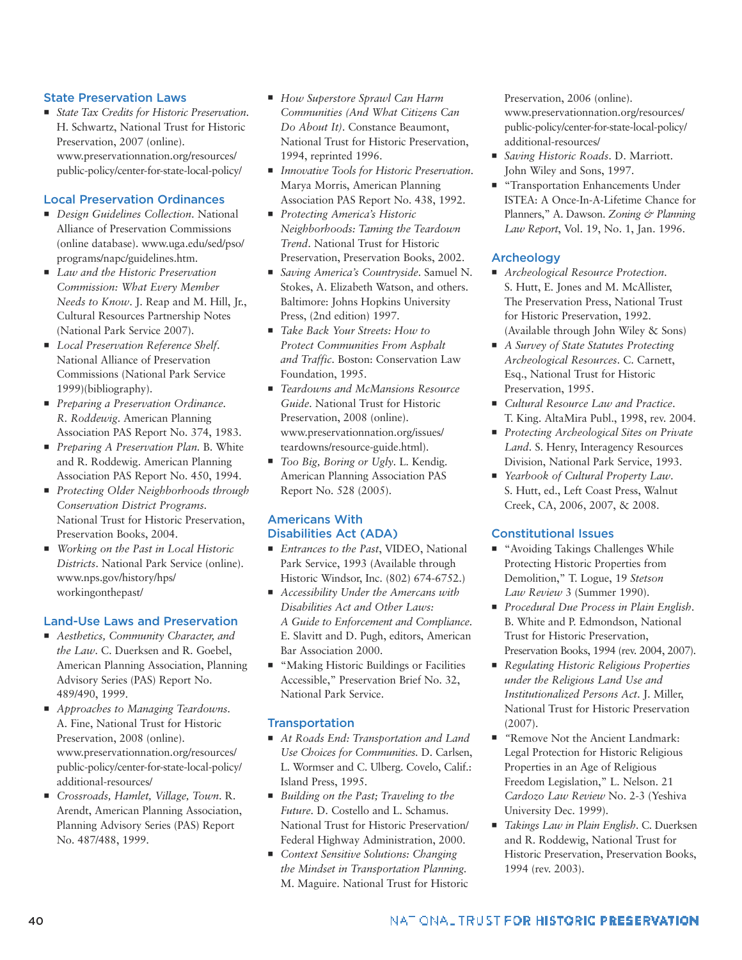## **State Preservation Laws**

■ *State Tax Credits for Historic Preservation*. H. Schwartz, National Trust for Historic Preservation, 2007 (online). www.preservationnation.org/resources/ public-policy/center-for-state-local-policy/

## **Local Preservation Ordinances**

- **Design Guidelines Collection. National** Alliance of Preservation Commissions (online database). www.uga.edu/sed/pso/ programs/napc/guidelines.htm.
- *Law and the Historic Preservation Commission: What Every Member Needs to Know*. J. Reap and M. Hill, Jr., Cultural Resources Partnership Notes (National Park Service 2007).
- **E** *Local Preservation Reference Shelf.* National Alliance of Preservation Commissions (National Park Service 1999)(bibliography).
- *Preparing a Preservation Ordinance. R. Roddewig*. American Planning Association PAS Report No. 374, 1983.
- *Preparing A Preservation Plan.* B. White and R. Roddewig. American Planning Association PAS Report No. 450, 1994.
- *Protecting Older Neighborhoods through Conservation District Programs*. National Trust for Historic Preservation, Preservation Books, 2004.
- *Working on the Past in Local Historic Districts*. National Park Service (online). www.nps.gov/history/hps/ workingonthepast/

## **Land-Use Laws and Preservation**

- **E** Aesthetics, Community Character, and *the Law*. C. Duerksen and R. Goebel, American Planning Association, Planning Advisory Series (PAS) Report No. 489/490, 1999.
- *Approaches to Managing Teardowns*. A. Fine, National Trust for Historic Preservation, 2008 (online). www.preservationnation.org/resources/ public-policy/center-for-state-local-policy/ additional-resources/
- *Crossroads, Hamlet, Village, Town*. R. Arendt, American Planning Association, Planning Advisory Series (PAS) Report No. 487/488, 1999.
- How Superstore Sprawl Can Harm *Communities (And What Citizens Can Do About It)*. Constance Beaumont, National Trust for Historic Preservation, 1994, reprinted 1996.
- *Innovative Tools for Historic Preservation*. Marya Morris, American Planning Association PAS Report No. 438, 1992.
- *Protecting America's Historic Neighborhoods: Taming the Teardown Trend*. National Trust for Historic Preservation, Preservation Books, 2002.
- *Saving America's Countryside*. Samuel N. Stokes, A. Elizabeth Watson, and others. Baltimore: Johns Hopkins University Press, (2nd edition) 1997.
- *Take Back Your Streets: How to Protect Communities From Asphalt and Traffic*. Boston: Conservation Law Foundation, 1995.
- *Teardowns and McMansions Resource Guide*. National Trust for Historic Preservation, 2008 (online). www.preservationnation.org/issues/ teardowns/resource-guide.html).
- $\blacksquare$  *Too Big, Boring or Ugly*. L. Kendig. American Planning Association PAS Report No. 528 (2005).

## **Americans With Disabilities Act (ADA)**

- *Entrances to the Past*, VIDEO, National Park Service, 1993 (Available through Historic Windsor, Inc. (802) 674-6752.)
- **•** Accessibility Under the Amercans with *Disabilities Act and Other Laws: A Guide to Enforcement and Compliance*. E. Slavitt and D. Pugh, editors, American Bar Association 2000.
- **Ex "Making Historic Buildings or Facilities** Accessible," Preservation Brief No. 32, National Park Service.

## **Transportation**

- *At Roads End: Transportation and Land Use Choices for Communities.* D. Carlsen, L. Wormser and C. Ulberg. Covelo, Calif.: Island Press, 1995.
- *Building on the Past; Traveling to the Future.* D. Costello and L. Schamus. National Trust for Historic Preservation/ Federal Highway Administration, 2000.
- **E** Context Sensitive Solutions: Changing *the Mindset in Transportation Planning.* M. Maguire. National Trust for Historic

Preservation, 2006 (online). www.preservationnation.org/resources/ public-policy/center-for-state-local-policy/ additional-resources/

- - *Saving Historic Roads*. D. Marriott. John Wiley and Sons, 1997.
- **Transportation Enhancements Under** ISTEA: A Once-In-A-Lifetime Chance for Planners," A. Dawson. *Zoning & Planning Law Report*, Vol. 19, No. 1, Jan. 1996.

## **Archeology**

- *Archeological Resource Protection.* S. Hutt, E. Jones and M. McAllister, The Preservation Press, National Trust for Historic Preservation, 1992. (Available through John Wiley & Sons)
- *A Survey of State Statutes Protecting Archeological Resources*. C. Carnett, Esq., National Trust for Historic Preservation, 1995.
- *Cultural Resource Law and Practice*. T. King. AltaMira Publ., 1998, rev. 2004.
- Protecting Archeological Sites on Private *Land*. S. Henry, Interagency Resources Division, National Park Service, 1993.
- *Yearbook of Cultural Property Law*. S. Hutt, ed., Left Coast Press, Walnut Creek, CA, 2006, 2007, & 2008.

## **Constitutional Issues**

- **E** "Avoiding Takings Challenges While Protecting Historic Properties from Demolition," T. Logue, 19 *Stetson Law Review* 3 (Summer 1990).
- *Procedural Due Process in Plain English*. B. White and P. Edmondson, National Trust for Historic Preservation, Preservation Books, 1994 (rev. 2004, 2007).
- *Regulating Historic Religious Properties under the Religious Land Use and Institutionalized Persons Act*. J. Miller, National Trust for Historic Preservation (2007).
- *"*Remove Not the Ancient Landmark: Legal Protection for Historic Religious Properties in an Age of Religious Freedom Legislation," L. Nelson. 21 *Cardozo Law Review* No. 2-3 (Yeshiva University Dec. 1999).
- *Takings Law in Plain English*. C. Duerksen and R. Roddewig, National Trust for Historic Preservation, Preservation Books, 1994 (rev. 2003).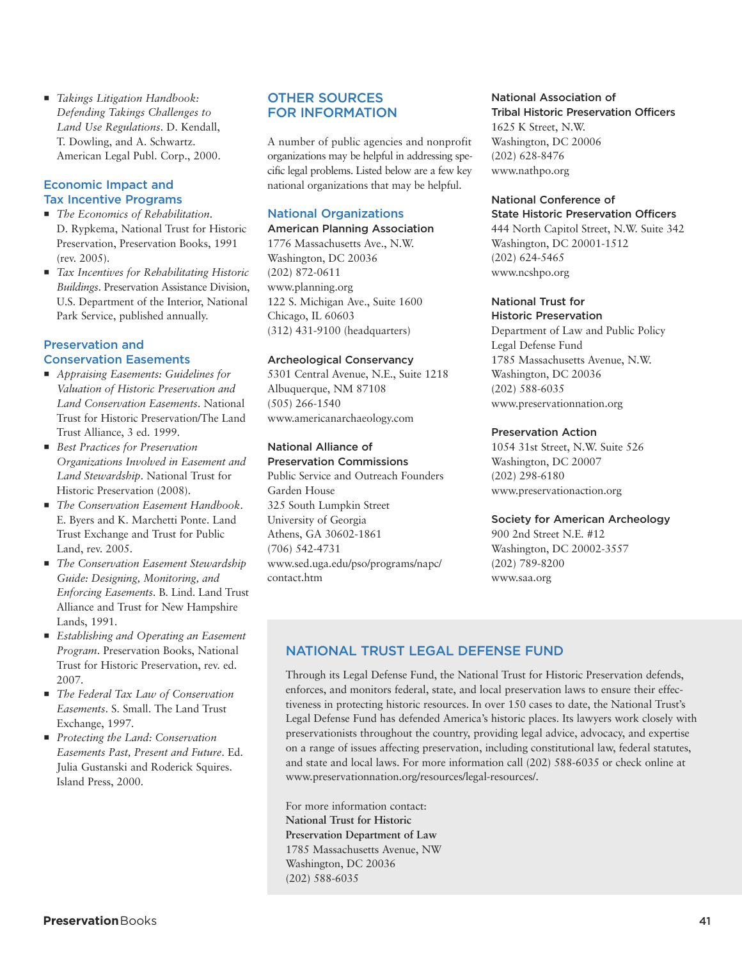- *Takings Litigation Handbook: Defending Takings Challenges to Land Use Regulations*. D. Kendall, T. Dowling, and A. Schwartz. American Legal Publ. Corp., 2000.

## **Economic Impact and Tax Incentive Programs**

- *The Economics of Rehabilitation*. D. Rypkema, National Trust for Historic Preservation, Preservation Books, 1991 (rev. 2005).
- *Tax Incentives for Rehabilitating Historic Buildings*. Preservation Assistance Division, U.S. Department of the Interior, National Park Service, published annually.

## **Preservation and Conservation Easements**

- *Appraising Easements: Guidelines for Valuation of Historic Preservation and Land Conservation Easements*. National Trust for Historic Preservation/The Land Trust Alliance, 3 ed. 1999.
- *Best Practices for Preservation Organizations Involved in Easement and Land Stewardship*. National Trust for Historic Preservation (2008).
- $\blacksquare$  The Conservation Easement Handbook. E. Byers and K. Marchetti Ponte. Land Trust Exchange and Trust for Public Land, rev. 2005.
- **The Conservation Easement Stewardship** *Guide: Designing, Monitoring, and Enforcing Easements*. B. Lind. Land Trust Alliance and Trust for New Hampshire Lands, 1991.
- *Establishing and Operating an Easement Program*. Preservation Books, National Trust for Historic Preservation, rev. ed. 2007.
- *The Federal Tax Law of Conservation Easements*. S. Small. The Land Trust Exchange, 1997.
- *Protecting the Land: Conservation Easements Past, Present and Future*. Ed. Julia Gustanski and Roderick Squires. Island Press, 2000.

## **OTHER SOURCES FOR INFORMATION**

A number of public agencies and nonprofit organizations may be helpful in addressing specific legal problems. Listed below are a few key national organizations that may be helpful.

## **National Organizations**

## **American Planning Association**

1776 Massachusetts Ave., N.W. Washington, DC 20036 (202) 872-0611 www.planning.org 122 S. Michigan Ave., Suite 1600 Chicago, IL 60603 (312) 431-9100 (headquarters)

## **Archeological Conservancy**

5301 Central Avenue, N.E., Suite 1218 Albuquerque, NM 87108 (505) 266-1540 www.americanarchaeology.com

## **National Alliance of Preservation Commissions**

Public Service and Outreach Founders Garden House 325 South Lumpkin Street University of Georgia Athens, GA 30602-1861 (706) 542-4731 www.sed.uga.edu/pso/programs/napc/ contact.htm

#### **National Association of Tribal Historic Preservation Officers**

1625 K Street, N.W. Washington, DC 20006 (202) 628-8476 www.nathpo.org

## **National Conference of**

**State Historic Preservation Officers** 444 North Capitol Street, N.W. Suite 342 Washington, DC 20001-1512 (202) 624-5465 www.ncshpo.org

## **National Trust for**

**Historic Preservation** Department of Law and Public Policy Legal Defense Fund 1785 Massachusetts Avenue, N.W. Washington, DC 20036 (202) 588-6035 www.preservationnation.org

## **Preservation Action**

1054 31st Street, N.W. Suite 526 Washington, DC 20007 (202) 298-6180 www.preservationaction.org

## **Society for American Archeology**

900 2nd Street N.E. #12 Washington, DC 20002-3557 (202) 789-8200 www.saa.org

## **NATIONAL TRUST LEGAL DEFENSE FUND**

Through its Legal Defense Fund, the National Trust for Historic Preservation defends, enforces, and monitors federal, state, and local preservation laws to ensure their effectiveness in protecting historic resources. In over 150 cases to date, the National Trust's Legal Defense Fund has defended America's historic places. Its lawyers work closely with preservationists throughout the country, providing legal advice, advocacy, and expertise on a range of issues affecting preservation, including constitutional law, federal statutes, and state and local laws. For more information call (202) 588-6035 or check online at www.preservationnation.org/resources/legal-resources/.

For more information contact: **National Trust for Historic Preservation Department of Law** 1785 Massachusetts Avenue, NW Washington, DC 20036 (202) 588-6035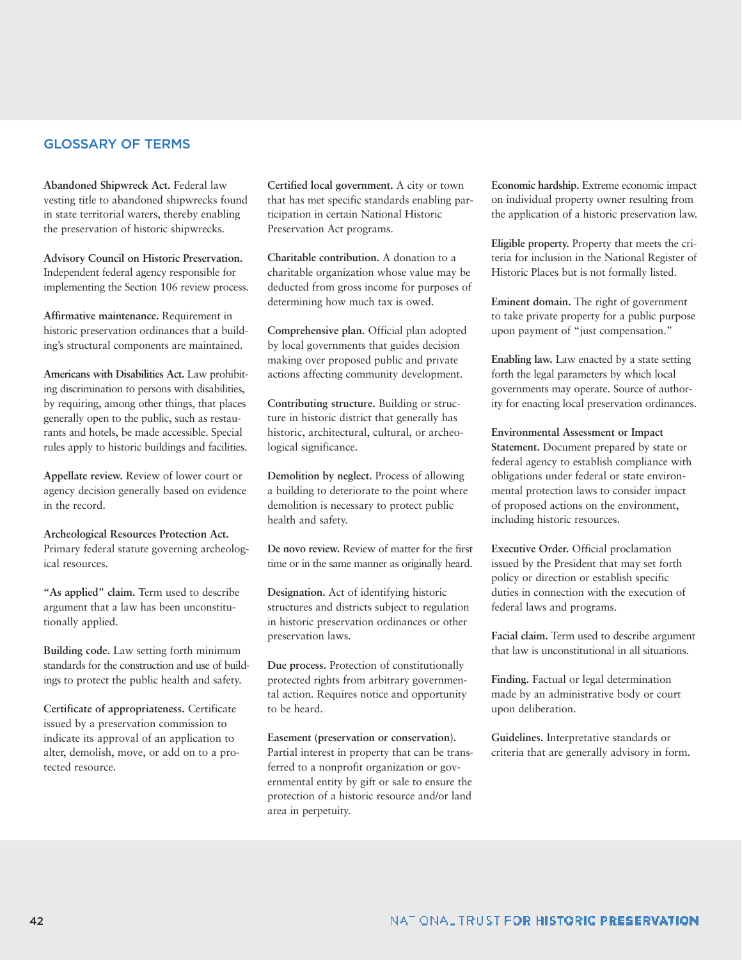## **GLOSSARY OF TERMS**

**Abandoned Shipwreck Act.** Federal law vesting title to abandoned shipwrecks found in state territorial waters, thereby enabling the preservation of historic shipwrecks.

**Advisory Council on Historic Preservation.** Independent federal agency responsible for implementing the Section 106 review process.

**Affirmative maintenance.** Requirement in historic preservation ordinances that a building's structural components are maintained.

**Americans with Disabilities Act.** Law prohibiting discrimination to persons with disabilities, by requiring, among other things, that places generally open to the public, such as restaurants and hotels, be made accessible. Special rules apply to historic buildings and facilities.

**Appellate review.** Review of lower court or agency decision generally based on evidence in the record.

**Archeological Resources Protection Act.** Primary federal statute governing archeological resources.

**"As applied" claim.** Term used to describe argument that a law has been unconstitutionally applied.

**Building code.** Law setting forth minimum standards for the construction and use of buildings to protect the public health and safety.

**Certificate of appropriateness.** Certificate issued by a preservation commission to indicate its approval of an application to alter, demolish, move, or add on to a protected resource.

**Certified local government.** A city or town that has met specific standards enabling participation in certain National Historic Preservation Act programs.

**Charitable contribution.** A donation to a charitable organization whose value may be deducted from gross income for purposes of determining how much tax is owed.

**Comprehensive plan.** Official plan adopted by local governments that guides decision making over proposed public and private actions affecting community development.

**Contributing structure.** Building or structure in historic district that generally has historic, architectural, cultural, or archeological significance.

**Demolition by neglect.** Process of allowing a building to deteriorate to the point where demolition is necessary to protect public health and safety.

**De novo review.** Review of matter for the first time or in the same manner as originally heard.

**Designation.** Act of identifying historic structures and districts subject to regulation in historic preservation ordinances or other preservation laws.

**Due process.** Protection of constitutionally protected rights from arbitrary governmental action. Requires notice and opportunity to be heard.

**Easement (preservation or conservation).** Partial interest in property that can be transferred to a nonprofit organization or governmental entity by gift or sale to ensure the protection of a historic resource and/or land area in perpetuity.

E**conomic hardship.** Extreme economic impact on individual property owner resulting from the application of a historic preservation law.

**Eligible property.** Property that meets the criteria for inclusion in the National Register of Historic Places but is not formally listed.

**Eminent domain.** The right of government to take private property for a public purpose upon payment of "just compensation."

**Enabling law.** Law enacted by a state setting forth the legal parameters by which local governments may operate. Source of authority for enacting local preservation ordinances.

**Environmental Assessment or Impact Statement.** Document prepared by state or federal agency to establish compliance with obligations under federal or state environmental protection laws to consider impact of proposed actions on the environment, including historic resources.

**Executive Order.** Official proclamation issued by the President that may set forth policy or direction or establish specific duties in connection with the execution of federal laws and programs.

**Facial claim.** Term used to describe argument that law is unconstitutional in all situations.

**Finding.** Factual or legal determination made by an administrative body or court upon deliberation.

**Guidelines.** Interpretative standards or criteria that are generally advisory in form.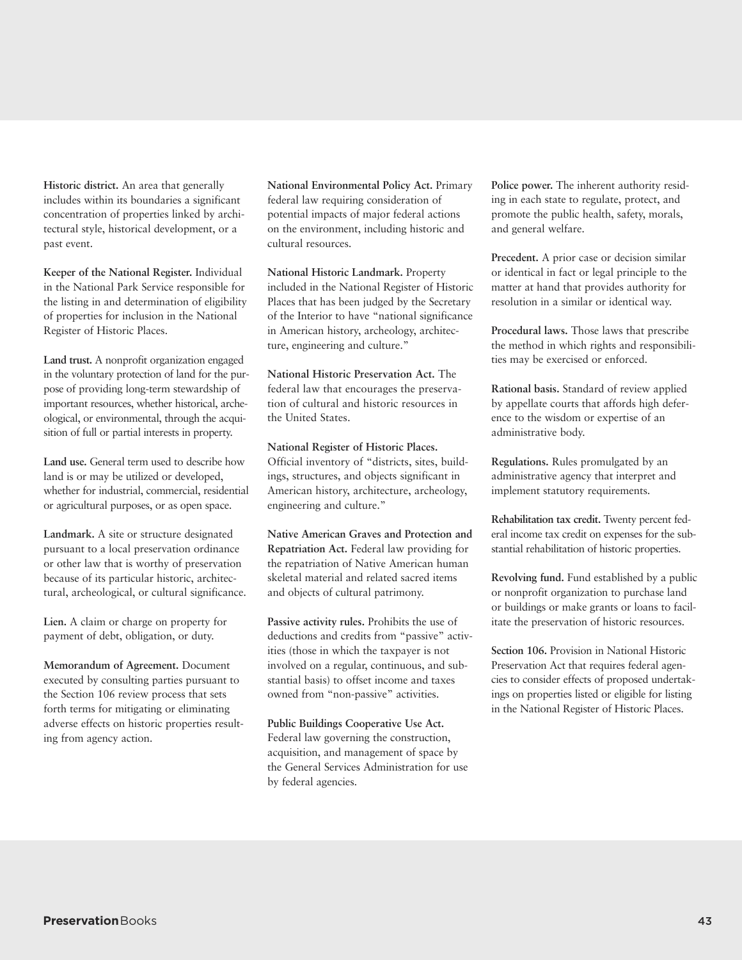**Historic district.** An area that generally includes within its boundaries a significant concentration of properties linked by architectural style, historical development, or a past event.

**Keeper of the National Register.** Individual in the National Park Service responsible for the listing in and determination of eligibility of properties for inclusion in the National Register of Historic Places.

**Land trust.** A nonprofit organization engaged in the voluntary protection of land for the purpose of providing long-term stewardship of important resources, whether historical, archeological, or environmental, through the acquisition of full or partial interests in property.

**Land use.** General term used to describe how land is or may be utilized or developed, whether for industrial, commercial, residential or agricultural purposes, or as open space.

**Landmark.** A site or structure designated pursuant to a local preservation ordinance or other law that is worthy of preservation because of its particular historic, architectural, archeological, or cultural significance.

**Lien.** A claim or charge on property for payment of debt, obligation, or duty.

**Memorandum of Agreement.** Document executed by consulting parties pursuant to the Section 106 review process that sets forth terms for mitigating or eliminating adverse effects on historic properties resulting from agency action.

**National Environmental Policy Act.** Primary federal law requiring consideration of potential impacts of major federal actions on the environment, including historic and cultural resources.

**National Historic Landmark.** Property included in the National Register of Historic Places that has been judged by the Secretary of the Interior to have "national significance in American history, archeology, architecture, engineering and culture."

**National Historic Preservation Act.** The federal law that encourages the preservation of cultural and historic resources in the United States.

**National Register of Historic Places.** Official inventory of "districts, sites, buildings, structures, and objects significant in American history, architecture, archeology, engineering and culture."

**Native American Graves and Protection and Repatriation Act.** Federal law providing for the repatriation of Native American human skeletal material and related sacred items and objects of cultural patrimony.

**Passive activity rules.** Prohibits the use of deductions and credits from "passive" activities (those in which the taxpayer is not involved on a regular, continuous, and substantial basis) to offset income and taxes owned from "non-passive" activities.

**Public Buildings Cooperative Use Act.** Federal law governing the construction, acquisition, and management of space by the General Services Administration for use by federal agencies.

**Police power.** The inherent authority residing in each state to regulate, protect, and promote the public health, safety, morals, and general welfare.

**Precedent.** A prior case or decision similar or identical in fact or legal principle to the matter at hand that provides authority for resolution in a similar or identical way.

**Procedural laws.** Those laws that prescribe the method in which rights and responsibilities may be exercised or enforced.

**Rational basis.** Standard of review applied by appellate courts that affords high deference to the wisdom or expertise of an administrative body.

**Regulations.** Rules promulgated by an administrative agency that interpret and implement statutory requirements.

**Rehabilitation tax credit.** Twenty percent federal income tax credit on expenses for the substantial rehabilitation of historic properties.

**Revolving fund.** Fund established by a public or nonprofit organization to purchase land or buildings or make grants or loans to facilitate the preservation of historic resources.

**Section 106.** Provision in National Historic Preservation Act that requires federal agencies to consider effects of proposed undertakings on properties listed or eligible for listing in the National Register of Historic Places.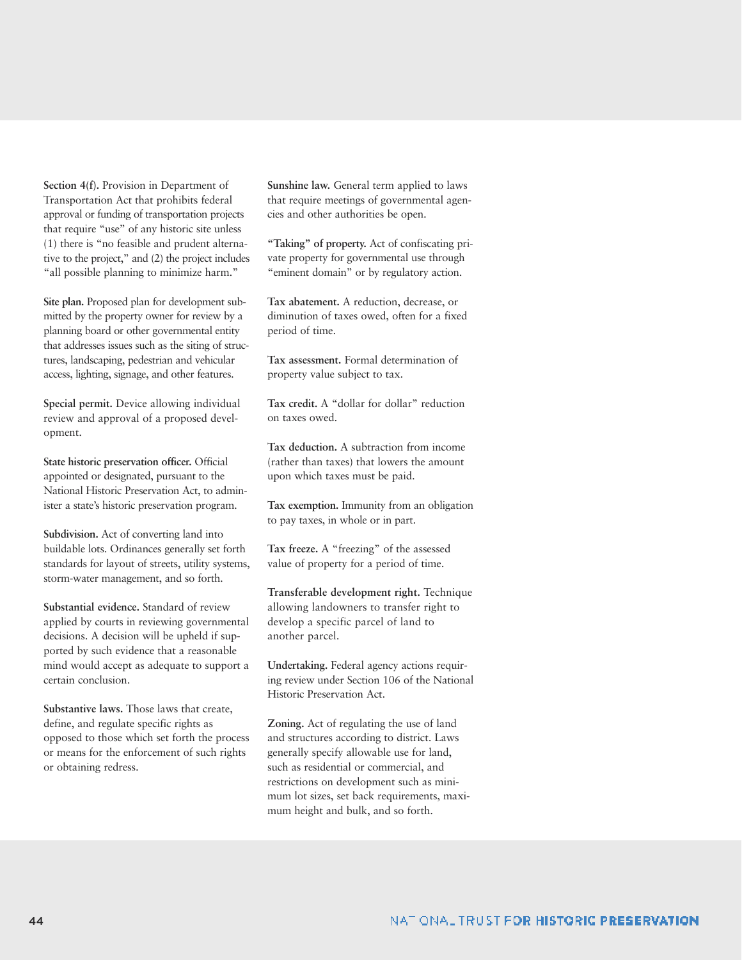**Section 4(f).** Provision in Department of Transportation Act that prohibits federal approval or funding of transportation projects that require "use" of any historic site unless (1) there is "no feasible and prudent alternative to the project," and (2) the project includes "all possible planning to minimize harm."

**Site plan.** Proposed plan for development submitted by the property owner for review by a planning board or other governmental entity that addresses issues such as the siting of structures, landscaping, pedestrian and vehicular access, lighting, signage, and other features.

**Special permit.** Device allowing individual review and approval of a proposed development.

**State historic preservation officer.** Official appointed or designated, pursuant to the National Historic Preservation Act, to administer a state's historic preservation program.

**Subdivision.** Act of converting land into buildable lots. Ordinances generally set forth standards for layout of streets, utility systems, storm-water management, and so forth.

**Substantial evidence.** Standard of review applied by courts in reviewing governmental decisions. A decision will be upheld if supported by such evidence that a reasonable mind would accept as adequate to support a certain conclusion.

**Substantive laws.** Those laws that create, define, and regulate specific rights as opposed to those which set forth the process or means for the enforcement of such rights or obtaining redress.

**Sunshine law.** General term applied to laws that require meetings of governmental agencies and other authorities be open.

**"Taking" of property.** Act of confiscating private property for governmental use through "eminent domain" or by regulatory action.

**Tax abatement.** A reduction, decrease, or diminution of taxes owed, often for a fixed period of time.

**Tax assessment.** Formal determination of property value subject to tax.

**Tax credit.** A "dollar for dollar" reduction on taxes owed.

**Tax deduction.** A subtraction from income (rather than taxes) that lowers the amount upon which taxes must be paid.

**Tax exemption.** Immunity from an obligation to pay taxes, in whole or in part.

**Tax freeze.** A "freezing" of the assessed value of property for a period of time.

**Transferable development right.** Technique allowing landowners to transfer right to develop a specific parcel of land to another parcel.

**Undertaking.** Federal agency actions requiring review under Section 106 of the National Historic Preservation Act.

**Zoning.** Act of regulating the use of land and structures according to district. Laws generally specify allowable use for land, such as residential or commercial, and restrictions on development such as minimum lot sizes, set back requirements, maximum height and bulk, and so forth.